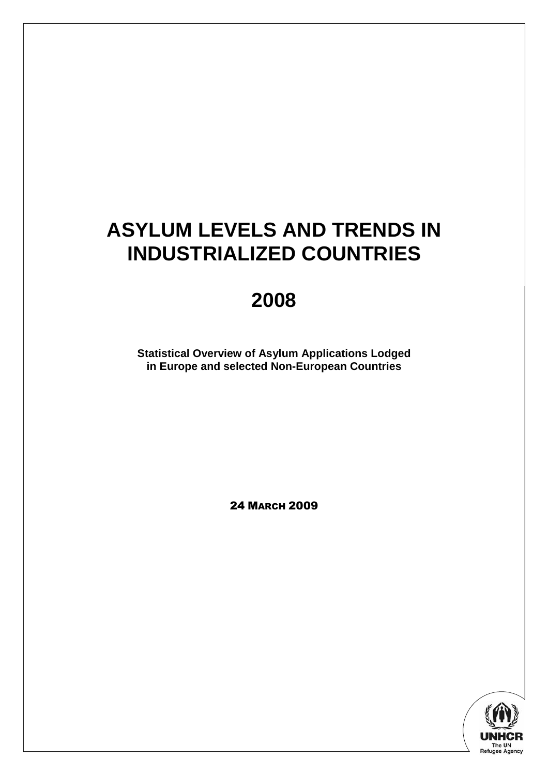# **ASYLUM LEVELS AND TRENDS IN INDUSTRIALIZED COUNTRIES**

# **2008**

**Statistical Overview of Asylum Applications Lodged in Europe and selected Non-European Countries** 

24 MARCH 2009

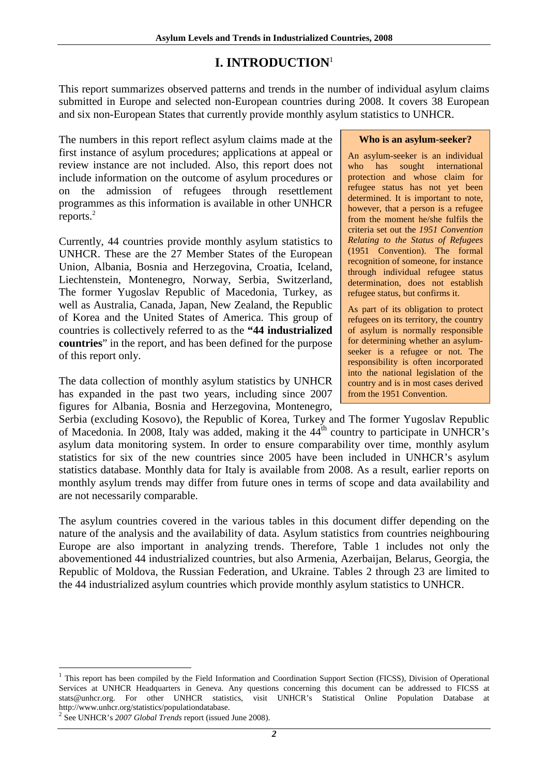# **I. INTRODUCTION**<sup>1</sup>

This report summarizes observed patterns and trends in the number of individual asylum claims submitted in Europe and selected non-European countries during 2008. It covers 38 European and six non-European States that currently provide monthly asylum statistics to UNHCR.

The numbers in this report reflect asylum claims made at the first instance of asylum procedures; applications at appeal or review instance are not included. Also, this report does not include information on the outcome of asylum procedures or on the admission of refugees through resettlement programmes as this information is available in other UNHCR reports.<sup>2</sup>

Currently, 44 countries provide monthly asylum statistics to UNHCR. These are the 27 Member States of the European Union, Albania, Bosnia and Herzegovina, Croatia, Iceland, Liechtenstein, Montenegro, Norway, Serbia, Switzerland, The former Yugoslav Republic of Macedonia, Turkey, as well as Australia, Canada, Japan, New Zealand, the Republic of Korea and the United States of America. This group of countries is collectively referred to as the **"44 industrialized countries**" in the report, and has been defined for the purpose of this report only.

The data collection of monthly asylum statistics by UNHCR has expanded in the past two years, including since 2007 figures for Albania, Bosnia and Herzegovina, Montenegro,

## **Who is an asylum-seeker?**

An asylum-seeker is an individual who has sought international protection and whose claim for refugee status has not yet been determined. It is important to note, however, that a person is a refugee from the moment he/she fulfils the criteria set out the *1951 Convention Relating to the Status of Refugees* (1951 Convention). The formal recognition of someone, for instance through individual refugee status determination, does not establish refugee status, but confirms it.

As part of its obligation to protect refugees on its territory, the country of asylum is normally responsible for determining whether an asylumseeker is a refugee or not. The responsibility is often incorporated into the national legislation of the country and is in most cases derived from the 1951 Convention.

Serbia (excluding Kosovo), the Republic of Korea, Turkey and The former Yugoslav Republic of Macedonia. In 2008, Italy was added, making it the 44<sup>th</sup> country to participate in UNHCR's asylum data monitoring system. In order to ensure comparability over time, monthly asylum statistics for six of the new countries since 2005 have been included in UNHCR's asylum statistics database. Monthly data for Italy is available from 2008. As a result, earlier reports on monthly asylum trends may differ from future ones in terms of scope and data availability and are not necessarily comparable.

The asylum countries covered in the various tables in this document differ depending on the nature of the analysis and the availability of data. Asylum statistics from countries neighbouring Europe are also important in analyzing trends. Therefore, Table 1 includes not only the abovementioned 44 industrialized countries, but also Armenia, Azerbaijan, Belarus, Georgia, the Republic of Moldova, the Russian Federation, and Ukraine. Tables 2 through 23 are limited to the 44 industrialized asylum countries which provide monthly asylum statistics to UNHCR.

<sup>&</sup>lt;sup>1</sup> This report has been compiled by the Field Information and Coordination Support Section (FICSS), Division of Operational Services at UNHCR Headquarters in Geneva. Any questions concerning this document can be addressed to FICSS at stats@unhcr.org. For other UNHCR statistics, visit UNHCR's Statistical Online Population Database at http://www.unhcr.org/statistics/populationdatabase.

<sup>2</sup> See UNHCR's *2007 Global Trends* report (issued June 2008).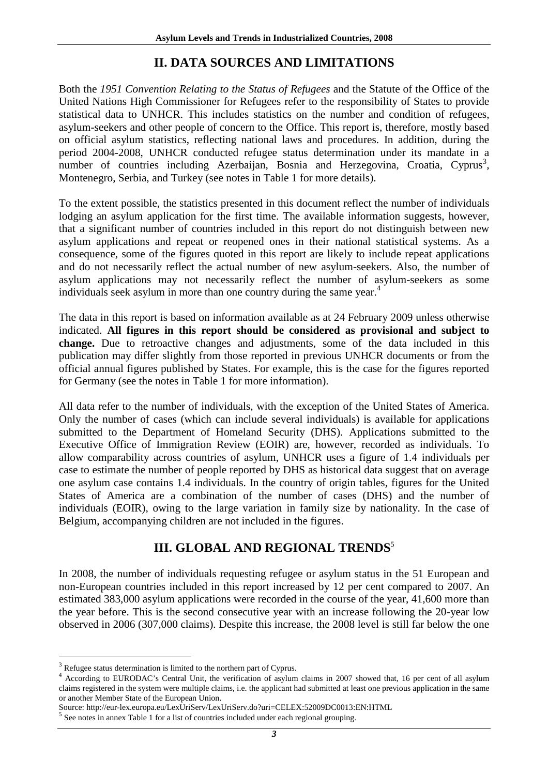# **II. DATA SOURCES AND LIMITATIONS**

Both the *1951 Convention Relating to the Status of Refugees* and the Statute of the Office of the United Nations High Commissioner for Refugees refer to the responsibility of States to provide statistical data to UNHCR. This includes statistics on the number and condition of refugees, asylum-seekers and other people of concern to the Office. This report is, therefore, mostly based on official asylum statistics, reflecting national laws and procedures. In addition, during the period 2004-2008, UNHCR conducted refugee status determination under its mandate in a number of countries including Azerbaijan, Bosnia and Herzegovina, Croatia, Cyprus<sup>3</sup>, Montenegro, Serbia, and Turkey (see notes in Table 1 for more details).

To the extent possible, the statistics presented in this document reflect the number of individuals lodging an asylum application for the first time. The available information suggests, however, that a significant number of countries included in this report do not distinguish between new asylum applications and repeat or reopened ones in their national statistical systems. As a consequence, some of the figures quoted in this report are likely to include repeat applications and do not necessarily reflect the actual number of new asylum-seekers. Also, the number of asylum applications may not necessarily reflect the number of asylum-seekers as some individuals seek asylum in more than one country during the same year.<sup>4</sup>

The data in this report is based on information available as at 24 February 2009 unless otherwise indicated. **All figures in this report should be considered as provisional and subject to change.** Due to retroactive changes and adjustments, some of the data included in this publication may differ slightly from those reported in previous UNHCR documents or from the official annual figures published by States. For example, this is the case for the figures reported for Germany (see the notes in Table 1 for more information).

All data refer to the number of individuals, with the exception of the United States of America. Only the number of cases (which can include several individuals) is available for applications submitted to the Department of Homeland Security (DHS). Applications submitted to the Executive Office of Immigration Review (EOIR) are, however, recorded as individuals. To allow comparability across countries of asylum, UNHCR uses a figure of 1.4 individuals per case to estimate the number of people reported by DHS as historical data suggest that on average one asylum case contains 1.4 individuals. In the country of origin tables, figures for the United States of America are a combination of the number of cases (DHS) and the number of individuals (EOIR), owing to the large variation in family size by nationality. In the case of Belgium, accompanying children are not included in the figures.

# **III. GLOBAL AND REGIONAL TRENDS<sup>5</sup>**

In 2008, the number of individuals requesting refugee or asylum status in the 51 European and non-European countries included in this report increased by 12 per cent compared to 2007. An estimated 383,000 asylum applications were recorded in the course of the year, 41,600 more than the year before. This is the second consecutive year with an increase following the 20-year low observed in 2006 (307,000 claims). Despite this increase, the 2008 level is still far below the one

<sup>&</sup>lt;sup>3</sup> Refugee status determination is limited to the northern part of Cyprus.<br><sup>4</sup> Association to EURODAC's Central Unit, the verification of explorer

According to EURODAC's Central Unit, the verification of asylum claims in 2007 showed that, 16 per cent of all asylum claims registered in the system were multiple claims, i.e. the applicant had submitted at least one previous application in the same or another Member State of the European Union.

Source: http://eur-lex.europa.eu/LexUriServ/LexUriServ.do?uri=CELEX:52009DC0013:EN:HTML

<sup>&</sup>lt;sup>5</sup> See notes in annex Table 1 for a list of countries included under each regional grouping.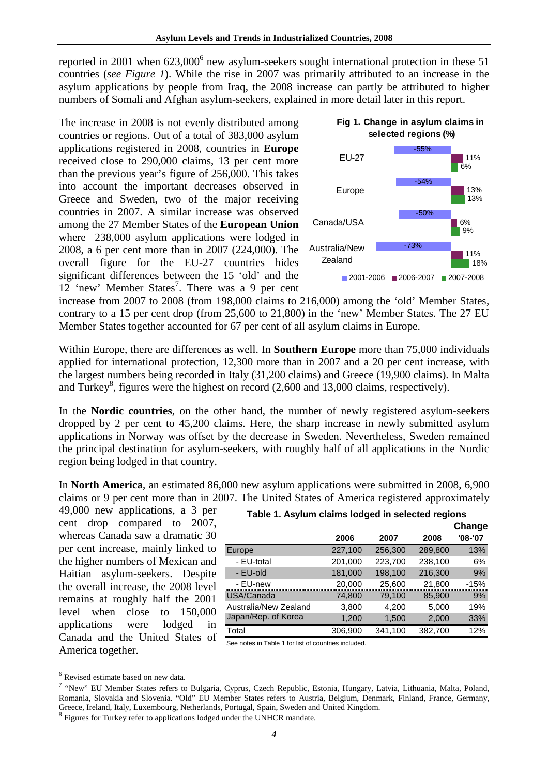reported in 2001 when  $623,000^6$  new asylum-seekers sought international protection in these 51 countries (*see Figure 1*). While the rise in 2007 was primarily attributed to an increase in the asylum applications by people from Iraq, the 2008 increase can partly be attributed to higher numbers of Somali and Afghan asylum-seekers, explained in more detail later in this report.

The increase in 2008 is not evenly distributed among countries or regions. Out of a total of 383,000 asylum applications registered in 2008, countries in **Europe**  received close to 290,000 claims, 13 per cent more than the previous year's figure of 256,000. This takes into account the important decreases observed in Greece and Sweden, two of the major receiving countries in 2007. A similar increase was observed among the 27 Member States of the **European Union** where 238,000 asylum applications were lodged in 2008, a 6 per cent more than in 2007 (224,000). The overall figure for the EU-27 countries hides significant differences between the 15 'old' and the 12 'new' Member States<sup>7</sup>. There was a 9 per cent





increase from 2007 to 2008 (from 198,000 claims to 216,000) among the 'old' Member States, contrary to a 15 per cent drop (from 25,600 to 21,800) in the 'new' Member States. The 27 EU Member States together accounted for 67 per cent of all asylum claims in Europe.

Within Europe, there are differences as well. In **Southern Europe** more than 75,000 individuals applied for international protection, 12,300 more than in 2007 and a 20 per cent increase, with the largest numbers being recorded in Italy (31,200 claims) and Greece (19,900 claims). In Malta and Turkey<sup>8</sup>, figures were the highest on record  $(2,600 \text{ and } 13,000 \text{ claims, respectively}).$ 

In the **Nordic countries**, on the other hand, the number of newly registered asylum-seekers dropped by 2 per cent to 45,200 claims. Here, the sharp increase in newly submitted asylum applications in Norway was offset by the decrease in Sweden. Nevertheless, Sweden remained the principal destination for asylum-seekers, with roughly half of all applications in the Nordic region being lodged in that country.

In **North America**, an estimated 86,000 new asylum applications were submitted in 2008, 6,900 claims or 9 per cent more than in 2007. The United States of America registered approximately

49,000 new applications, a 3 per cent drop compared to 2007, whereas Canada saw a dramatic 30 per cent increase, mainly linked to the higher numbers of Mexican and Haitian asylum-seekers. Despite the overall increase, the 2008 level remains at roughly half the 2001 level when close to 150,000 applications were lodged in Canada and the United States of America together.

|                       |         |         |         | Change  |
|-----------------------|---------|---------|---------|---------|
|                       | 2006    | 2007    | 2008    | '08-'07 |
| Europe                | 227,100 | 256,300 | 289,800 | 13%     |
| - EU-total            | 201,000 | 223,700 | 238,100 | 6%      |
| - EU-old              | 181,000 | 198,100 | 216,300 | 9%      |
| - EU-new              | 20,000  | 25,600  | 21,800  | $-15%$  |
| USA/Canada            | 74,800  | 79,100  | 85,900  | 9%      |
| Australia/New Zealand | 3,800   | 4,200   | 5,000   | 19%     |
| Japan/Rep. of Korea   | 1,200   | 1,500   | 2,000   | 33%     |
| Total                 | 306,900 | 341,100 | 382,700 | 12%     |

### **Table 1. Asylum claims lodged in selected regions**

See notes in Table 1 for list of countries included.

<sup>&</sup>lt;sup>6</sup> Revised estimate based on new data.

<sup>&</sup>lt;sup>7</sup> "New" EU Member States refers to Bulgaria, Cyprus, Czech Republic, Estonia, Hungary, Latvia, Lithuania, Malta, Poland, Romania, Slovakia and Slovenia. "Old" EU Member States refers to Austria, Belgium, Denmark, Finland, France, Germany, Greece, Ireland, Italy, Luxembourg, Netherlands, Portugal, Spain, Sweden and United Kingdom.

<sup>&</sup>lt;sup>8</sup> Figures for Turkey refer to applications lodged under the UNHCR mandate.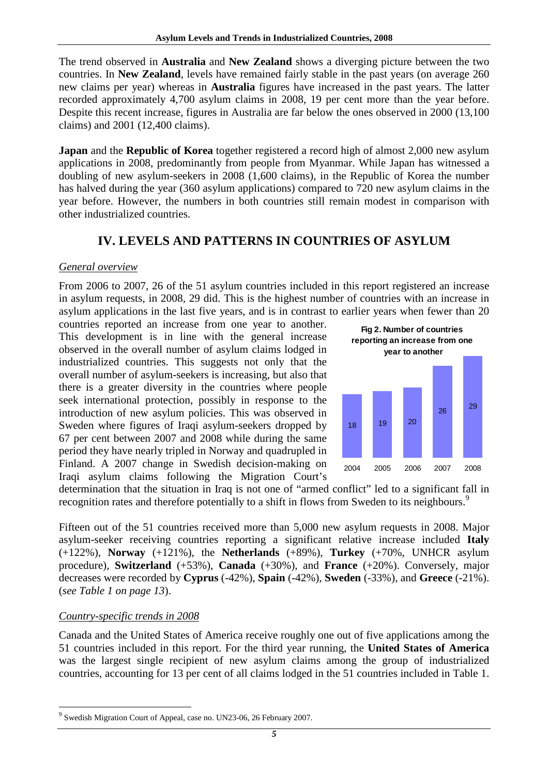The trend observed in **Australia** and **New Zealand** shows a diverging picture between the two countries. In **New Zealand**, levels have remained fairly stable in the past years (on average 260 new claims per year) whereas in **Australia** figures have increased in the past years. The latter recorded approximately 4,700 asylum claims in 2008, 19 per cent more than the year before. Despite this recent increase, figures in Australia are far below the ones observed in 2000 (13,100 claims) and 2001 (12,400 claims).

**Japan** and the **Republic of Korea** together registered a record high of almost 2,000 new asylum applications in 2008, predominantly from people from Myanmar. While Japan has witnessed a doubling of new asylum-seekers in 2008 (1,600 claims), in the Republic of Korea the number has halved during the year (360 asylum applications) compared to 720 new asylum claims in the year before. However, the numbers in both countries still remain modest in comparison with other industrialized countries.

# **IV. LEVELS AND PATTERNS IN COUNTRIES OF ASYLUM**

# *General overview*

From 2006 to 2007, 26 of the 51 asylum countries included in this report registered an increase in asylum requests, in 2008, 29 did. This is the highest number of countries with an increase in asylum applications in the last five years, and is in contrast to earlier years when fewer than 20

countries reported an increase from one year to another. This development is in line with the general increase observed in the overall number of asylum claims lodged in industrialized countries. This suggests not only that the overall number of asylum-seekers is increasing, but also that there is a greater diversity in the countries where people seek international protection, possibly in response to the introduction of new asylum policies. This was observed in Sweden where figures of Iraqi asylum-seekers dropped by 67 per cent between 2007 and 2008 while during the same period they have nearly tripled in Norway and quadrupled in Finland. A 2007 change in Swedish decision-making on Iraqi asylum claims following the Migration Court's



determination that the situation in Iraq is not one of "armed conflict" led to a significant fall in recognition rates and therefore potentially to a shift in flows from Sweden to its neighbours.<sup>9</sup>

Fifteen out of the 51 countries received more than 5,000 new asylum requests in 2008. Major asylum-seeker receiving countries reporting a significant relative increase included **Italy** (+122%), **Norway** (+121%), the **Netherlands** (+89%), **Turkey** (+70%, UNHCR asylum procedure), **Switzerland** (+53%), **Canada** (+30%), and **France** (+20%). Conversely, major decreases were recorded by **Cyprus** (-42%), **Spain** (-42%), **Sweden** (-33%), and **Greece** (-21%). (*see Table 1 on page 13*).

# *Country-specific trends in 2008*

Canada and the United States of America receive roughly one out of five applications among the 51 countries included in this report. For the third year running, the **United States of America** was the largest single recipient of new asylum claims among the group of industrialized countries, accounting for 13 per cent of all claims lodged in the 51 countries included in Table 1.

 $\overline{a}$ <sup>9</sup> Swedish Migration Court of Appeal, case no. UN23-06, 26 February 2007.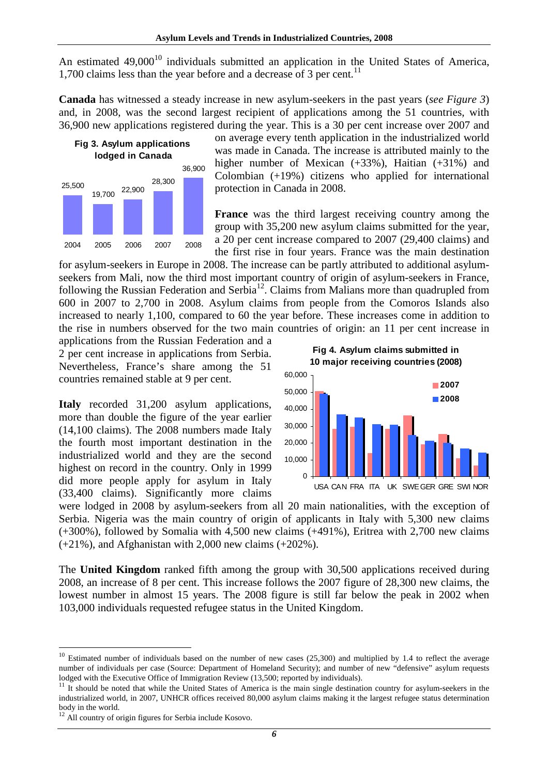An estimated  $49,000^{10}$  individuals submitted an application in the United States of America, 1,700 claims less than the year before and a decrease of 3 per cent. $^{11}$ 

**Canada** has witnessed a steady increase in new asylum-seekers in the past years (*see Figure 3*) and, in 2008, was the second largest recipient of applications among the 51 countries, with 36,900 new applications registered during the year. This is a 30 per cent increase over 2007 and



on average every tenth application in the industrialized world was made in Canada. The increase is attributed mainly to the higher number of Mexican (+33%), Haitian (+31%) and Colombian (+19%) citizens who applied for international protection in Canada in 2008.

**France** was the third largest receiving country among the group with 35,200 new asylum claims submitted for the year, a 20 per cent increase compared to 2007 (29,400 claims) and the first rise in four years. France was the main destination

for asylum-seekers in Europe in 2008. The increase can be partly attributed to additional asylumseekers from Mali, now the third most important country of origin of asylum-seekers in France, following the Russian Federation and Serbia<sup>12</sup>. Claims from Malians more than quadrupled from 600 in 2007 to 2,700 in 2008. Asylum claims from people from the Comoros Islands also increased to nearly 1,100, compared to 60 the year before. These increases come in addition to the rise in numbers observed for the two main countries of origin: an 11 per cent increase in

applications from the Russian Federation and a 2 per cent increase in applications from Serbia. Nevertheless, France's share among the 51 countries remained stable at 9 per cent.

**Italy** recorded 31,200 asylum applications, more than double the figure of the year earlier (14,100 claims). The 2008 numbers made Italy the fourth most important destination in the industrialized world and they are the second highest on record in the country. Only in 1999 did more people apply for asylum in Italy (33,400 claims). Significantly more claims

**Fig 4. Asylum claims submitted in 10 major receiving countries (2008)**



were lodged in 2008 by asylum-seekers from all 20 main nationalities, with the exception of Serbia. Nigeria was the main country of origin of applicants in Italy with 5,300 new claims (+300%), followed by Somalia with 4,500 new claims (+491%), Eritrea with 2,700 new claims  $(+21\%)$ , and Afghanistan with 2,000 new claims  $(+202\%)$ .

The **United Kingdom** ranked fifth among the group with 30,500 applications received during 2008, an increase of 8 per cent. This increase follows the 2007 figure of 28,300 new claims, the lowest number in almost 15 years. The 2008 figure is still far below the peak in 2002 when 103,000 individuals requested refugee status in the United Kingdom.

 $10$  Estimated number of individuals based on the number of new cases (25,300) and multiplied by 1.4 to reflect the average number of individuals per case (Source: Department of Homeland Security); and number of new "defensive" asylum requests lodged with the Executive Office of Immigration Review (13,500; reported by individuals).

 $11$  It should be noted that while the United States of America is the main single destination country for asylum-seekers in the industrialized world, in 2007, UNHCR offices received 80,000 asylum claims making it the largest refugee status determination body in the world.

<sup>&</sup>lt;sup>12</sup> All country of origin figures for Serbia include Kosovo.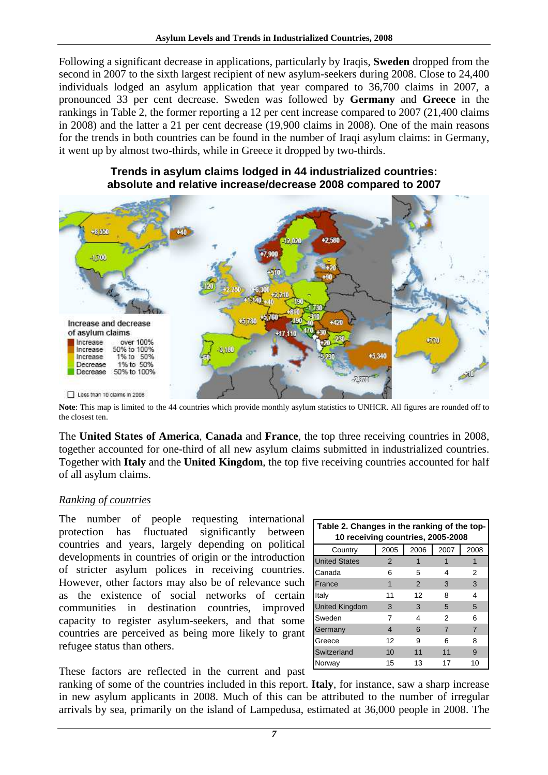Following a significant decrease in applications, particularly by Iraqis, **Sweden** dropped from the second in 2007 to the sixth largest recipient of new asylum-seekers during 2008. Close to 24,400 individuals lodged an asylum application that year compared to 36,700 claims in 2007, a pronounced 33 per cent decrease. Sweden was followed by **Germany** and **Greece** in the rankings in Table 2, the former reporting a 12 per cent increase compared to 2007 (21,400 claims in 2008) and the latter a 21 per cent decrease (19,900 claims in 2008). One of the main reasons for the trends in both countries can be found in the number of Iraqi asylum claims: in Germany, it went up by almost two-thirds, while in Greece it dropped by two-thirds.



# **Trends in asylum claims lodged in 44 industrialized countries: absolute and relative increase/decrease 2008 compared to 2007**

**Note**: This map is limited to the 44 countries which provide monthly asylum statistics to UNHCR. All figures are rounded off to the closest ten.

The **United States of America**, **Canada** and **France**, the top three receiving countries in 2008, together accounted for one-third of all new asylum claims submitted in industrialized countries. Together with **Italy** and the **United Kingdom**, the top five receiving countries accounted for half of all asylum claims.

# *Ranking of countries*

The number of people requesting international protection has fluctuated significantly between countries and years, largely depending on political developments in countries of origin or the introduction of stricter asylum polices in receiving countries. However, other factors may also be of relevance such as the existence of social networks of certain communities in destination countries, improved capacity to register asylum-seekers, and that some countries are perceived as being more likely to grant refugee status than others.

| Table 2. Changes in the ranking of the top-<br>10 receiving countries, 2005-2008 |               |               |      |      |  |  |  |  |  |  |  |
|----------------------------------------------------------------------------------|---------------|---------------|------|------|--|--|--|--|--|--|--|
| Country                                                                          | 2005          | 2006          | 2007 | 2008 |  |  |  |  |  |  |  |
| <b>United States</b>                                                             | $\mathcal{P}$ |               |      |      |  |  |  |  |  |  |  |
| Canada                                                                           | 6             | 5             | 4    | 2    |  |  |  |  |  |  |  |
| France                                                                           | 1             | $\mathcal{P}$ | 3    | 3    |  |  |  |  |  |  |  |
| Italy                                                                            | 11            | 12            | 8    | 4    |  |  |  |  |  |  |  |
| <b>United Kingdom</b>                                                            | 3             | 3             | 5    | 5    |  |  |  |  |  |  |  |
| Sweden                                                                           | 7             | 4             | 2    | 6    |  |  |  |  |  |  |  |
| Germany                                                                          | 4             | 6             | 7    | 7    |  |  |  |  |  |  |  |
| Greece                                                                           | 12            | 9             | 6    | 8    |  |  |  |  |  |  |  |
| Switzerland                                                                      | 10            | 11            | 11   | 9    |  |  |  |  |  |  |  |
| Norway                                                                           | 15            | 13            | 17   | 10   |  |  |  |  |  |  |  |

These factors are reflected in the current and past

ranking of some of the countries included in this report. **Italy**, for instance, saw a sharp increase in new asylum applicants in 2008. Much of this can be attributed to the number of irregular arrivals by sea, primarily on the island of Lampedusa, estimated at 36,000 people in 2008. The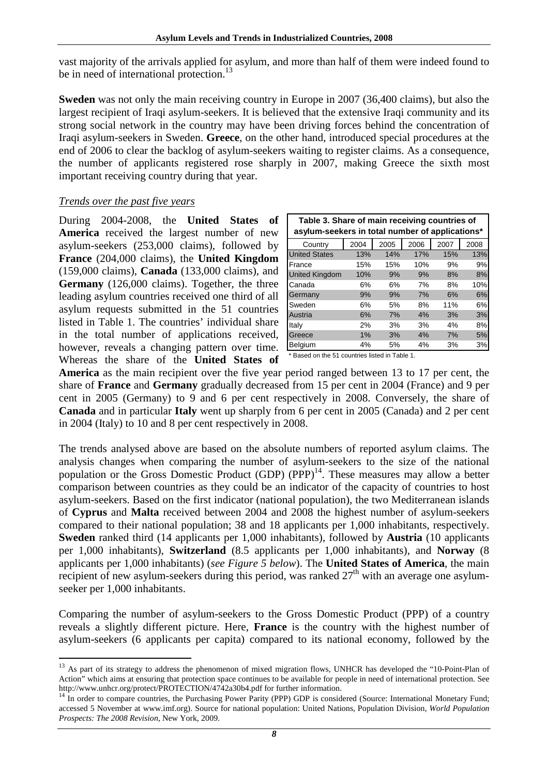vast majority of the arrivals applied for asylum, and more than half of them were indeed found to be in need of international protection.<sup>13</sup>

**Sweden** was not only the main receiving country in Europe in 2007 (36,400 claims), but also the largest recipient of Iraqi asylum-seekers. It is believed that the extensive Iraqi community and its strong social network in the country may have been driving forces behind the concentration of Iraqi asylum-seekers in Sweden. **Greece**, on the other hand, introduced special procedures at the end of 2006 to clear the backlog of asylum-seekers waiting to register claims. As a consequence, the number of applicants registered rose sharply in 2007, making Greece the sixth most important receiving country during that year.

# *Trends over the past five years*

 $\overline{a}$ 

During 2004-2008, the **United States of America** received the largest number of new asylum-seekers (253,000 claims), followed by **France** (204,000 claims), the **United Kingdom** (159,000 claims), **Canada** (133,000 claims), and **Germany** (126,000 claims). Together, the three leading asylum countries received one third of all asylum requests submitted in the 51 countries listed in Table 1. The countries' individual share in the total number of applications received, however, reveals a changing pattern over time. Whereas the share of the **United States of** 

| Table 3. Share of main receiving countries of<br>asylum-seekers in total number of applications* |      |      |      |      |      |  |  |  |  |  |  |
|--------------------------------------------------------------------------------------------------|------|------|------|------|------|--|--|--|--|--|--|
| Country                                                                                          | 2004 | 2005 | 2006 | 2007 | 2008 |  |  |  |  |  |  |
| <b>United States</b>                                                                             | 13%  | 14%  | 17%  | 15%  | 13%  |  |  |  |  |  |  |
| France                                                                                           | 15%  | 15%  | 10%  | 9%   | 9%   |  |  |  |  |  |  |
| <b>United Kingdom</b>                                                                            | 10%  | 9%   | 9%   | 8%   | 8%   |  |  |  |  |  |  |
| Canada                                                                                           | 6%   | 6%   | 7%   | 8%   | 10%  |  |  |  |  |  |  |
| Germany                                                                                          | 9%   | 9%   | 7%   | 6%   | 6%   |  |  |  |  |  |  |
| Sweden                                                                                           | 6%   | 5%   | 8%   | 11%  | 6%   |  |  |  |  |  |  |
| Austria                                                                                          | 6%   | 7%   | 4%   | 3%   | 3%   |  |  |  |  |  |  |
| Italy                                                                                            | 2%   | 3%   | 3%   | 4%   | 8%   |  |  |  |  |  |  |
| Greece                                                                                           | 1%   | 3%   | 4%   | 7%   | 5%   |  |  |  |  |  |  |
| <b>Belgium</b>                                                                                   | 4%   | 5%   | 4%   | 3%   | 3%   |  |  |  |  |  |  |

\* Based on the 51 countries listed in Table 1.

**America** as the main recipient over the five year period ranged between 13 to 17 per cent, the share of **France** and **Germany** gradually decreased from 15 per cent in 2004 (France) and 9 per cent in 2005 (Germany) to 9 and 6 per cent respectively in 2008. Conversely, the share of **Canada** and in particular **Italy** went up sharply from 6 per cent in 2005 (Canada) and 2 per cent in 2004 (Italy) to 10 and 8 per cent respectively in 2008.

The trends analysed above are based on the absolute numbers of reported asylum claims. The analysis changes when comparing the number of asylum-seekers to the size of the national population or the Gross Domestic Product (GDP) (PPP)<sup>14</sup>. These measures may allow a better comparison between countries as they could be an indicator of the capacity of countries to host asylum-seekers. Based on the first indicator (national population), the two Mediterranean islands of **Cyprus** and **Malta** received between 2004 and 2008 the highest number of asylum-seekers compared to their national population; 38 and 18 applicants per 1,000 inhabitants, respectively. **Sweden** ranked third (14 applicants per 1,000 inhabitants), followed by **Austria** (10 applicants per 1,000 inhabitants), **Switzerland** (8.5 applicants per 1,000 inhabitants), and **Norway** (8 applicants per 1,000 inhabitants) (*see Figure 5 below*). The **United States of America**, the main recipient of new asylum-seekers during this period, was ranked  $27<sup>th</sup>$  with an average one asylumseeker per 1,000 inhabitants.

Comparing the number of asylum-seekers to the Gross Domestic Product (PPP) of a country reveals a slightly different picture. Here, **France** is the country with the highest number of asylum-seekers (6 applicants per capita) compared to its national economy, followed by the

<sup>&</sup>lt;sup>13</sup> As part of its strategy to address the phenomenon of mixed migration flows, UNHCR has developed the "10-Point-Plan of Action" which aims at ensuring that protection space continues to be available for people in need of international protection. See http://www.unhcr.org/protect/PROTECTION/4742a30b4.pdf for further information.

 $14$  In order to compare countries, the Purchasing Power Parity (PPP) GDP is considered (Source: International Monetary Fund; accessed 5 November at www.imf.org). Source for national population: United Nations, Population Division, *World Population Prospects: The 2008 Revision*, New York, 2009.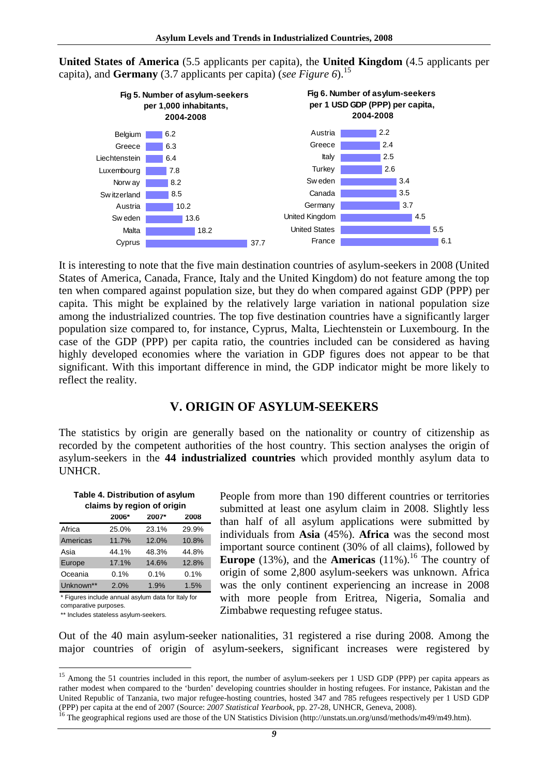

**United States of America** (5.5 applicants per capita), the **United Kingdom** (4.5 applicants per capita), and **Germany** (3.7 applicants per capita) (*see Figure 6*).<sup>15</sup>

It is interesting to note that the five main destination countries of asylum-seekers in 2008 (United States of America, Canada, France, Italy and the United Kingdom) do not feature among the top ten when compared against population size, but they do when compared against GDP (PPP) per capita. This might be explained by the relatively large variation in national population size among the industrialized countries. The top five destination countries have a significantly larger population size compared to, for instance, Cyprus, Malta, Liechtenstein or Luxembourg. In the case of the GDP (PPP) per capita ratio, the countries included can be considered as having highly developed economies where the variation in GDP figures does not appear to be that significant. With this important difference in mind, the GDP indicator might be more likely to reflect the reality.

# **V. ORIGIN OF ASYLUM-SEEKERS**

The statistics by origin are generally based on the nationality or country of citizenship as recorded by the competent authorities of the host country. This section analyses the origin of asylum-seekers in the **44 industrialized countries** which provided monthly asylum data to UNHCR.

| Table 4. Distribution of asylum<br>claims by region of origin |         |       |       |  |  |  |  |  |  |  |  |
|---------------------------------------------------------------|---------|-------|-------|--|--|--|--|--|--|--|--|
|                                                               | 2006*   | 2007* | 2008  |  |  |  |  |  |  |  |  |
| Africa                                                        | 25.0%   | 23.1% | 29.9% |  |  |  |  |  |  |  |  |
| Americas                                                      | 11.7%   | 12.0% | 10.8% |  |  |  |  |  |  |  |  |
| Asia                                                          | 44.1%   | 48.3% | 44.8% |  |  |  |  |  |  |  |  |
| Europe                                                        | 17.1%   | 14.6% | 12.8% |  |  |  |  |  |  |  |  |
| Oceania                                                       | $0.1\%$ | 0.1%  | 0.1%  |  |  |  |  |  |  |  |  |
| Unknown**                                                     | 2.0%    | 1.9%  | 1.5%  |  |  |  |  |  |  |  |  |

\* Figures include annual asylum data for Italy for comparative purposes.

\*\* Includes stateless asylum-seekers.

 $\overline{a}$ 

People from more than 190 different countries or territories submitted at least one asylum claim in 2008. Slightly less than half of all asylum applications were submitted by individuals from **Asia** (45%). **Africa** was the second most important source continent (30% of all claims), followed by **Europe** (13%), and the **Americas** (11%).<sup>16</sup> The country of origin of some 2,800 asylum-seekers was unknown. Africa was the only continent experiencing an increase in 2008 with more people from Eritrea, Nigeria, Somalia and Zimbabwe requesting refugee status.

Out of the 40 main asylum-seeker nationalities, 31 registered a rise during 2008. Among the major countries of origin of asylum-seekers, significant increases were registered by

*9*

<sup>&</sup>lt;sup>15</sup> Among the 51 countries included in this report, the number of asylum-seekers per 1 USD GDP (PPP) per capita appears as rather modest when compared to the 'burden' developing countries shoulder in hosting refugees. For instance, Pakistan and the United Republic of Tanzania, two major refugee-hosting countries, hosted 347 and 785 refugees respectively per 1 USD GDP (PPP) per capita at the end of 2007 (Source: *2007 Statistical Yearbook*, pp. 27-28, UNHCR, Geneva, 2008).

<sup>&</sup>lt;sup>16</sup> The geographical regions used are those of the UN Statistics Division (http://unstats.un.org/unsd/methods/m49/m49.htm).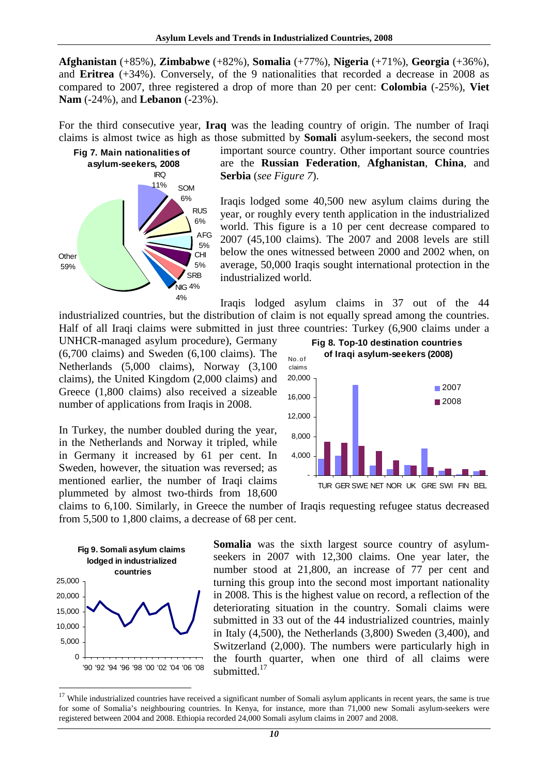**Afghanistan** (+85%), **Zimbabwe** (+82%), **Somalia** (+77%), **Nigeria** (+71%), **Georgia** (+36%), and **Eritrea** (+34%). Conversely, of the 9 nationalities that recorded a decrease in 2008 as compared to 2007, three registered a drop of more than 20 per cent: **Colombia** (-25%), **Viet Nam** (-24%), and **Lebanon** (-23%).

For the third consecutive year, **Iraq** was the leading country of origin. The number of Iraqi claims is almost twice as high as those submitted by **Somali** asylum-seekers, the second most



important source country. Other important source countries are the **Russian Federation**, **Afghanistan**, **China**, and **Serbia** (*see Figure 7*).

Iraqis lodged some 40,500 new asylum claims during the year, or roughly every tenth application in the industrialized world. This figure is a 10 per cent decrease compared to 2007 (45,100 claims). The 2007 and 2008 levels are still below the ones witnessed between 2000 and 2002 when, on average, 50,000 Iraqis sought international protection in the industrialized world.

Iraqis lodged asylum claims in 37 out of the 44 industrialized countries, but the distribution of claim is not equally spread among the countries. Half of all Iraqi claims were submitted in just three countries: Turkey (6,900 claims under a

UNHCR-managed asylum procedure), Germany (6,700 claims) and Sweden (6,100 claims). The Netherlands (5,000 claims), Norway (3,100 claims), the United Kingdom (2,000 claims) and Greece (1,800 claims) also received a sizeable number of applications from Iraqis in 2008.

In Turkey, the number doubled during the year, in the Netherlands and Norway it tripled, while in Germany it increased by 61 per cent. In Sweden, however, the situation was reversed; as mentioned earlier, the number of Iraqi claims plummeted by almost two-thirds from 18,600



claims to 6,100. Similarly, in Greece the number of Iraqis requesting refugee status decreased from 5,500 to 1,800 claims, a decrease of 68 per cent.



 $\overline{a}$ 

**Somalia** was the sixth largest source country of asylumseekers in 2007 with 12,300 claims. One year later, the number stood at 21,800, an increase of 77 per cent and turning this group into the second most important nationality in 2008. This is the highest value on record, a reflection of the deteriorating situation in the country. Somali claims were submitted in 33 out of the 44 industrialized countries, mainly in Italy (4,500), the Netherlands (3,800) Sweden (3,400), and Switzerland (2,000). The numbers were particularly high in the fourth quarter, when one third of all claims were submitted.<sup>17</sup>

<sup>&</sup>lt;sup>17</sup> While industrialized countries have received a significant number of Somali asylum applicants in recent years, the same is true for some of Somalia's neighbouring countries. In Kenya, for instance, more than 71,000 new Somali asylum-seekers were registered between 2004 and 2008. Ethiopia recorded 24,000 Somali asylum claims in 2007 and 2008.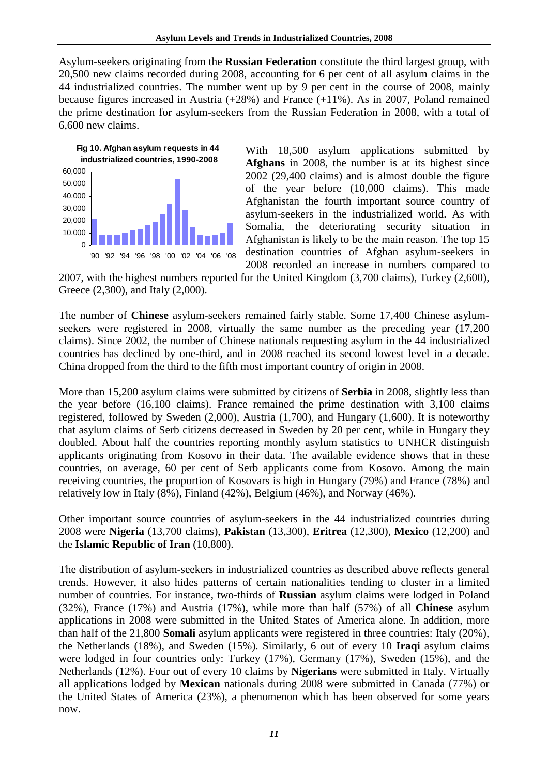Asylum-seekers originating from the **Russian Federation** constitute the third largest group, with 20,500 new claims recorded during 2008, accounting for 6 per cent of all asylum claims in the 44 industrialized countries. The number went up by 9 per cent in the course of 2008, mainly because figures increased in Austria (+28%) and France (+11%). As in 2007, Poland remained the prime destination for asylum-seekers from the Russian Federation in 2008, with a total of 6,600 new claims.



With 18,500 asylum applications submitted by **Afghans** in 2008, the number is at its highest since 2002 (29,400 claims) and is almost double the figure of the year before (10,000 claims). This made Afghanistan the fourth important source country of asylum-seekers in the industrialized world. As with Somalia, the deteriorating security situation in Afghanistan is likely to be the main reason. The top 15 destination countries of Afghan asylum-seekers in 2008 recorded an increase in numbers compared to

2007, with the highest numbers reported for the United Kingdom (3,700 claims), Turkey (2,600), Greece (2,300), and Italy (2,000).

The number of **Chinese** asylum-seekers remained fairly stable. Some 17,400 Chinese asylumseekers were registered in 2008, virtually the same number as the preceding year (17,200 claims). Since 2002, the number of Chinese nationals requesting asylum in the 44 industrialized countries has declined by one-third, and in 2008 reached its second lowest level in a decade. China dropped from the third to the fifth most important country of origin in 2008.

More than 15,200 asylum claims were submitted by citizens of **Serbia** in 2008, slightly less than the year before (16,100 claims). France remained the prime destination with 3,100 claims registered, followed by Sweden (2,000), Austria (1,700), and Hungary (1,600). It is noteworthy that asylum claims of Serb citizens decreased in Sweden by 20 per cent, while in Hungary they doubled. About half the countries reporting monthly asylum statistics to UNHCR distinguish applicants originating from Kosovo in their data. The available evidence shows that in these countries, on average, 60 per cent of Serb applicants come from Kosovo. Among the main receiving countries, the proportion of Kosovars is high in Hungary (79%) and France (78%) and relatively low in Italy (8%), Finland (42%), Belgium (46%), and Norway (46%).

Other important source countries of asylum-seekers in the 44 industrialized countries during 2008 were **Nigeria** (13,700 claims), **Pakistan** (13,300), **Eritrea** (12,300), **Mexico** (12,200) and the **Islamic Republic of Iran** (10,800).

The distribution of asylum-seekers in industrialized countries as described above reflects general trends. However, it also hides patterns of certain nationalities tending to cluster in a limited number of countries. For instance, two-thirds of **Russian** asylum claims were lodged in Poland (32%), France (17%) and Austria (17%), while more than half (57%) of all **Chinese** asylum applications in 2008 were submitted in the United States of America alone. In addition, more than half of the 21,800 **Somali** asylum applicants were registered in three countries: Italy (20%), the Netherlands (18%), and Sweden (15%). Similarly, 6 out of every 10 **Iraqi** asylum claims were lodged in four countries only: Turkey (17%), Germany (17%), Sweden (15%), and the Netherlands (12%). Four out of every 10 claims by **Nigerians** were submitted in Italy. Virtually all applications lodged by **Mexican** nationals during 2008 were submitted in Canada (77%) or the United States of America (23%), a phenomenon which has been observed for some years now.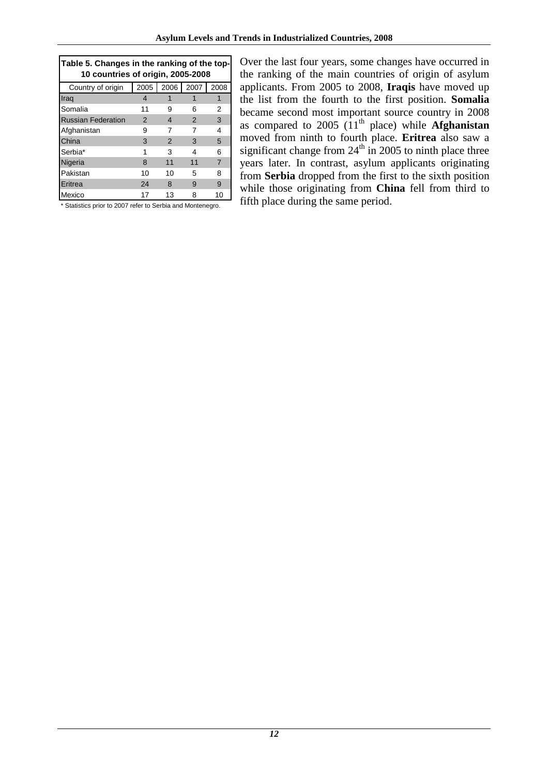| Table 5. Changes in the ranking of the top-<br>10 countries of origin, 2005-2008 |               |                |               |                |  |  |  |  |  |  |
|----------------------------------------------------------------------------------|---------------|----------------|---------------|----------------|--|--|--|--|--|--|
| Country of origin                                                                |               | 2005 2006 2007 |               | 2008           |  |  |  |  |  |  |
| Iraq                                                                             | 4             |                |               | 1              |  |  |  |  |  |  |
| Somalia                                                                          | 11            |                | 6             | 2              |  |  |  |  |  |  |
| <b>Russian Federation</b>                                                        | $\mathcal{P}$ | 4              | $\mathcal{P}$ | 3              |  |  |  |  |  |  |
| Afghanistan                                                                      | 9             |                |               | 4              |  |  |  |  |  |  |
| China                                                                            | 3             | $\mathcal{P}$  | 3             | 5              |  |  |  |  |  |  |
| Serbia*                                                                          | 1             | 3              | 4             | 6              |  |  |  |  |  |  |
| Nigeria                                                                          | 8             | 11             | 11            | $\overline{7}$ |  |  |  |  |  |  |
| Pakistan                                                                         | 10            | 10             | 5             | 8              |  |  |  |  |  |  |
| Eritrea                                                                          | 24            | 8              | 9             | 9              |  |  |  |  |  |  |
| Mexico                                                                           | 17            | 13             | 8             | 10             |  |  |  |  |  |  |

\* Statistics prior to 2007 refer to Serbia and Montenegro.

Over the last four years, some changes have occurred in the ranking of the main countries of origin of asylum applicants. From 2005 to 2008, **Iraqis** have moved up the list from the fourth to the first position. **Somalia** became second most important source country in 2008 as compared to  $2005$  ( $11<sup>th</sup>$  place) while **Afghanistan** moved from ninth to fourth place. **Eritrea** also saw a significant change from  $24<sup>th</sup>$  in 2005 to ninth place three years later. In contrast, asylum applicants originating from **Serbia** dropped from the first to the sixth position while those originating from **China** fell from third to fifth place during the same period.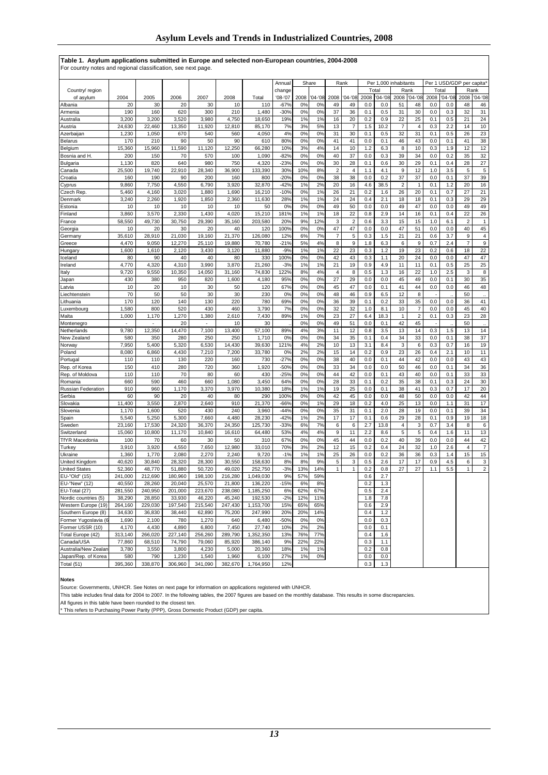#### **Table 1. Asylum applications submitted in Europe and selected non-European countries, 2004-2008**

For country notes and regional classification, see next page.

|                       |         |         |         |         |         |           |             |      |           |                |                         | Per 1,000 inhabitants |             |                         |                |                           |           |              |                           |
|-----------------------|---------|---------|---------|---------|---------|-----------|-------------|------|-----------|----------------|-------------------------|-----------------------|-------------|-------------------------|----------------|---------------------------|-----------|--------------|---------------------------|
|                       |         |         |         |         |         |           | Annual      |      | Share     |                | Rank                    |                       |             |                         |                | Per 1 USD/GDP per capita* |           |              |                           |
| Country/ region       |         |         |         |         |         |           | change      |      |           |                |                         |                       | Total       |                         | Rank           |                           | Total     |              | Rank                      |
| of asylum             | 2004    | 2005    | 2006    | 2007    | 2008    | Total     | $'08 - '07$ | 2008 | $04 - 08$ | 2008           | $'04 -'08$              | 2008                  | $'04 - '08$ | 2008                    | $'04 - '08$    | 2008                      | $04 - 08$ | 2008         | $'04 - '08$               |
| Albania               | 20      | 30      | 20      | 30      | 10      | 110       | $-67%$      | 0%   | 0%        | 49             | 49                      | 0.0                   | 0.0         | 51                      | 48             | 0.0                       | 0.0       | 48           | 46                        |
| Armenia               | 190     | 160     | 620     | 300     | 210     | 1,480     | $-30%$      | 0%   | 0%        | 37             | 36                      | 0.1                   | 0.5         | 31                      | 30             | 0.0                       | 0.3       | 32           | 31                        |
| Australia             | 3,200   | 3,200   | 3,520   | 3,980   | 4,750   | 18,650    | 19%         | 1%   | 1%        | 16             | 20                      | 0.2                   | 0.9         | 22                      | 25             | 0.1                       | 0.5       | 21           | 24                        |
| Austria               | 24,630  | 22,460  | 13,350  | 11,920  | 12,810  | 85,170    | 7%          | 3%   | 5%        | 13             | 7                       | 1.5                   | 10.2        | $\overline{7}$          | $\overline{4}$ | 0.3                       | 2.2       | 14           | 10                        |
| Azerbaijan            | 1,230   | 1,050   | 670     | 540     | 560     | 4,050     | 4%          | 0%   | 0%        | 31             | 30                      | 0.1                   | 0.5         | 32                      | 31             | 0.1                       | 0.5       | 26           | 23                        |
| <b>Belarus</b>        | 170     | 210     | 90      | 50      | 90      | 610       | 80%         | 0%   | 0%        | 41             | 41                      | 0.0                   | 0.1         | 46                      | 43             | 0.0                       | 0.1       | 41           | 38                        |
| Belgium               | 15,360  | 15,960  | 11,590  | 11,120  | 12,250  | 66,280    | 10%         | 3%   | 4%        | 14             | 10                      | 1.2                   | 6.3         | 8                       | 10             | 0.3                       | 1.9       | 12           | 12                        |
| Bosnia and H.         | 200     | 150     | 70      | 570     | 100     | 1,090     | $-82%$      | 0%   | 0%        | 40             | 37                      | 0.0                   | 0.3         | 39                      | 34             | 0.0                       | 0.2       | 35           | 32                        |
| Bulgaria              | 1,130   | 820     | 640     | 980     | 750     | 4,320     | $-23%$      | 0%   | 0%        | 30             | 28                      | 0.1                   | 0.6         | 30                      | 29             | 0.1                       | 0.4       | 28           | 27                        |
| Canada                | 25,500  | 19,740  | 22,910  | 28,340  | 36,900  | 133.390   | 30%         | 10%  | 8%        | $\overline{2}$ | 4                       | 1.1                   | 4.1         | 9                       | 12             | 1.0                       | 3.5       | 5            | 5                         |
| Croatia               | 160     | 190     | 90      | 200     | 160     | 800       | $-20%$      | 0%   | 0%        | 38             | 38                      | 0.0                   | 0.2         | 37                      | 37             | 0.0                       | 0.1       | 37           | 39                        |
| Cyprus                | 9,860   | 7,750   | 4,550   | 6,790   | 3,920   | 32,870    | $-42%$      | 1%   | 2%        | 20             | 16                      | 4.6                   | 38.5        | $\overline{\mathbf{c}}$ | $\mathbf{1}$   | 0.1                       | 1.2       | 20           | 16                        |
| Czech Rep             | 5,460   | 4,160   | 3,020   | 1,880   | 1,690   | 16,210    | $-10%$      | 0%   | 1%        | 26             | 21                      | 0.2                   | 1.6         | 26                      | 20             | 0.1                       | 0.7       | 27           | 21                        |
| Denmark               | 3,240   | 2,260   | 1,920   | 1,850   | 2,360   | 11,630    | 28%         | 1%   | 1%        | 24             | 24                      | 0.4                   | 2.1         | 18                      | 18             | 0.1                       | 0.3       | 29           | 29                        |
| Estonia               | 10      | 10      | 10      | 10      | 10      | 50        | 0%          | 0%   | 0%        | 49             | 50                      | 0.0                   | 0.0         | 49                      | 47             | 0.0                       | 0.0       | 49           | 49                        |
| Finland               | 3,860   | 3,570   | 2,330   | 1,430   | 4,020   | 15,210    | 181%        | 1%   | 1%        | 18             | 22                      | 0.8                   | 2.9         | 14                      | 16             | 0.1                       | 0.4       | 22           | 26                        |
| France                | 58,550  | 49,730  | 30,750  | 29,390  | 35,160  | 203,580   | 20%         | 9%   | 12%       | 3              | $\overline{\mathbf{c}}$ | 0.6                   | 3.3         | 15                      | 15             | 1.0                       | 6.1       | 2            | $\mathbf{1}$              |
| Georgia               | 10      | 20      | 30      | 20      | 40      | 120       | 100%        | 0%   | 0%        | 47             | 47                      | 0.0                   | 0.0         | 47                      | 51             | 0.0                       | 0.0       | 40           | 45                        |
| Germany               | 35,610  | 28,910  | 21,030  | 19,160  | 21,370  | 126,080   | 12%         | 6%   | 7%        | 7              | 5                       | 0.3                   | 1.5         | 21                      | 21             | 0.6                       | 3.7       | 9            | $\overline{\mathbf{4}}$   |
| Greece                | 4,470   | 9,050   | 12,270  | 25,110  | 19,880  | 70,780    | $-21%$      | 5%   | 4%        | 8              | 9                       | 1.8                   | 6.3         | 6                       | 9              | 0.7                       | 2.4       | 7            | $\boldsymbol{9}$          |
| Hungary               | 1,600   | 1,610   | 2,120   | 3,430   | 3,120   | 11,880    | $-9%$       | 1%   | 1%        | 22             | 23                      | 0.3                   | 1.2         | 19                      | 23             | 0.2                       | 0.6       | 18           | 22                        |
| Iceland               | 80      | 90      | 40      | 40      | 80      | 330       | 100%        | 0%   | 0%        | 42             | 43                      | 0.3                   | 1.1         | 20                      | 24             | 0.0                       | 0.0       | 47           | 47                        |
| Ireland               | 4,770   | 4,320   | 4,310   | 3,990   | 3,870   | 21,260    | $-3%$       | 1%   | 1%        | 21             | 19                      | 0.9                   | 4.9         | 11                      | 11             | 0.1                       | 0.5       | 25           | 25                        |
| Italy                 | 9,720   | 9,550   | 10,350  | 14,050  | 31,160  | 74,830    | 122%        | 8%   | 4%        | 4              | 8                       | 0.5                   | 1.3         | 16                      | 22             | 1.0                       | 2.5       | 3            | 8                         |
| Japan                 | 430     | 380     | 950     | 820     | 1,600   | 4,180     | 95%         | 0%   | 0%        | 27             | 29                      | 0.0                   | 0.0         | 45                      | 49             | 0.0                       | 0.1       | 30           | 35                        |
| Latvia                | 10      | 20      | 10      | 30      | 50      | 120       | 67%         | 0%   | 0%        | 45             | 47                      | 0.0                   | 0.1         | 41                      | 44             | 0.0                       | 0.0       | 46           | 48                        |
| Liechtenstein         | 70      | 50      | 50      | 30      | 30      | 230       | 0%          | 0%   | 0%        | 48             | 46                      | 0.9                   | 6.5         | 12                      | 8              |                           |           | 50           |                           |
| Lithuania             | 170     | 120     | 140     | 130     | 220     | 780       | 69%         | 0%   | 0%        | 36             | 39                      | 0.1                   | 0.2         | 33                      | 35             | 0.0                       | 0.0       | 36           | 41                        |
| Luxembourg            | 1,580   | 800     | 520     | 430     | 460     | 3,790     | 7%          | 0%   | 0%        | 32             | 32                      | 1.0                   | 8.1         | 10                      | 7              | 0.0                       | 0.0       | 45           | 40                        |
| Malta                 | 1,000   | 1,170   | 1,270   | 1,380   | 2,610   | 7,430     | 89%         | 1%   | 0%        | 23             | 27                      | 6.4                   | 18.3        | $\mathbf{1}$            | $\sqrt{2}$     | 0.1                       | 0.3       | 23           | 28                        |
| Montenegro            |         | ä,      | 20      | ٠       | 10      | 30        |             | 0%   | 0%        | 49             | 51                      | 0.0                   | 0.1         | 42                      | 45             |                           |           | 50           |                           |
| Netherlands           | 9,780   | 12,350  | 14,470  | 7,100   | 13,400  | 57,100    | 89%         | 4%   | 3%        | 11             | 12                      | 0.8                   | 3.5         | 13                      | 14             | 0.3                       | 1.5       | 13           | 14                        |
| New Zealand           | 580     | 350     | 280     | 250     | 250     | 1,710     | 0%          | 0%   | 0%        | 34             | 35                      | 0.1                   | 0.4         | 34                      | 33             | 0.0                       | 0.1       | 38           | 37                        |
| Norway                | 7,950   | 5,400   | 5,320   | 6,530   | 14,430  | 39,630    | 121%        | 4%   | 2%        | 10             | 13                      | 3.1                   | 8.4         | 3                       | 6              | 0.3                       | 0.7       | 16           | 19                        |
| Poland                | 8,080   | 6,860   | 4,430   | 7,210   | 7,200   | 33,780    | 0%          | 2%   | 2%        | 15             | 14                      | 0.2                   | 0.9         | 23                      | 26             | 0.4                       | 2.1       | 10           | 11                        |
| Portugal              | 110     | 110     | 130     | 220     | 160     | 730       | $-27%$      | 0%   | 0%        | 38             | 40                      | 0.0                   | 0.1         | 44                      | 42             | 0.0                       | 0.0       | 43           | 43                        |
| Rep. of Korea         | 150     | 410     | 280     | 720     | 360     | 1,920     | $-50%$      | 0%   | 0%        | 33             | 34                      | 0.0                   | 0.0         | 50                      | 46             | 0.0                       | 0.1       | 34           | 36                        |
| Rep. of Moldova       | 110     | 110     | 70      | 80      | 60      | 430       | $-25%$      | 0%   | 0%        | 44             | 42                      | 0.0                   | 0.1         | 43                      | 40             | 0.0                       | 0.1       | 33           | 33                        |
| Romania               | 660     | 590     | 460     | 660     | 1,080   | 3,450     | 64%         | 0%   | 0%        | 28             | 33                      | 0.1                   | 0.2         | 35                      | 38             | 0.1                       | 0.3       | 24           | 30                        |
| Russian Federation    | 910     | 960     | 1,170   | 3,370   | 3,970   | 10,380    | 18%         | 1%   | 1%        | 19             | 25                      | 0.0                   | 0.1         | 38                      | 41             | 0.3                       | 0.7       | 17           | 20                        |
| Serbia                | 60      | 90      | 20      | 40      | 80      | 290       | 100%        | 0%   | 0%        | 42             | 45                      | 0.0                   | 0.0         | 48                      | 50             | 0.0                       | 0.0       | 42           | 44                        |
| Slovakia              | 11,400  | 3,550   | 2,870   | 2,640   | 910     | 21,370    | -66%        | 0%   | 1%        | 29             | 18                      | 0.2                   | 4.0         | 25                      | 13             | 0.0                       | 1.1       | 31           | 17                        |
| Slovenia              | 1,170   | 1,600   | 520     | 430     | 240     | 3,960     | $-44%$      | 0%   | 0%        | 35             | 31                      | 0.1                   | 2.0         | 28                      | 19             | 0.0                       | 0.1       | 39           | 34                        |
| Spain                 | 5,540   | 5,250   | 5,300   | 7,660   | 4,480   | 28,230    | $-42%$      | 1%   | 2%        | 17             | 17                      | 0.1                   | 0.6         | 29                      | 28             | 0.1                       | 0.9       | 19           | 18                        |
| Sweden                | 23,160  | 17,530  | 24,320  | 36,370  | 24,350  | 125,730   | -33%        | 6%   | 7%        | 6              | 6                       | 2.7                   | 13.8        | 4                       | 3              | 0.7                       | 3.4       | 8            | 6                         |
| Switzerland           | 15,060  | 10,800  | 11,170  | 10,840  | 16,610  | 64,480    | 53%         | 4%   | 4%        | 9              | 11                      | 2.2                   | 8.6         | 5                       | 5              | 0.4                       | 1.6       | 11           | 13                        |
| <b>TfYR Macedonia</b> | 100     | 70      | 60      | 30      | 50      | 310       | 67%         | 0%   | 0%        | 45             | 44                      | 0.0                   | 0.2         | 40                      | 39             | 0.0                       | 0.0       | 44           | 42                        |
| Turkey                | 3,910   | 3,920   | 4,550   | 7,650   | 12,980  | 33,010    | 70%         | 3%   | 2%        | 12             | 15                      | 0.2                   | 0.4         | 24                      | 32             | 1.0                       | 2.6       | 4            | $\overline{7}$            |
| Ukraine               | 1,360   | 1,770   | 2,080   | 2,270   | 2,240   | 9,720     | $-1%$       | 1%   | 1%        | 25             | 26                      | 0.0                   | 0.2         | 36                      | 36             | 0.3                       | 1.4       | 15           | 15                        |
| United Kingdom        | 40,620  | 30,840  | 28,320  | 28,300  | 30,550  | 158,630   | 8%          | 8%   | 9%        | 5              | 3                       | 0.5                   | 2.6         | 17                      | 17             | 0.9                       | 4.5       | 6            | $\ensuremath{\mathsf{3}}$ |
| <b>United States</b>  | 52,360  | 48,770  | 51,880  | 50,720  | 49,020  | 252,750   | $-3%$       | 13%  | 14%       | $\mathbf{1}$   | $\overline{1}$          | 0.2                   | 0.8         | 27                      | 27             | 1.1                       | 5.5       | $\mathbf{1}$ | $\boldsymbol{2}$          |
| EU-"Old" (15)         | 241,000 | 212,690 | 180,960 | 198,100 | 216,280 | 1,049,030 | 9%          | 57%  | 59%       |                |                         | 0.6                   | 2.7         |                         |                |                           |           |              |                           |
| EU-"New" (12)         | 40,550  | 28,260  | 20,040  | 25,570  | 21,800  | 136,220   | $-15%$      | 6%   | 8%        |                |                         | 0.2                   | 1.3         |                         |                |                           |           |              |                           |
| EU-Total (27)         | 281,550 | 240,950 | 201,000 | 223,670 | 238,080 | 1,185,250 | 6%          | 62%  | 67%       |                |                         | 0.5                   | 2.4         |                         |                |                           |           |              |                           |
| Nordic countries (5)  | 38,290  | 28,850  | 33,930  | 46,220  | 45,240  | 192,530   | $-2%$       | 12%  | 11%       |                |                         | 1.8                   | 7.8         |                         |                |                           |           |              |                           |
| Western Europe (19)   | 264,160 | 229,030 | 197,540 | 215,540 | 247,430 | 1,153,700 | 15%         | 65%  | 65%       |                |                         | 0.6                   | 2.9         |                         |                |                           |           |              |                           |
| Southern Europe (8)   | 34,630  | 36,830  | 38,440  | 62,890  | 75,200  | 247,990   | 20%         | 20%  | 14%       |                |                         | 0.4                   | 1.2         |                         |                |                           |           |              |                           |
| Former Yugoslavia (6  | 1,690   | 2,100   | 780     | 1,270   | 640     | 6,480     | $-50%$      | 0%   | 0%        |                |                         | 0.0                   | 0.3         |                         |                |                           |           |              |                           |
| Former USSR (10)      | 4,170   | 4,430   | 4,890   | 6,800   | 7,450   | 27,740    | 10%         | 2%   | 2%        |                |                         | 0.0                   | 0.1         |                         |                |                           |           |              |                           |
| Total Europe (42)     | 313,140 | 266,020 | 227,140 | 256,260 | 289,790 | 1,352,350 | 13%         | 76%  | 77%       |                |                         | 0.4                   | 1.6         |                         |                |                           |           |              |                           |
| Canada/USA            | 77,860  | 68,510  | 74,790  | 79,060  | 85,920  | 386,140   | 9%          | 22%  | 22%       |                |                         | 0.3                   | 1.1         |                         |                |                           |           |              |                           |
| Australia/New Zealan  | 3,780   | 3,550   | 3,800   | 4,230   | 5,000   | 20,360    | 18%         | 1%   | 1%        |                |                         | 0.2                   | 0.8         |                         |                |                           |           |              |                           |
| Japan/Rep. of Korea   | 580     | 790     | 1,230   | 1,540   | 1,960   | 6,100     | 27%         | 1%   | 0%        |                |                         | 0.0                   | 0.0         |                         |                |                           |           |              |                           |
| Total (51)            | 395,360 | 338,870 | 306,960 | 341,090 | 382,670 | 1,764,950 | 12%         |      |           |                |                         | 0.3                   | 1.3         |                         |                |                           |           |              |                           |

#### **Notes**

Source: Governments, UNHCR. See Notes on next page for information on applications registered with UNHCR.

This table includes final data for 2004 to 2007. In the following tables, the 2007 figures are based on the monthly database. This results in some discrepancies.

All figures in this table have been rounded to the closest ten.

\* This refers to Purchasing Power Parity (PPP), Gross Domestic Product (GDP) per capita.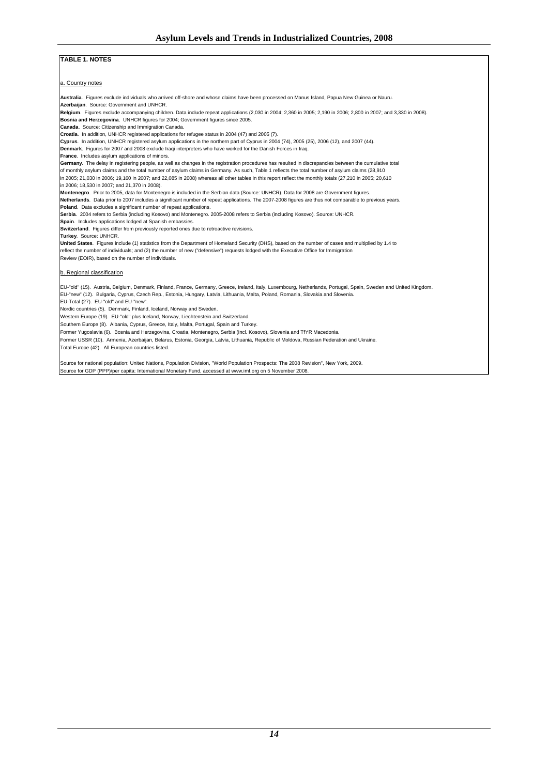#### **TABLE 1. NOTES**

a. Country notes

**Australia**. Figures exclude individuals who arrived off-shore and whose claims have been processed on Manus Island, Papua New Guinea or Nauru.

**Azerbaijan**. Source: Government and UNHCR.

**Belgium**. Figures exclude accompanying children. Data include repeat applications (2,030 in 2004; 2,360 in 2005; 2,190 in 2006; 2,800 in 2007; and 3,330 in 2008). **Bosnia and Herzegovina**. UNHCR figures for 2004; Government figures since 2005.

**Canada**. Source: Citizenship and Immigration Canada.

**Croatia**. In addition, UNHCR registered applications for refugee status in 2004 (47) and 2005 (7).

**Cyprus**. In addition, UNHCR registered asylum applications in the northern part of Cyprus in 2004 (74), 2005 (25), 2006 (12), and 2007 (44). **Denmark**. Figures for 2007 and 2008 exclude Iraqi interpreters who have worked for the Danish Forces in Iraq.

**France.** Includes asylum applications of minors.

**Germany**. The delay in registering people, as well as changes in the registration procedures has resulted in discrepancies between the cumulative total

of monthly asylum claims and the total number of asylum claims in Germany. As such, Table 1 reflects the total number of asylum claims (28,910 in 2005; 21,030 in 2006; 19,160 in 2007; and 22,085 in 2008) whereas all other tables in this report reflect the monthly totals (27,210 in 2005; 20,610

in 2006; 18,530 in 2007; and 21,370 in 2008).

**Montenegro**. Prior to 2005, data for Montenegro is included in the Serbian data (Source: UNHCR). Data for 2008 are Government figures.

Netherlands. Data prior to 2007 includes a significant number of repeat applications. The 2007-2008 figures are thus not comparable to previous years. **Poland**. Data excludes a significant number of repeat applications.

**Serbia**. 2004 refers to Serbia (including Kosovo) and Montenegro. 2005-2008 refers to Serbia (including Kosovo). Source: UNHCR.

**Spain**. Includes applications lodged at Spanish embassies.

**Switzerland**. Figures differ from previously reported ones due to retroactive revisions.

**Turkey**. Source: UNHCR.

**United States**. Figures include (1) statistics from the Department of Homeland Security (DHS), based on the number of cases and multiplied by 1.4 to reflect the number of individuals; and (2) the number of new ("defensive") requests lodged with the Executive Office for Immigration

Review (EOIR), based on the number of individuals.

#### b. Regional classification

EU-"old" (15). Austria, Belgium, Denmark, Finland, France, Germany, Greece, Ireland, Italy, Luxembourg, Netherlands, Portugal, Spain, Sweden and United Kingdom. EU-"new" (12). Bulgaria, Cyprus, Czech Rep., Estonia, Hungary, Latvia, Lithuania, Malta, Poland, Romania, Slovakia and Slovenia.

EU-Total (27). EU-"old" and EU-"new".

Nordic countries (5). Denmark, Finland, Iceland, Norway and Sweden.

Western Europe (19). EU-"old" plus Iceland, Norway, Liechtenstein and Switzerland.

Southern Europe (8). Albania, Cyprus, Greece, Italy, Malta, Portugal, Spain and Turkey.

Former Yugoslavia (6). Bosnia and Herzegovina, Croatia, Montenegro, Serbia (incl. Kosovo), Slovenia and TfYR Macedonia.

Former USSR (10). Armenia, Azerbaijan, Belarus, Estonia, Georgia, Latvia, Lithuania, Republic of Moldova, Russian Federation and Ukraine.

Total Europe (42). All European countries listed.

Source for national population: United Nations, Population Division, "World Population Prospects: The 2008 Revision", New York, 2009. Source for GDP (PPP)/per capita: International Monetary Fund, accessed at www.imf.org on 5 November 2008.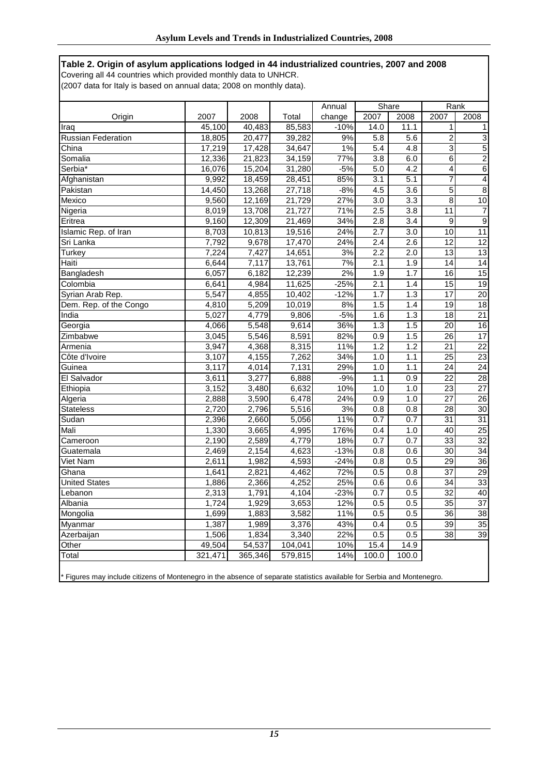**Table 2. Origin of asylum applications lodged in 44 industrialized countries, 2007 and 2008** Covering all 44 countries which provided monthly data to UNHCR.

(2007 data for Italy is based on annual data; 2008 on monthly data).

|                           |         |         |         | Annual | Share            |                  | Rank            |                 |
|---------------------------|---------|---------|---------|--------|------------------|------------------|-----------------|-----------------|
| Origin                    | 2007    | 2008    | Total   | change | 2007             | 2008             | 2007            | 2008            |
| Iraq                      | 45.100  | 40,483  | 85,583  | $-10%$ | 14.0             | 11.1             | 1               | 1               |
| <b>Russian Federation</b> | 18,805  | 20,477  | 39,282  | 9%     | 5.8              | 5.6              | $\overline{2}$  | 3               |
| China                     | 17,219  | 17,428  | 34,647  | 1%     | 5.4              | 4.8              | $\overline{3}$  | 5               |
| Somalia                   | 12,336  | 21,823  | 34,159  | 77%    | $\overline{3.8}$ | 6.0              | $\overline{6}$  | $\overline{2}$  |
| Serbia <sup>*</sup>       | 16,076  | 15,204  | 31,280  | $-5%$  | 5.0              | 4.2              | $\overline{4}$  | 6               |
| Afghanistan               | 9,992   | 18,459  | 28,451  | 85%    | $\overline{3.1}$ | $\overline{5.1}$ | $\overline{7}$  | 4               |
| Pakistan                  | 14,450  | 13,268  | 27,718  | $-8%$  | 4.5              | 3.6              | 5               | 8               |
| Mexico                    | 9,560   | 12,169  | 21,729  | 27%    | 3.0              | $\overline{3.3}$ | $\overline{8}$  | 10              |
| Nigeria                   | 8,019   | 13,708  | 21,727  | 71%    | 2.5              | 3.8              | $\overline{11}$ | $\overline{7}$  |
| Eritrea                   | 9,160   | 12,309  | 21,469  | 34%    | 2.8              | 3.4              | 9               | $\overline{9}$  |
| Islamic Rep. of Iran      | 8,703   | 10,813  | 19,516  | 24%    | 2.7              | 3.0              | 10              | 11              |
| Sri Lanka                 | 7,792   | 9,678   | 17,470  | 24%    | 2.4              | 2.6              | 12              | $\overline{12}$ |
| Turkey                    | 7,224   | 7,427   | 14,651  | 3%     | 2.2              | 2.0              | 13              | $\overline{13}$ |
| Haiti                     | 6,644   | 7,117   | 13,761  | 7%     | 2.1              | 1.9              | 14              | 14              |
| Bangladesh                | 6,057   | 6,182   | 12,239  | 2%     | 1.9              | 1.7              | 16              | $\overline{15}$ |
| Colombia                  | 6,641   | 4,984   | 11,625  | $-25%$ | $\overline{2.1}$ | 1.4              | 15              | 19              |
| Syrian Arab Rep.          | 5,547   | 4,855   | 10,402  | $-12%$ | 1.7              | 1.3              | $\overline{17}$ | $\overline{20}$ |
| Dem. Rep. of the Congo    | 4,810   | 5,209   | 10,019  | 8%     | 1.5              | 1.4              | 19              | 18              |
| India                     | 5,027   | 4,779   | 9,806   | $-5%$  | 1.6              | 1.3              | $\overline{18}$ | $\overline{21}$ |
| Georgia                   | 4,066   | 5,548   | 9,614   | 36%    | 1.3              | 1.5              | 20              | 16              |
| Zimbabwe                  | 3,045   | 5,546   | 8,591   | 82%    | $\overline{0.9}$ | 1.5              | $\overline{26}$ | 17              |
| Armenia                   | 3,947   | 4,368   | 8,315   | 11%    | 1.2              | 1.2              | 21              | 22              |
| Côte d'Ivoire             | 3,107   | 4,155   | 7,262   | 34%    | 1.0              | 1.1              | $\overline{25}$ | $\overline{23}$ |
| Guinea                    | 3,117   | 4,014   | 7,131   | 29%    | 1.0              | 1.1              | $\overline{24}$ | $\overline{24}$ |
| El Salvador               | 3,611   | 3,277   | 6,888   | $-9%$  | 1.1              | 0.9              | 22              | $\overline{28}$ |
| Ethiopia                  | 3,152   | 3,480   | 6,632   | 10%    | 1.0              | 1.0              | 23              | 27              |
| Algeria                   | 2,888   | 3,590   | 6,478   | 24%    | 0.9              | 1.0              | $\overline{27}$ | $\overline{26}$ |
| <b>Stateless</b>          | 2,720   | 2,796   | 5,516   | 3%     | 0.8              | 0.8              | $\overline{28}$ | $\overline{30}$ |
| Sudan                     | 2,396   | 2,660   | 5,056   | 11%    | 0.7              | 0.7              | 31              | 31              |
| Mali                      | 1,330   | 3,665   | 4,995   | 176%   | 0.4              | 1.0              | 40              | 25              |
| Cameroon                  | 2,190   | 2,589   | 4,779   | 18%    | 0.7              | 0.7              | $\overline{33}$ | $\overline{32}$ |
| Guatemala                 | 2,469   | 2,154   | 4,623   | $-13%$ | 0.8              | 0.6              | 30              | 34              |
| Viet Nam                  | 2,611   | 1,982   | 4,593   | $-24%$ | 0.8              | 0.5              | 29              | 36              |
| Ghana                     | 1,641   | 2,821   | 4,462   | 72%    | 0.5              | 0.8              | $\overline{37}$ | $\overline{29}$ |
| <b>United States</b>      | 1,886   | 2,366   | 4,252   | 25%    | 0.6              | 0.6              | 34              | 33              |
| Lebanon                   | 2,313   | 1,791   | 4,104   | $-23%$ | 0.7              | 0.5              | 32              | 40              |
| Albania                   | 1,724   | 1,929   | 3,653   | 12%    | 0.5              | 0.5              | $\overline{35}$ | $\overline{37}$ |
| Mongolia                  | 1,699   | 1,883   | 3,582   | 11%    | 0.5              | 0.5              | 36              | 38              |
| Myanmar                   | 1,387   | 1,989   | 3,376   | 43%    | 0.4              | 0.5              | 39              | 35              |
| Azerbaijan                | 1,506   | 1,834   | 3,340   | 22%    | 0.5              | 0.5              | 38              | 39              |
| Other                     | 49,504  | 54,537  | 104,041 | 10%    | 15.4             | 14.9             |                 |                 |
| Total                     | 321,471 | 365,346 | 579,815 | 14%    | 100.0            | 100.0            |                 |                 |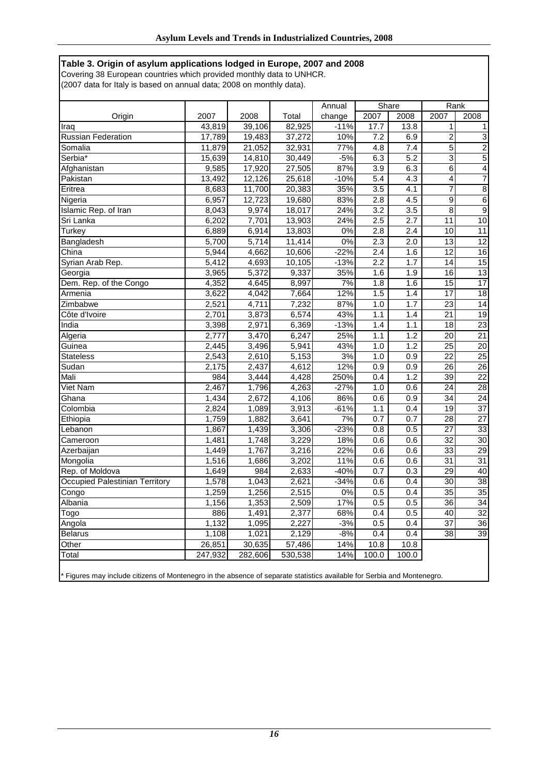## **Table 3. Origin of asylum applications lodged in Europe, 2007 and 2008**

Covering 38 European countries which provided monthly data to UNHCR. (2007 data for Italy is based on annual data; 2008 on monthly data).

|                                |         |         |         | Annual | Share            |                  | Rank            |                 |  |
|--------------------------------|---------|---------|---------|--------|------------------|------------------|-----------------|-----------------|--|
| Origin                         | 2007    | 2008    | Total   | change | 2007             | 2008             | 2007            | 2008            |  |
| Iraq                           | 43,819  | 39,106  | 82,925  | $-11%$ | 17.7             | 13.8             | $\mathbf{1}$    | 1               |  |
| <b>Russian Federation</b>      | 17,789  | 19,483  | 37,272  | 10%    | 7.2              | 6.9              | $\overline{2}$  | 3               |  |
| Somalia                        | 11,879  | 21,052  | 32,931  | 77%    | 4.8              | 7.4              | $\overline{5}$  | $\overline{2}$  |  |
| Serbia*                        | 15,639  | 14,810  | 30,449  | $-5%$  | 6.3              | 5.2              | $\overline{3}$  | 5               |  |
| Afghanistan                    | 9,585   | 17,920  | 27,505  | 87%    | 3.9              | 6.3              | $\overline{6}$  | $\overline{4}$  |  |
| Pakistan                       | 13,492  | 12,126  | 25,618  | $-10%$ | 5.4              | 4.3              | 4               | $\overline{7}$  |  |
| Eritrea                        | 8,683   | 11,700  | 20,383  | 35%    | 3.5              | 4.1              | $\overline{7}$  | 8               |  |
| Nigeria                        | 6,957   | 12,723  | 19,680  | 83%    | 2.8              | 4.5              | 9               | $\overline{6}$  |  |
| Islamic Rep. of Iran           | 8,043   | 9,974   | 18,017  | 24%    | 3.2              | 3.5              | $\overline{8}$  | $\overline{9}$  |  |
| Sri Lanka                      | 6,202   | 7,701   | 13,903  | 24%    | 2.5              | $\overline{2.7}$ | 11              | 10              |  |
| Turkey                         | 6,889   | 6,914   | 13,803  | 0%     | 2.8              | 2.4              | 10              | 11              |  |
| Bangladesh                     | 5,700   | 5,714   | 11,414  | 0%     | 2.3              | $\overline{2.0}$ | $\overline{13}$ | $\overline{12}$ |  |
| China                          | 5,944   | 4,662   | 10,606  | $-22%$ | $\overline{2.4}$ | 1.6              | $\overline{12}$ | 16              |  |
| Syrian Arab Rep.               | 5,412   | 4,693   | 10,105  | $-13%$ | 2.2              | 1.7              | 14              | 15              |  |
| Georgia                        | 3.965   | 5,372   | 9,337   | 35%    | 1.6              | 1.9              | 16              | $\overline{13}$ |  |
| Dem. Rep. of the Congo         | 4,352   | 4,645   | 8,997   | 7%     | 1.8              | 1.6              | 15              | $\overline{17}$ |  |
| Armenia                        | 3,622   | 4,042   | 7,664   | 12%    | 1.5              | 1.4              | 17              | 18              |  |
| Zimbabwe                       | 2,521   | 4,711   | 7,232   | 87%    | 1.0              | 1.7              | $\overline{23}$ | $\overline{14}$ |  |
| Côte d'Ivoire                  | 2,701   | 3,873   | 6,574   | 43%    | 1.1              | 1.4              | $\overline{21}$ | $\overline{19}$ |  |
| India                          | 3,398   | 2,971   | 6,369   | $-13%$ | 1.4              | 1.1              | $\overline{18}$ | $\overline{23}$ |  |
| Algeria                        | 2,777   | 3,470   | 6,247   | 25%    | 1.1              | 1.2              | 20              | $\overline{21}$ |  |
| Guinea                         | 2,445   | 3,496   | 5,941   | 43%    | 1.0              | 1.2              | 25              | $\overline{20}$ |  |
| <b>Stateless</b>               | 2,543   | 2,610   | 5,153   | 3%     | 1.0              | 0.9              | $\overline{22}$ | $\overline{25}$ |  |
| Sudan                          | 2,175   | 2,437   | 4,612   | 12%    | 0.9              | $\overline{0.9}$ | $\overline{26}$ | $\overline{26}$ |  |
| Mali                           | 984     | 3,444   | 4,428   | 250%   | 0.4              | 1.2              | 39              | 22              |  |
| Viet Nam                       | 2,467   | 1,796   | 4,263   | $-27%$ | 1.0              | 0.6              | $\overline{24}$ | $\overline{28}$ |  |
| Ghana                          | 1,434   | 2,672   | 4,106   | 86%    | 0.6              | 0.9              | $\overline{34}$ | $\overline{24}$ |  |
| Colombia                       | 2,824   | 1,089   | 3,913   | $-61%$ | 1.1              | 0.4              | 19              | $\overline{37}$ |  |
| Ethiopia                       | 1,759   | 1,882   | 3,641   | 7%     | 0.7              | 0.7              | 28              | $\overline{27}$ |  |
| Lebanon                        | 1,867   | 1,439   | 3,306   | $-23%$ | 0.8              | 0.5              | $\overline{27}$ | $\overline{33}$ |  |
| Cameroon                       | 1,481   | 1,748   | 3,229   | 18%    | 0.6              | 0.6              | $\overline{32}$ | 30              |  |
| Azerbaijan                     | 1,449   | 1,767   | 3,216   | 22%    | 0.6              | 0.6              | 33              | $\overline{29}$ |  |
| Mongolia                       | 1,516   | 1,686   | 3,202   | 11%    | 0.6              | 0.6              | 31              | 31              |  |
| Rep. of Moldova                | 1,649   | 984     | 2,633   | $-40%$ | 0.7              | 0.3              | 29              | 40              |  |
| Occupied Palestinian Territory | 1,578   | 1,043   | 2,621   | $-34%$ | 0.6              | 0.4              | $\overline{30}$ | $\overline{38}$ |  |
| Congo                          | 1,259   | 1,256   | 2,515   | 0%     | 0.5              | 0.4              | 35              | $\overline{35}$ |  |
| Albania                        | 1,156   | 1,353   | 2,509   | 17%    | 0.5              | 0.5              | $\overline{36}$ | $\overline{34}$ |  |
| Togo                           | 886     | 1,491   | 2,377   | 68%    | 0.4              | 0.5              | 40              | $\overline{32}$ |  |
| Angola                         | 1,132   | 1,095   | 2,227   | $-3%$  | 0.5              | 0.4              | 37              | 36              |  |
| <b>Belarus</b>                 | 1,108   | 1,021   | 2,129   | $-8%$  | 0.4              | 0.4              | 38              | 39              |  |
| Other                          | 26,851  | 30,635  | 57,486  | 14%    | 10.8             | 10.8             |                 |                 |  |
| Total                          | 247,932 | 282,606 | 530,538 | 14%    | 100.0            | 100.0            |                 |                 |  |
|                                |         |         |         |        |                  |                  |                 |                 |  |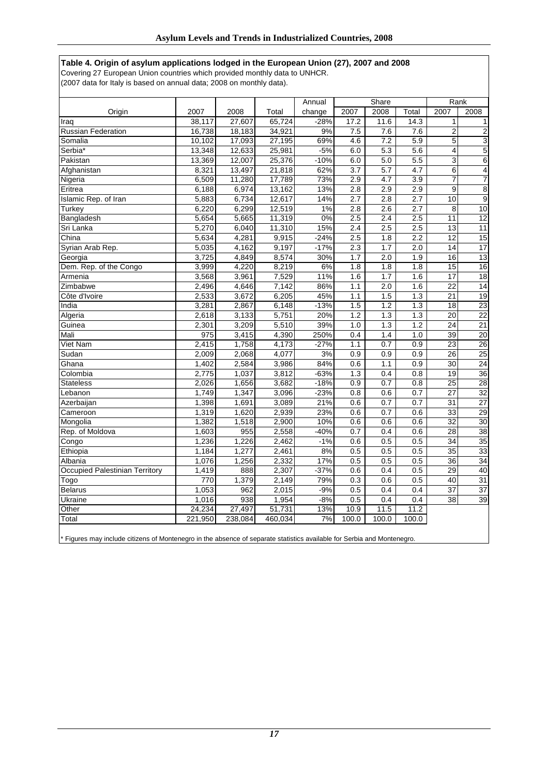## **Table 4. Origin of asylum applications lodged in the European Union (27), 2007 and 2008**

Covering 27 European Union countries which provided monthly data to UNHCR.

(2007 data for Italy is based on annual data; 2008 on monthly data).

|                                |         |         |         | Annual | Share |                  |                  | Rank                    |                         |  |
|--------------------------------|---------|---------|---------|--------|-------|------------------|------------------|-------------------------|-------------------------|--|
| Origin                         | 2007    | 2008    | Total   | change | 2007  | 2008             | Total            | 2007                    | 2008                    |  |
| Iraq                           | 38.117  | 27.607  | 65,724  | $-28%$ | 17.2  | 11.6             | 14.3             | 1                       |                         |  |
| <b>Russian Federation</b>      | 16,738  | 18,183  | 34,921  | 9%     | 7.5   | 7.6              | 7.6              | $\overline{\mathbf{c}}$ | $\overline{\mathbf{c}}$ |  |
| Somalia                        | 10,102  | 17,093  | 27,195  | 69%    | 4.6   | 7.2              | 5.9              | $\overline{5}$          | $\overline{3}$          |  |
| Serbia*                        | 13,348  | 12,633  | 25,981  | $-5%$  | 6.0   | 5.3              | 5.6              | $\overline{4}$          | $\overline{5}$          |  |
| Pakistan                       | 13,369  | 12,007  | 25,376  | $-10%$ | 6.0   | 5.0              | 5.5              | 3                       | $\overline{6}$          |  |
| Afghanistan                    | 8,321   | 13,497  | 21,818  | 62%    | 3.7   | 5.7              | 4.7              | $\overline{6}$          | $\overline{\mathbf{4}}$ |  |
| Nigeria                        | 6,509   | 11,280  | 17,789  | 73%    | 2.9   | $\overline{4.7}$ | $\overline{3.9}$ | 7                       | 7                       |  |
| Eritrea                        | 6,188   | 6,974   | 13,162  | 13%    | 2.8   | 2.9              | 2.9              | 9                       | $\overline{8}$          |  |
| Islamic Rep. of Iran           | 5,883   | 6,734   | 12,617  | 14%    | 2.7   | 2.8              | 2.7              | 10                      | $\overline{9}$          |  |
| Turkey                         | 6,220   | 6,299   | 12,519  | 1%     | 2.8   | 2.6              | 2.7              | 8                       | 10                      |  |
| Bangladesh                     | 5,654   | 5,665   | 11,319  | 0%     | 2.5   | 2.4              | 2.5              | 11                      | $\overline{12}$         |  |
| Sri Lanka                      | 5,270   | 6,040   | 11,310  | 15%    | 2.4   | 2.5              | 2.5              | $\overline{13}$         | $\overline{11}$         |  |
| China                          | 5,634   | 4,281   | 9,915   | $-24%$ | 2.5   | 1.8              | 2.2              | 12                      | 15                      |  |
| Syrian Arab Rep.               | 5,035   | 4,162   | 9,197   | $-17%$ | 2.3   | 1.7              | 2.0              | 14                      | $\overline{17}$         |  |
| Georgia                        | 3,725   | 4,849   | 8,574   | 30%    | 1.7   | 2.0              | 1.9              | 16                      | 13                      |  |
| Dem. Rep. of the Congo         | 3,999   | 4,220   | 8,219   | 6%     | 1.8   | $\overline{1.8}$ | 1.8              | $\overline{15}$         | $\overline{16}$         |  |
| Armenia                        | 3,568   | 3,961   | 7,529   | 11%    | 1.6   | 1.7              | 1.6              | $\overline{17}$         | $\overline{18}$         |  |
| Zimbabwe                       | 2,496   | 4,646   | 7,142   | 86%    | 1.1   | 2.0              | 1.6              | $\overline{22}$         | $\overline{14}$         |  |
| Côte d'Ivoire                  | 2,533   | 3,672   | 6,205   | 45%    | 1.1   | 1.5              | 1.3              | 21                      | 19                      |  |
| India                          | 3,281   | 2,867   | 6,148   | $-13%$ | 1.5   | 1.2              | 1.3              | 18                      | $\overline{23}$         |  |
| Algeria                        | 2,618   | 3,133   | 5,751   | 20%    | 1.2   | 1.3              | 1.3              | $\overline{20}$         | $\overline{22}$         |  |
| Guinea                         | 2,301   | 3,209   | 5,510   | 39%    | 1.0   | 1.3              | 1.2              | 24                      | $\overline{21}$         |  |
| Mali                           | 975     | 3,415   | 4,390   | 250%   | 0.4   | 1.4              | 1.0              | 39                      | 20                      |  |
| Viet Nam                       | 2,415   | 1,758   | 4,173   | $-27%$ | 1.1   | 0.7              | 0.9              | 23                      | $\overline{26}$         |  |
| Sudan                          | 2,009   | 2,068   | 4,077   | 3%     | 0.9   | 0.9              | 0.9              | $\overline{26}$         | 25                      |  |
| Ghana                          | 1,402   | 2,584   | 3,986   | 84%    | 0.6   | 1.1              | 0.9              | $\overline{30}$         | $\overline{24}$         |  |
| Colombia                       | 2,775   | 1,037   | 3,812   | $-63%$ | 1.3   | 0.4              | 0.8              | 19                      | $\overline{36}$         |  |
| <b>Stateless</b>               | 2,026   | 1,656   | 3,682   | $-18%$ | 0.9   | 0.7              | 0.8              | $\overline{25}$         | $\overline{28}$         |  |
| Lebanon                        | 1,749   | 1,347   | 3,096   | $-23%$ | 0.8   | 0.6              | 0.7              | 27                      | $\overline{32}$         |  |
| Azerbaijan                     | 1,398   | 1,691   | 3,089   | 21%    | 0.6   | 0.7              | 0.7              | $\overline{31}$         | $\overline{27}$         |  |
| Cameroon                       | 1,319   | 1,620   | 2,939   | 23%    | 0.6   | 0.7              | 0.6              | $\overline{33}$         | $\overline{29}$         |  |
| Mongolia                       | 1,382   | 1,518   | 2,900   | 10%    | 0.6   | 0.6              | 0.6              | 32                      | 30                      |  |
| Rep. of Moldova                | 1,603   | 955     | 2,558   | $-40%$ | 0.7   | 0.4              | 0.6              | 28                      | 38                      |  |
| Congo                          | 1,236   | 1,226   | 2,462   | $-1%$  | 0.6   | 0.5              | 0.5              | 34                      | 35                      |  |
| Ethiopia                       | 1,184   | 1,277   | 2,461   | 8%     | 0.5   | 0.5              | 0.5              | $\overline{35}$         | 33                      |  |
| Albania                        | 1,076   | 1,256   | 2,332   | 17%    | 0.5   | 0.5              | 0.5              | 36                      | $\overline{34}$         |  |
| Occupied Palestinian Territory | 1,419   | 888     | 2,307   | $-37%$ | 0.6   | 0.4              | 0.5              | 29                      | 40                      |  |
| Togo                           | 770     | 1,379   | 2,149   | 79%    | 0.3   | 0.6              | 0.5              | 40                      | $\overline{31}$         |  |
| <b>Belarus</b>                 | 1,053   | 962     | 2,015   | $-9%$  | 0.5   | 0.4              | 0.4              | $\overline{37}$         | $\overline{37}$         |  |
| Ukraine                        | 1,016   | 938     | 1,954   | $-8%$  | 0.5   | 0.4              | 0.4              | $\overline{38}$         | $\overline{39}$         |  |
| Other                          | 24,234  | 27,497  | 51,731  | 13%    | 10.9  | 11.5             | 11.2             |                         |                         |  |
| Total                          | 221,950 | 238,084 | 460,034 | 7%     | 100.0 | 100.0            | 100.0            |                         |                         |  |
|                                |         |         |         |        |       |                  |                  |                         |                         |  |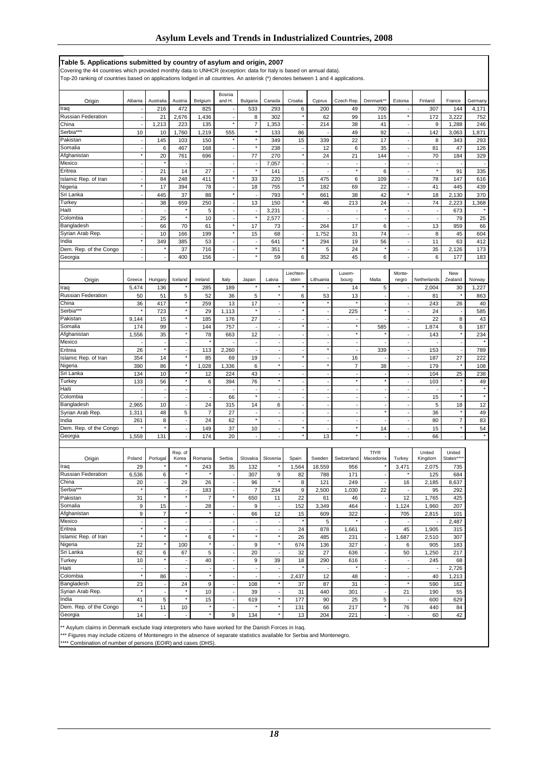| Table 5. Applications submitted by country of asylum and origin, 2007                                                                                                                                                                                   |                                      |                                                      |                                            |                          |                                |                          |                                      |                                    |                          |             |                                            |                                |                          |                     |            |
|---------------------------------------------------------------------------------------------------------------------------------------------------------------------------------------------------------------------------------------------------------|--------------------------------------|------------------------------------------------------|--------------------------------------------|--------------------------|--------------------------------|--------------------------|--------------------------------------|------------------------------------|--------------------------|-------------|--------------------------------------------|--------------------------------|--------------------------|---------------------|------------|
| Covering the 44 countries which provided monthly data to UNHCR (exception: data for Italy is based on annual data).<br>Top-20 ranking of countries based on applications lodged in all countries. An asterisk (*) denotes between 1 and 4 applications. |                                      |                                                      |                                            |                          |                                |                          |                                      |                                    |                          |             |                                            |                                |                          |                     |            |
| Origin                                                                                                                                                                                                                                                  | Albania                              | Australia                                            | Austria                                    | Belgium                  | Bosnia<br>and H.               | Bulgaria                 | Canada                               | Croatia                            | Cyprus                   | Czech Rep.  | Denmark*                                   | Estonia                        | Finland                  | France              | Germany    |
| Iraq                                                                                                                                                                                                                                                    |                                      | 216                                                  | 472                                        | 825                      |                                | 533                      | 293                                  | 6                                  | 200                      | 49          | 700                                        |                                | 307                      | 144                 | 4,171      |
| <b>Russian Federation</b>                                                                                                                                                                                                                               |                                      | 21                                                   | 2,676                                      | 1,436                    |                                | 8                        | 302                                  | $^\star$                           | 62                       | 99          | 115                                        | $\star$                        | 172                      | 3,222               | 752        |
| China                                                                                                                                                                                                                                                   |                                      | 1,213                                                | 223                                        | 135                      | $\pmb{\ast}$                   | $\overline{7}$           | 1,353                                |                                    | 214                      | 38          | 41                                         |                                | 9                        | 1,288               | 246        |
| Serbia***                                                                                                                                                                                                                                               | 10                                   | 10                                                   | 1,760                                      | 1,219                    | 555                            | $\pmb{\ast}$<br>$\star$  | 133                                  | 86                                 |                          | 49<br>22    | 92<br>17                                   | $\blacksquare$                 | 142                      | 3,063               | 1,871      |
| Pakistan<br>Somalia                                                                                                                                                                                                                                     |                                      | 145<br>6                                             | 103<br>467                                 | 150<br>168               |                                | $\star$                  | 349<br>238                           | 15                                 | 339<br>12                | 6           | 35                                         | ÷                              | 8<br>81                  | 343<br>47           | 293<br>126 |
| Afghanistan                                                                                                                                                                                                                                             | $\star$                              | 20                                                   | 761                                        | 696                      | ÷,                             | 77                       | 270                                  | $^\star$                           | 24                       | 21          | 144                                        | ÷,                             | 70                       | 184                 | 329        |
| Mexico                                                                                                                                                                                                                                                  |                                      |                                                      |                                            |                          |                                | $\overline{\phantom{a}}$ | 7,057                                | $\blacksquare$                     |                          |             |                                            |                                |                          |                     |            |
| Eritrea                                                                                                                                                                                                                                                 |                                      | 21                                                   | 14                                         | 27                       | ł,                             | $^\star$                 | 141                                  | ÷,                                 |                          | $\star$     | 6                                          | ÷,                             | $\star$                  | 91                  | 335        |
| slamic Rep. of Iran                                                                                                                                                                                                                                     |                                      | 84                                                   | 248                                        | 411                      | ×                              | 33                       | 220                                  | 15                                 | 475                      | 6           | 109                                        | $\blacksquare$                 | 78                       | 147                 | 616        |
| Nigeria                                                                                                                                                                                                                                                 |                                      | 17                                                   | 394                                        | 78                       | ł,                             | 18                       | 755                                  | $\star$                            | 182                      | 69          | 22                                         | $\overline{\phantom{a}}$       | 41                       | 445                 | 439        |
| Sri Lanka                                                                                                                                                                                                                                               |                                      | 445                                                  | 37                                         | 88                       | ×                              |                          | 793                                  | $^\star$<br>$\star$                | 661                      | 38          | 42                                         | $\star$                        | 18                       | 2,130               | 370        |
| Turkey<br>Haiti                                                                                                                                                                                                                                         | ÷,                                   | 38                                                   | 659<br>×                                   | 250<br>5                 | ÷,<br>÷,                       | 13<br>÷,                 | 150<br>3,231                         | ÷,                                 | 46                       | 213         | 24<br>$^\star$                             | ÷,<br>÷,                       | 74<br>÷,                 | 2,223<br>673        | 1,368      |
| Colombia                                                                                                                                                                                                                                                |                                      | 25                                                   | ×                                          | 10                       | Ĭ.                             | $^\star$                 | 2,577                                | $\sim$                             |                          |             | $\overline{\phantom{a}}$                   |                                |                          | 79                  | 25         |
| Bangladesh                                                                                                                                                                                                                                              | $\blacksquare$                       | 66                                                   | 70                                         | 61                       | ×                              | 17                       | 73                                   | $\overline{\phantom{a}}$           | 264                      | 17          | 6                                          | $\overline{\phantom{a}}$       | 13                       | 959                 | 66         |
| Syrian Arab Rep.                                                                                                                                                                                                                                        |                                      | 10                                                   | 166                                        | 199                      | ۸                              | 15                       | 68                                   | $\overline{\phantom{a}}$           | 1,752                    | 31          | 74                                         | ÷,                             | 8                        | 45                  | 604        |
| India                                                                                                                                                                                                                                                   | $\star$                              | 349                                                  | 385                                        | 53                       | ÷,                             | ÷,                       | 641                                  | $\star$                            | 294                      | 19          | 56                                         | ÷,                             | 11                       | 63                  | 412        |
| Dem. Rep. of the Congo                                                                                                                                                                                                                                  | $\sim$                               | $\pmb{\ast}$                                         | 37                                         | 716                      | ÷,                             | $^\star$                 | 351                                  | $^\star$                           | 5                        | 24          | $^\star$                                   | ÷,                             | 35                       | 2,126               | 173        |
| Georgia                                                                                                                                                                                                                                                 |                                      |                                                      | 400                                        | 156                      |                                | $\star$                  | 59                                   | 6                                  | 352                      | 45          | 6                                          |                                | 6                        | 177                 | 183        |
|                                                                                                                                                                                                                                                         |                                      |                                                      |                                            |                          |                                |                          |                                      | Liechten-                          |                          | Luxem-      |                                            | Monte-                         |                          | New                 |            |
| Origin                                                                                                                                                                                                                                                  | Greece                               | Hungary                                              | Iceland                                    | Ireland                  | Italy                          | Japan                    | Latvia                               | stein                              | Lithuania                | bourg       | Malta                                      | negro                          | Netherlands              | Zealand             | Norway     |
| Iraq                                                                                                                                                                                                                                                    | 5,474                                | 136                                                  |                                            | 285                      | 189                            | ×                        |                                      | $\pmb{\ast}$                       |                          | 14          | 5                                          |                                | 2,004                    | 30                  | 1,227      |
| Russian Federation                                                                                                                                                                                                                                      | 50                                   | 51                                                   | 5                                          | 52                       | 36                             | 5                        |                                      | 6                                  | 53                       | 13          |                                            |                                | 81                       |                     | 863        |
| China                                                                                                                                                                                                                                                   | 36                                   | 417                                                  | $\star$                                    | 259                      | 13                             | 17                       |                                      | $\star$                            |                          |             | $\overline{\phantom{a}}$                   | $\blacksquare$                 | 243                      | 26                  | 40         |
| Serbia***                                                                                                                                                                                                                                               |                                      | 723                                                  |                                            | 29                       | 1,113                          |                          |                                      | $\star$                            |                          | 225         | $\star$                                    |                                | 24                       |                     | 585        |
| Pakistan                                                                                                                                                                                                                                                | 9,144                                | 15                                                   | $\star$                                    | 185                      | 176                            | 27                       | ÷,                                   | $^\star$                           |                          | $\star$     |                                            |                                | 22                       | 8                   | 43         |
| Somalia<br>Afghanistan                                                                                                                                                                                                                                  | 174<br>1,556                         | 99<br>35                                             | $\star$                                    | 144<br>78                | 757<br>663                     | 12                       | ÷,<br>$\overline{\phantom{a}}$       |                                    |                          |             | 585                                        | ÷,                             | 1,874<br>143             | 6<br>$\pmb{\ast}$   | 187<br>234 |
| Mexico                                                                                                                                                                                                                                                  |                                      | $\overline{\phantom{a}}$                             |                                            | ×                        |                                | $\overline{\phantom{a}}$ | $\sim$                               | $\sim$                             |                          | ÷,          | $\overline{\phantom{a}}$                   | $\blacksquare$                 |                          | $\cdot$             |            |
| Eritrea                                                                                                                                                                                                                                                 | 26                                   | $\star$                                              | $\overline{\phantom{a}}$                   | 113                      | 2,260                          |                          | $\overline{\phantom{a}}$             | $\blacksquare$                     |                          |             | 339                                        | $\blacksquare$                 | 153                      | ÷.                  | 789        |
| slamic Rep. of Iran                                                                                                                                                                                                                                     | 354                                  | 14                                                   | ×                                          | 85                       | 69                             | 19                       | ÷,                                   | $\star$                            |                          | 16          |                                            | $\overline{\phantom{a}}$       | 187                      | 27                  | 222        |
| Nigeria                                                                                                                                                                                                                                                 | 390                                  | 86                                                   | $\star$                                    | 1,028                    | 1,336                          | 6                        | $^\star$                             | $\overline{\phantom{a}}$           | $\star$                  | 7           | 38                                         | ÷,                             | 179                      | ×                   | 108        |
| Sri Lanka                                                                                                                                                                                                                                               | 134                                  | 10                                                   | ×                                          | 12                       | 224                            | 43                       | ÷,                                   | $\sim$                             |                          |             |                                            | ÷,                             | 104                      | 25                  | 238        |
| Turkey                                                                                                                                                                                                                                                  | 133                                  | 56                                                   | ×                                          | 6                        | 394                            | 76                       | $^\star$                             | ÷,                                 |                          | ×           | $\star$                                    | ÷,                             | 103                      | ×                   | 49         |
| Haiti<br>Colombia                                                                                                                                                                                                                                       |                                      | $\overline{\phantom{a}}$<br>$\overline{\phantom{a}}$ | $\overline{\phantom{a}}$<br>$\blacksquare$ | $\overline{a}$<br>÷,     | 66                             | ÷.<br>$\star$            | $\sim$<br>÷,                         | $\overline{\phantom{a}}$<br>$\sim$ |                          |             | $\overline{\phantom{a}}$<br>$\sim$         | ÷.<br>$\overline{\phantom{a}}$ | ÷<br>15                  | ×                   |            |
| Bangladesh                                                                                                                                                                                                                                              | 2,965                                | 10                                                   |                                            | 24                       | 315                            | 14                       | 6                                    | ÷,                                 |                          |             |                                            |                                | 5                        | 18                  | 12         |
| Syrian Arab Rep.                                                                                                                                                                                                                                        | 1,311                                | 48                                                   | 5                                          | 7                        | 27                             | ÷,                       | ÷,                                   | $\sim$                             | $\overline{\phantom{a}}$ |             | $\star$                                    | $\blacksquare$                 | 36                       | ×                   | 49         |
| ndia                                                                                                                                                                                                                                                    | 261                                  | 8                                                    | ÷,                                         | 24                       | 62                             | $^\star$                 | $\sim$                               | $\sim$                             |                          |             | ÷,                                         | ÷,                             | 80                       | $\overline{7}$      | 83         |
| Dem. Rep. of the Congo                                                                                                                                                                                                                                  |                                      | $\pmb{\ast}$                                         | ÷,                                         | 149                      | 37                             | 10                       | $\overline{\phantom{a}}$             | $\star$                            |                          | $\star$     | 14                                         |                                | 15                       | $\pmb{\ast}$        | 54         |
| Georgia                                                                                                                                                                                                                                                 | 1,559                                | 131                                                  | L.                                         | 174                      | 20                             | ÷,                       | ÷.                                   | $\star$                            | 13                       | $\star$     | $\overline{\phantom{a}}$                   | ÷.                             | 66                       |                     |            |
|                                                                                                                                                                                                                                                         |                                      |                                                      |                                            |                          |                                |                          |                                      |                                    |                          |             |                                            |                                |                          |                     |            |
| Origin                                                                                                                                                                                                                                                  | Poland                               | Portugal                                             | Rep. of<br>Korea                           | Romania                  | Serbia                         | Slovakia                 | Slovenia                             | Spain                              | Sweden                   | Switzerland | <b>TfYR</b><br>Macedonia                   | Turkey                         | United<br>Kingdom        | United<br>States*** |            |
| Iraq                                                                                                                                                                                                                                                    | 29                                   |                                                      |                                            | 243                      | 35                             | 132                      |                                      | 1,564                              | 18,559                   | 956         |                                            | 3,471                          | 2,075                    | 735                 |            |
| Russian Federation                                                                                                                                                                                                                                      | 6,536                                | 6                                                    | $\star$                                    | $\star$                  | ÷,                             | 307                      | 9                                    | 82                                 | 788                      | 171         | $\overline{\phantom{a}}$                   | $\star$                        | 125                      | 684                 |            |
| China                                                                                                                                                                                                                                                   | 20                                   |                                                      | 29                                         | 26                       |                                | 96                       |                                      | 8                                  | 121                      | 249         |                                            | 16                             | 2,185                    | 8,637               |            |
| Serbia***                                                                                                                                                                                                                                               | $\star$                              | $^\star$                                             | $^\star$                                   | 183                      | ł,<br>$^\star$                 | $\overline{7}$           | 234                                  | 9                                  | 2,500                    | 1,030       | 22                                         |                                | 95                       | 292                 |            |
| Pakistan                                                                                                                                                                                                                                                | 31                                   |                                                      |                                            | $\overline{\mathcal{I}}$ |                                | 650                      | 11                                   | 22                                 | 61                       | 46          | ÷.                                         | 12                             | 1,765                    | 425                 |            |
| Somalia<br>Afghanistan                                                                                                                                                                                                                                  | 9<br>$\boldsymbol{9}$                | 15<br>$\overline{7}$                                 | $\star$                                    | 28<br>$\star$            | ÷,                             | 9<br>66                  | 12                                   | 152<br>15                          | 3,349<br>609             | 464<br>322  | $\overline{\phantom{a}}$<br>$\overline{a}$ | 1,124<br>705                   | 1,960<br>2,815           | 207<br>101          |            |
| Mexico                                                                                                                                                                                                                                                  | $\sim$                               | $\sim$                                               | ÷,                                         | ÷.                       | $\overline{\phantom{a}}$       | ٠                        | $\sim$                               | $\star$                            | 5                        |             | ÷,                                         |                                |                          | 2,487               |            |
| Eritrea                                                                                                                                                                                                                                                 | $^\star$                             | $^\star$                                             |                                            | ÷,                       | ×,                             | $\overline{\phantom{a}}$ | $\overline{\phantom{a}}$             | 24                                 | 878                      | 1,661       | $\blacksquare$                             | 45                             | 1,905                    | 315                 |            |
| Islamic Rep. of Iran                                                                                                                                                                                                                                    | $\star$                              | $\star$                                              |                                            | 6                        | $\star$                        | $\pmb{\ast}$             | $\star$                              | 26                                 | 485                      | 231         | ÷,                                         | 1,687                          | 2,510                    | 307                 |            |
| Nigeria                                                                                                                                                                                                                                                 | 22                                   | $\star$                                              | 100                                        | $\star$                  | ÷,                             | 9                        | $^\star$                             | 674                                | 136                      | 327         | $\ddot{\phantom{a}}$                       | 6                              | 905                      | 183                 |            |
| Sri Lanka                                                                                                                                                                                                                                               | 62                                   | 6                                                    | 67                                         | 5                        | Ĭ.                             | 20                       | $\sim$                               | 32                                 | 27                       | 636         | ÷,                                         | 50                             | 1,250                    | 217                 |            |
| Turkey                                                                                                                                                                                                                                                  | 10                                   | $\star$                                              |                                            | 40                       | ÷,                             | 9                        | 39                                   | 18<br>$\star$                      | 290                      | 616         | $\overline{\phantom{a}}$                   | $\overline{\phantom{a}}$       | 245                      | 68                  |            |
| Haiti<br>Colombia                                                                                                                                                                                                                                       | $\overline{\phantom{a}}$<br>$^\star$ | $\sim$                                               | ÷,                                         | ÷,<br>$^\star$           | ÷,                             | ÷,                       | $\overline{\phantom{a}}$             |                                    |                          |             | $\overline{\phantom{a}}$<br>÷,             | $\overline{\phantom{a}}$       | $\overline{\phantom{a}}$ | 2,726               |            |
| Bangladesh                                                                                                                                                                                                                                              | 23                                   | 86<br>$\overline{\phantom{a}}$                       | 24                                         | 9                        | $\overline{\phantom{a}}$<br>÷, | 108                      | $\overline{\phantom{a}}$<br>$^\star$ | 2,437<br>37                        | 12<br>87                 | 48<br>31    | $\overline{\phantom{a}}$                   | $\blacksquare$<br>$^\star$     | 40<br>590                | 1,213<br>162        |            |
| Syrian Arab Rep.                                                                                                                                                                                                                                        | $^\star$                             | $\sim$                                               | $\star$                                    | 10                       | $\sim$                         | 39                       | $\overline{\phantom{a}}$             | 31                                 | 440                      | 301         | $\overline{\phantom{a}}$                   | 21                             | 190                      | 55                  |            |
| India                                                                                                                                                                                                                                                   | 41                                   | 5                                                    | $\star$                                    | 15                       | $\overline{\phantom{a}}$       | 619                      | $^\star$                             | 177                                | 90                       | 25          | $\sqrt{5}$                                 |                                | 600                      | 629                 |            |
| Dem. Rep. of the Congo                                                                                                                                                                                                                                  | $\star$                              | 11                                                   | 10                                         | $^\star$                 | $\Box$                         | $^\star$                 | $\star$                              | 131                                | 66                       | 217         | $\star$                                    | 76                             | 440                      | 84                  |            |
| Georgia                                                                                                                                                                                                                                                 | 14                                   |                                                      |                                            | $^\star$                 | 9                              | 134                      | $^\star$                             | 13                                 | 204                      | 221         |                                            |                                | 60                       | 42                  |            |

\*\* Asylum claims in Denmark exclude Iraqi interpreters who have worked for the Danish Forces in Iraq.

\*\*\* Figures may include citizens of Montenegro in the absence of separate statistics available for Serbia and Montenegro.

\*\*\*\* Combination of number of persons (EOIR) and cases (DHS).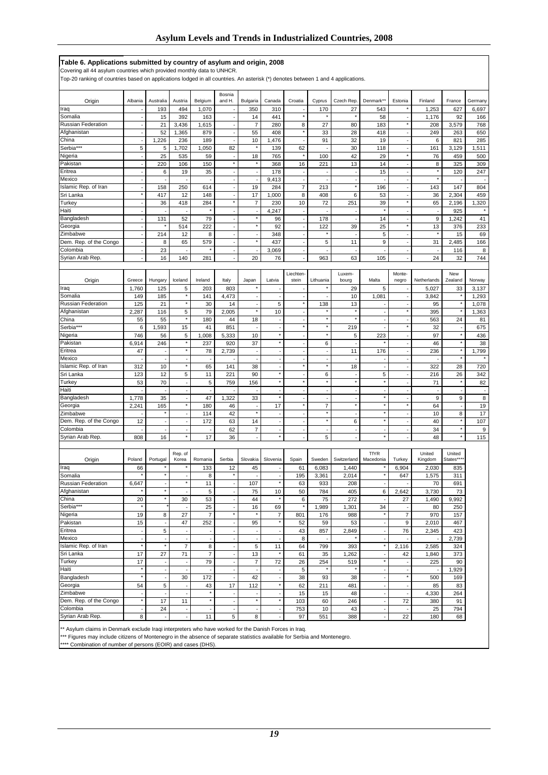#### **Table 6. Applications submitted by country of asylum and origin, 2008**

Covering all 44 asylum countries which provided monthly data to UNHCR.

Top-20 ranking of countries based on applications lodged in all countries. An asterisk (\*) denotes between 1 and 4 applications.

| Origin                               | Albania                            | Australia                  | Austria                  | Belgium                         | Bosnia<br>and H.                    | Bulgaria                                   | Canada                                               | Croatia                  | Cyprus                   | Czech Rep.               | Denmark**                      | Estonia                                              | Finland        | France             | Germany        |
|--------------------------------------|------------------------------------|----------------------------|--------------------------|---------------------------------|-------------------------------------|--------------------------------------------|------------------------------------------------------|--------------------------|--------------------------|--------------------------|--------------------------------|------------------------------------------------------|----------------|--------------------|----------------|
| Iraq                                 |                                    | 193                        | 494                      | 1,070                           |                                     | 350                                        | 310                                                  | ÷,                       | 170                      | 27                       | 543                            |                                                      | 1,253          | 627                | 6,697          |
| Somalia                              |                                    | 15                         | 392                      | 163                             | $\overline{\phantom{a}}$            | 14                                         | 441                                                  | $\star$                  |                          |                          | 58                             | $\overline{\phantom{a}}$                             | 1,176          | 92                 | 166            |
| <b>Russian Federation</b>            | ÷,                                 | 21                         | 3,436                    | 1,615                           | ÷,                                  | $\overline{7}$                             | 280                                                  | 8                        | 27                       | 80                       | 183                            | $\pmb{\ast}$                                         | 208            | 3,579              | 768            |
| Afghanistan                          | $\overline{\phantom{a}}$           | 52                         | 1,365                    | 879                             | $\overline{\phantom{a}}$            | 55                                         | 408                                                  | $\star$                  | 33                       | 28                       | 418                            | $\sim$                                               | 249            | 263                | 650            |
| China                                | ÷,                                 | 1,226                      | 236                      | 189                             | ÷,                                  | 10                                         | 1,476                                                | $\blacksquare$           | 91                       | 32                       | 19                             | $\overline{\phantom{a}}$                             | 6              | 821                | 285            |
| Serbia***                            | $\sqrt{5}$                         | 5                          | 1,702                    | 1,050                           | 82                                  | $\pmb{\ast}$                               | 139                                                  | 62                       |                          | 30                       | 118                            | ÷,                                                   | 161            | 3,129              | 1,511          |
| Nigeria                              |                                    | 25                         | 535                      | 59                              | $\overline{\phantom{a}}$<br>$\star$ | 18<br>$\pmb{\ast}$                         | 765                                                  | ×                        | 100                      | 42                       | 29                             | $\pmb{\ast}$                                         | 76             | 459                | 500            |
| Pakistan<br>Eritrea                  | $\overline{\phantom{a}}$           | 220<br>6                   | 106<br>19                | 150<br>35                       |                                     |                                            | 368<br>178                                           | 16                       | 221                      | 13                       | 14<br>15                       | $\overline{\phantom{a}}$                             | 8              | 325<br>120         | 309<br>247     |
| Mexico                               | ÷,                                 | ÷,                         |                          |                                 | ÷,<br>÷,                            | $\overline{\phantom{a}}$<br>÷,             | 9,413                                                | ÷<br>÷,                  |                          | ÷,                       |                                | $\overline{\phantom{a}}$<br>$\sim$                   |                |                    |                |
| Islamic Rep. of Iran                 | ÷,                                 | 158                        | 250                      | 614                             | $\sim$                              | 19                                         | 284                                                  | $\overline{\mathcal{I}}$ | 213                      | $\star$                  | 196                            | $\overline{\phantom{a}}$                             | 143            | 147                | 804            |
| Sri Lanka                            | $\star$                            | 417                        | 12                       | 148                             |                                     | 17                                         | 1,000                                                | 8                        | 408                      | 6                        | 53                             |                                                      | 36             | 2,304              | 459            |
| Turkey                               | $\overline{\phantom{a}}$           | 36                         | 418                      | 284                             | $\star$                             | $\overline{7}$                             | 230                                                  | 10                       | 72                       | 251                      | 39                             | $\pmb{\ast}$                                         | 65             | 2,196              | 1,320          |
| Haiti                                |                                    |                            |                          | $\overline{\phantom{a}}$        | $\overline{\phantom{a}}$            | $\overline{\phantom{a}}$                   | 4,247                                                | ÷,                       |                          | $\overline{\phantom{a}}$ | $\star$                        | $\overline{\phantom{a}}$                             |                | 925                | $\star$        |
| Bangladesh                           | $\overline{\phantom{a}}$           | 131                        | 52                       | 79                              | ÷,                                  | $\star$                                    | 96                                                   | ÷                        | 178                      | $\overline{\phantom{a}}$ | 14                             | $\overline{\phantom{a}}$                             | 9              | 1,242              | 41             |
| Georgia                              |                                    | $\star$                    | 514                      | 222                             | ÷,                                  | $^\star$                                   | 92                                                   | Ĭ.                       | 122<br>$\pmb{\ast}$      | 39                       | 25                             | $^\star$                                             | 13             | 376                | 233            |
| Zimbabwe                             | $\overline{\phantom{a}}$<br>$\sim$ | 214<br>8                   | 12<br>65                 | 8                               | $\overline{\phantom{a}}$            | $\overline{\phantom{a}}$<br>$\star$        | 348<br>437                                           | Ĭ.                       | 5                        |                          | 5<br>9                         | $\overline{\phantom{a}}$                             | 31             | 15                 | 69             |
| Dem. Rep. of the Congo<br>Colombia   | $\blacksquare$                     | 23                         |                          | 579                             | $\blacksquare$<br>÷,                | ÷,                                         | 3,069                                                | ÷,<br>÷,                 |                          | 11                       |                                | $\overline{\phantom{a}}$<br>$\overline{\phantom{a}}$ |                | 2,485<br>116       | 166<br>8       |
| Syrian Arab Rep.                     |                                    | 16                         | 140                      | 281                             | $\overline{\phantom{a}}$            | 20                                         | 76                                                   | $\overline{a}$           | 963                      | 63                       | 105                            | ÷,                                                   | 24             | 32                 | 744            |
|                                      |                                    |                            |                          |                                 |                                     |                                            |                                                      |                          |                          |                          |                                |                                                      |                |                    |                |
|                                      |                                    |                            |                          |                                 |                                     |                                            |                                                      | Liechten                 |                          | Luxem-                   |                                | Monte-                                               |                | New                |                |
| Origin                               | Greece                             | Hungary                    | Iceland                  | Ireland                         | Italy                               | Japan                                      | Latvia                                               | stein                    | Lithuania                | bourg                    | Malta                          | negro                                                | Netherlands    | Zealand            | Norway         |
| Iraq                                 | 1,760                              | 125                        | 5<br>$\star$             | 203                             | 803                                 |                                            |                                                      | ×,                       |                          | 29                       | 5                              |                                                      | 5,027          | 33                 | 3,137          |
| Somalia<br><b>Russian Federation</b> | 149                                | 185                        | $^\star$                 | 141                             | 4,473                               | $\overline{\phantom{a}}$                   | $\overline{\phantom{a}}$<br>5                        | ÷,<br>$\star$            |                          | 10                       | 1,081                          | $\overline{\phantom{a}}$                             | 3,842          |                    | 1,293          |
| Afghanistan                          | 125<br>2,287                       | 21<br>116                  | 5                        | 30<br>79                        | 14<br>2,005                         | ÷,<br>$\star$                              | 10                                                   | $\blacksquare$           | 138                      | 13<br>$\pmb{\ast}$       | $\overline{\phantom{a}}$       | $\pmb{\ast}$                                         | 95<br>395      | ×                  | 1,078<br>1,363 |
| China                                | 55                                 | 55                         | $^\star$                 | 180                             | 44                                  | 18                                         | ÷,                                                   | ÷,                       | $\star$                  | $\star$                  | ÷,                             | $\overline{\phantom{a}}$                             | 563            | 24                 | 81             |
| Serbia***                            | 6                                  | 1,593                      | 15                       | 41                              | 851                                 |                                            |                                                      | $\star$                  | $\pmb{\ast}$             | 219                      |                                | $\star$                                              | 32             |                    | 675            |
| Nigeria                              | 746                                | 56                         | 5                        | 1,008                           | 5,333                               | 10                                         | $^\star$                                             | ÷,                       | $\pmb{\ast}$             | 5                        | 223                            | $\overline{\phantom{a}}$                             | 97             | $\star$            | 436            |
| Pakistan                             | 6,914                              | 246                        | $\star$                  | 237                             | 920                                 | 37                                         | $^\star$                                             | ÷,                       | 6                        |                          |                                | $\overline{\phantom{a}}$                             | 46             | $\star$            | 38             |
| Eritrea                              | 47                                 | ÷,                         | $\star$                  | 78                              | 2,739                               | ÷,                                         | ÷,                                                   | ł,                       | $\overline{\phantom{a}}$ | 11                       | 176                            | $\overline{\phantom{a}}$                             | 236            | $\star$            | 1,799          |
| Mexico                               |                                    | $\overline{a}$             | ÷,<br>$^\star$           | $\overline{a}$                  |                                     | ÷,                                         | $\overline{\phantom{a}}$                             | ä,<br>$\star$            | ÷,<br>$\star$            | $\overline{a}$           | ÷,                             | $\overline{\phantom{a}}$                             |                | $\star$            |                |
| Islamic Rep. of Iran<br>Sri Lanka    | 312<br>123                         | 10                         | 5                        | 65                              | 141                                 | 38                                         | ÷,<br>$^\star$                                       |                          |                          | 18                       | ÷,                             | $\sim$<br>÷,                                         | 322            | 28                 | 720            |
| Turkey                               | 53                                 | 12<br>70                   | $\sim$                   | 11<br>5                         | 221<br>759                          | 90<br>156                                  | $^\star$                                             | ÷,<br>$\star$            | 6<br>$\pmb{\ast}$        | $\pmb{\ast}$             | 5<br>$\star$                   | $\overline{\phantom{a}}$                             | 216<br>71      | 26                 | 342<br>82      |
| Haiti                                |                                    | ÷,                         | ٠                        | ÷,                              |                                     |                                            | $\overline{\phantom{a}}$                             | $\blacksquare$           | $\overline{\phantom{a}}$ | $\overline{\phantom{a}}$ | $\overline{\phantom{a}}$       | $\overline{\phantom{a}}$                             |                | ÷,                 | ٠              |
| Bangladesh                           | 1,778                              | 35                         |                          | 47                              | 1,322                               | 33                                         | $\star$                                              |                          |                          |                          | $\star$                        |                                                      | 9              | 9                  | 8              |
| Georgia                              | 2,241                              | 165                        | $^\star$                 | 180                             | 46                                  | $\overline{\phantom{a}}$                   | 17                                                   | $\star$                  | $\overline{7}$           | $\star$                  | $\star$                        | $^\star$                                             | 64             | $\overline{a}$     | 19             |
| Zimbabwe                             |                                    | $\star$                    | ÷,                       | 114                             | 42                                  | $^\star$                                   | $\overline{\phantom{a}}$                             | ÷,                       | $\pmb{\ast}$             | $\overline{\phantom{a}}$ | $\star$                        | $\overline{\phantom{a}}$                             | 10             | 8                  | 17             |
| Dem. Rep. of the Congo               | 12                                 | ÷,                         | ÷,                       | 172                             | 63                                  | 14                                         | $\overline{\phantom{a}}$                             | ł,                       | $\pmb{\ast}$             | 6                        | $\star$                        |                                                      | 40             | $\star$<br>$\star$ | 107            |
| Colombia                             |                                    | $\sim$                     | ÷,<br>$\star$            | $\overline{\phantom{a}}$        | 62                                  | $\overline{7}$                             | $\blacksquare$<br>$^\star$                           | $\blacksquare$           | $\overline{\phantom{a}}$ | $\overline{a}$           | ÷,<br>$\star$                  | $\sim$                                               | 34             | $\star$            | 9              |
| Syrian Arab Rep.                     | 808                                | 16                         |                          | 17                              | 36                                  | $\overline{\phantom{a}}$                   |                                                      | ä,                       | 5                        |                          |                                | $\overline{\phantom{a}}$                             | 48             |                    | 115            |
|                                      |                                    |                            | Rep. of                  |                                 |                                     |                                            |                                                      |                          |                          |                          | <b>TfYR</b>                    |                                                      | United         | United             |                |
| Origin                               | Poland                             | Portugal                   | Korea                    | Romania                         | Serbia                              | Slovakia                                   | Slovenia                                             | Spain                    | Sweden                   | Switzerland              | Macedonia                      | Turkey                                               | Kingdom        | States**           |                |
| Iraq                                 | 66                                 |                            |                          | 133                             | 12                                  | 45                                         |                                                      | 61                       | 6,083                    | 1,440                    |                                | 6,904                                                | 2,030          | 835                |                |
| Somalia                              |                                    | $\star$                    |                          | 8                               | $\star$                             |                                            |                                                      | 195                      | 3,361                    | 2,014                    | ×                              | 647                                                  | 1,575          | 311                |                |
| Russian Federation                   | 6,647<br>$\star$                   | $\overline{a}$<br>$^\star$ |                          | 11                              | ÷,                                  | 107                                        | $^\star$                                             | 63                       | 933                      | 208                      | ÷,                             |                                                      | 70             | 691                |                |
| Afghanistan<br>China                 |                                    | $\star$                    | ÷,                       | 5                               | ÷,                                  | 75<br>44                                   | 10                                                   | 50                       | 784                      | 405                      | 6                              | 2,642                                                | 3,730<br>1,490 | 73<br>9,992        |                |
| Serbia***                            | 20<br>$\star$                      |                            | 30                       | 53<br>25                        |                                     | 16                                         | 69                                                   | 6<br>$\star$             | 75<br>1,989              | 272<br>1,301             | 34                             | 27                                                   | 80             | 250                |                |
| Nigeria                              | 19                                 | 8                          | 27                       | $\overline{7}$                  | $^\star$                            | $\star$                                    | $\overline{7}$                                       | 801                      | 176                      | 988                      | $\star$                        | $\overline{7}$                                       | 970            | 157                |                |
| Pakistan                             | 15                                 |                            | 47                       | 252                             | $\blacksquare$                      | 95                                         | $^\star$                                             | 52                       | 59                       | 53                       | $\overline{\phantom{a}}$       | 9                                                    | 2,010          | 467                |                |
| Eritrea                              | $\overline{\phantom{a}}$           | 5                          |                          | $\overline{\phantom{a}}$        |                                     |                                            |                                                      | 43                       | 857                      | 2,849                    | ÷,                             | 76                                                   | 2,345          | 423                |                |
| Mexico                               | $\overline{\phantom{a}}$           | $\sim$                     | ÷,                       | $\sim$                          | $\overline{\phantom{a}}$            | $\mathbf{r}$                               | $\overline{\phantom{a}}$                             | 8                        |                          |                          | ÷,                             |                                                      |                | 2,739              |                |
| Islamic Rep. of Iran                 | $^\star$                           | $^\star$                   | $\overline{7}$           | 8                               | $\sim$                              | $\sqrt{5}$                                 | 11                                                   | 64                       | 799                      | 393                      | $^\star$                       | 2,116                                                | 2,585          | 324                |                |
| Sri Lanka                            | 17                                 | 27                         | 71                       | $\boldsymbol{7}$                |                                     | 13                                         | $\star$                                              | 61                       | 35                       | 1,262                    | $\star$                        | 42                                                   | 1,840          | 373                |                |
| Turkey<br>Haiti                      | 17<br>$\star$                      | $\sim$<br>$\sim$           | $\overline{\phantom{a}}$ | 79                              | ÷,<br>$\sim$                        | $\overline{7}$<br>$\overline{\phantom{a}}$ | 72                                                   | 26<br>5                  | 254                      | 519                      |                                | $\sim$                                               | 225            | 90                 |                |
| Bangladesh                           | $^\star$                           | $\overline{\phantom{a}}$   | 30                       | $\overline{\phantom{a}}$<br>172 | $\overline{\phantom{a}}$            | 42                                         | $\overline{\phantom{a}}$<br>$\overline{\phantom{a}}$ | 38                       | 93                       | 38                       | $\overline{\phantom{a}}$<br>÷, | $\overline{\phantom{a}}$<br>$\star$                  | 500            | 1,929<br>169       |                |
| Georgia                              | 54                                 | 5                          |                          | 43                              | 17                                  | 112                                        | $^\star$                                             | 62                       | 211                      | 481                      | ÷,                             | $\overline{\phantom{a}}$                             | 85             | 83                 |                |
| Zimbabwe                             | $\overline{\phantom{a}}$           | $\sim$                     | ÷,                       | $^\star$                        | $\overline{\phantom{a}}$            | $\overline{\phantom{a}}$                   | $\sim$                                               | 15                       | 15                       | 48                       | ÷,                             | $\overline{\phantom{a}}$                             | 4,330          | 264                |                |
| Dem. Rep. of the Congo               | $\star$                            | 17                         | 11                       | $^\star$                        | $\sim$                              | $^\star$                                   | $^\star$                                             | 103                      | 60                       | 246                      | $\blacksquare$                 | 72                                                   | 380            | 91                 |                |
| Colombia                             | $\blacksquare$                     | 24                         | $\overline{\phantom{a}}$ | ÷,                              | $\blacksquare$                      | $\overline{\phantom{a}}$                   | $\blacksquare$                                       | 753                      | 10                       | 43                       | ÷,                             | $\overline{\phantom{a}}$                             | 25             | 794                |                |
| Syrian Arab Rep.                     | 8                                  | $\sim$                     | $\overline{\phantom{a}}$ | 11                              | 5                                   | 8                                          | $\overline{\phantom{a}}$                             | 97                       | 551                      | 388                      | $\overline{\phantom{a}}$       | 22                                                   | 180            | 68                 |                |

\*\* Asylum claims in Denmark exclude Iraqi interpreters who have worked for the Danish Forces in Iraq.

\*\*\* Figures may include citizens of Montenegro in the absence of separate statistics available for Serbia and Montenegro.

\*\*\*\* Combination of number of persons (EOIR) and cases (DHS).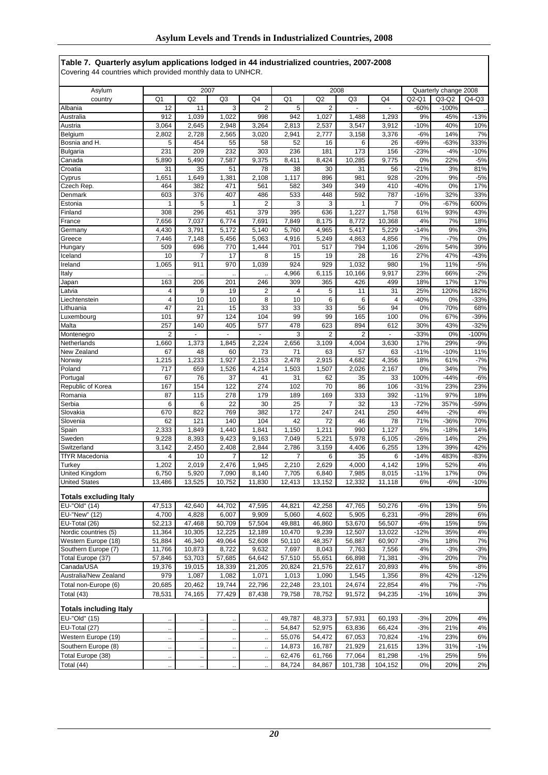| Table 7. Quarterly asylum applications lodged in 44 industrialized countries, 2007-2008 |  |  |  |
|-----------------------------------------------------------------------------------------|--|--|--|
| Covering 44 countries which provided monthly data to UNHCR.                             |  |  |  |

|                               |                         | 2007                 |                      |                |                |                | 2008           |                |               | Quarterly change 2008 |              |
|-------------------------------|-------------------------|----------------------|----------------------|----------------|----------------|----------------|----------------|----------------|---------------|-----------------------|--------------|
| Asylum<br>country             | Q <sub>1</sub>          | Q <sub>2</sub>       | Q <sub>3</sub>       | Q4             | Q <sub>1</sub> | Q <sub>2</sub> | Q3             | Q4             | $Q2-O1$       | $Q3-Q2$               | $Q4-Q3$      |
| Albania                       | 12                      | 11                   | 3                    | $\overline{2}$ | 5              | $\overline{2}$ |                |                | $-60%$        | $-100%$               |              |
| Australia                     | 912                     | 1,039                | 1,022                | 998            | 942            | 1,027          | 1,488          | 1,293          | 9%            | 45%                   | $-13%$       |
| Austria                       | 3,064                   | 2,645                | 2,948                | 3,264          | 2,813          | 2,537          | 3,547          | 3,912          | $-10%$        | 40%                   | 10%          |
| Belaium                       | 2,802                   | 2,728                | 2,565                | 3,020          | 2,941          | 2,777          | 3,158          | 3,376          | $-6%$         | 14%                   | 7%           |
| Bosnia and H.                 | 5                       | 454                  | 55                   | 58             | 52             | 16             | 6              | 26             | $-69%$        | $-63%$                | 333%         |
| Bulgaria                      | 231                     | 209                  | 232                  | 303            | 236            | 181            | 173            | 156            | $-23%$        | $-4%$                 | $-10%$       |
| Canada                        | 5,890                   | 5,490                | 7,587                | 9,375          | 8,411          | 8,424          | 10,285         | 9,775          | 0%            | 22%                   | $-5%$        |
| Croatia                       | 31                      | 35                   | 51                   | 78             | 38             | 30             | 31             | 56             | $-21%$        | 3%                    | 81%          |
| Cyprus                        | 1,651                   | 1,649                | 1,381                | 2,108          | 1,117          | 896            | 981            | 928            | $-20%$        | 9%                    | $-5%$        |
| Czech Rep.                    | 464                     | 382                  | 471                  | 561            | 582            | 349            | 349            | 410            | $-40%$        | 0%                    | 17%          |
| Denmark                       | 603                     | 376                  | 407                  | 486            | 533            | 448            | 592            | 787            | $-16%$        | 32%                   | 33%          |
| Estonia                       | 1                       | 5                    | 1                    | 2              | 3              | 3              | 1              | 7              | 0%            | $-67%$                | 600%         |
| Finland                       | 308                     | 296                  | 451                  | 379            | 395            | 636            | 1,227          | 1,758          | 61%           | 93%                   | 43%          |
| France                        | 7,656                   | 7,037                | 6,774                | 7,691          | 7,849          | 8,175          | 8,772          | 10,368         | 4%            | 7%                    | 18%          |
| Germany                       | 4,430                   | 3,791                | 5,172                | 5,140          | 5,760          | 4,965          | 5,417          | 5,229          | $-14%$        | 9%                    | $-3%$        |
| Greece                        | 7,446                   | 7,148                | 5,456                | 5,063          | 4,916          | 5,249          | 4,863          | 4,856          | 7%            | $-7%$                 | 0%           |
| Hungary                       | 509                     | 696                  | 770                  | 1,444          | 701            | 517            | 794            | 1,106          | $-26%$        | 54%                   | 39%          |
| Iceland                       | 10                      | 7                    | 17                   | 8              | 15             | 19             | 28             | 16             | 27%           | 47%                   | $-43%$       |
| Ireland                       | 1,065                   | 911                  | 970                  | 1,039          | 924            | 929            | 1,032          | 980            | 1%            | 11%                   | $-5%$        |
| Italy                         |                         |                      |                      |                | 4,966          | 6,115          | 10,166         | 9,917          | 23%           | 66%                   | $-2%$        |
| Japan                         | 163                     | 206                  | 201                  | 246            | 309            | 365            | 426            | 499            | 18%           | 17%                   | 17%          |
| Latvia                        | $\overline{4}$          | 9                    | 19                   | $\overline{2}$ | 4              | 5              | 11             | 31             | 25%           | 120%                  | 182%         |
| Liechtenstein                 | $\overline{4}$          | 10                   | 10                   | 8              | 10             | 6              | 6              | 4              | $-40%$        | 0%                    | $-33%$       |
| Lithuania                     | 47                      | 21                   | 15                   | 33             | 33             | 33             | 56             | 94             | 0%            | 70%                   | 68%          |
| Luxembourg                    | 101                     | 97                   | 124                  | 104            | 99             | 99             | 165            | 100            | 0%            | 67%                   | $-39%$       |
| Malta                         | 257                     | 140                  | 405                  | 577            | 478            | 623            | 894            | 612            | 30%           | 43%                   | $-32%$       |
| Montenegro                    | $\overline{\mathbf{c}}$ |                      |                      |                | 3              | $\overline{2}$ | $\overline{2}$ |                | $-33%$        | 0%                    | $-100%$      |
| Netherlands                   | 1,660                   | 1,373                | 1,845                | 2,224          | 2,656          | 3,109          | 4,004          | 3,630          | 17%           | 29%                   | $-9%$        |
| New Zealand                   | 67<br>1,215             | 48<br>1,233          | 60<br>1,927          | 73<br>2,153    | 71<br>2,478    | 63<br>2,915    | 57             | 63             | $-11%$<br>18% | $-10%$<br>61%         | 11%<br>$-7%$ |
| Norway<br>Poland              | 717                     | 659                  | 1,526                | 4,214          | 1,503          | 1,507          | 4,682<br>2,026 | 4,356<br>2,167 | 0%            | 34%                   | 7%           |
| Portugal                      | 67                      | 76                   | 37                   | 41             | 31             | 62             | 35             | 33             | 100%          | $-44%$                | $-6%$        |
| Republic of Korea             | 167                     | 154                  | 122                  | 274            | 102            | 70             | 86             | 106            | $-31%$        | 23%                   | 23%          |
| Romania                       | 87                      | 115                  | 278                  | 179            | 189            | 169            | 333            | 392            | $-11%$        | 97%                   | 18%          |
| Serbia                        | 6                       | 6                    | 22                   | 30             | 25             | $\overline{7}$ | 32             | 13             | $-72%$        | 357%                  | $-59%$       |
| Slovakia                      | 670                     | 822                  | 769                  | 382            | 172            | 247            | 241            | 250            | 44%           | $-2%$                 | 4%           |
| Slovenia                      | 62                      | 121                  | 140                  | 104            | 42             | 72             | 46             | 78             | 71%           | $-36%$                | 70%          |
| Spain                         | 2,333                   | 1,849                | 1,440                | 1,841          | 1,150          | 1,211          | 990            | 1,127          | 5%            | $-18%$                | 14%          |
| Sweden                        | 9,228                   | 8,393                | 9,423                | 9,163          | 7,049          | 5,221          | 5,978          | 6,105          | $-26%$        | 14%                   | 2%           |
| Switzerland                   | 3,142                   | 2,450                | 2,408                | 2,844          | 2,786          | 3,159          | 4,406          | 6,255          | 13%           | 39%                   | 42%          |
| <b>TfYR Macedonia</b>         | $\overline{4}$          | 10                   | 7                    | 12             | $\overline{7}$ | 6              | 35             | 6              | $-14%$        | 483%                  | $-83%$       |
| Turkey                        | 1,202                   | 2,019                | 2,476                | 1,945          | 2,210          | 2.629          | 4,000          | 4,142          | 19%           | 52%                   | 4%           |
| United Kingdom                | 6,750                   | 5,920                | 7,090                | 8,140          | 7,705          | 6,840          | 7,985          | 8,015          | $-11%$        | 17%                   | 0%           |
| <b>United States</b>          | 13,486                  | 13,525               | 10,752               | 11,830         | 12,413         | 13,152         | 12,332         | 11,118         | 6%            | $-6%$                 | $-10%$       |
| <b>Totals excluding Italy</b> |                         |                      |                      |                |                |                |                |                |               |                       |              |
| EU-"Old" (14)                 | 47,513                  | 42,640               | 44,702               | 47,595         | 44,821         | 42,258         | 47,765         | 50,276         | $-6%$         | 13%                   | 5%           |
| EU-"New" (12)                 | 4,700                   | 4,828                | 6,007                | 9,909          | 5,060          | 4,602          | 5,905          | 6,231          | $-9%$         | 28%                   | 6%           |
| EU-Total (26)                 | 52,213                  | 47,468               | 50,709               | 57,504         | 49,881         | 46,860         | 53,670         | 56,507         | $-6%$         | 15%                   | 5%           |
| Nordic countries (5)          | 11,364                  | 10,305               | 12,225               | 12,189         | 10,470         | 9,239          | 12,507         | 13,022         | $-12%$        | 35%                   | 4%           |
| Western Europe (18)           | 51,884                  | 46,340               | 49,064               | 52,608         | 50,110         | 48,357         | 56,887         | 60,907         | $-3%$         | 18%                   | 7%           |
| Southern Europe (7)           | 11,766                  | 10,873               | 8,722                | 9,632          | 7,697          | 8,043          | 7,763          | 7,556          | 4%            | $-3%$                 | $-3%$        |
| Total Europe (37)             | 57,846                  | 53,703               | 57,685               | 64,642         | 57,510         | 55,651         | 66,898         | 71,381         | $-3%$         | 20%                   | 7%           |
| Canada/USA                    | 19,376                  | 19,015               | 18,339               | 21,205         | 20,824         | 21,576         | 22,617         | 20,893         | 4%            | 5%                    | $-8%$        |
| Australia/New Zealand         | 979                     | 1,087                | 1,082                | 1,071          | 1,013          | 1,090          | 1,545          | 1,356          | 8%            | 42%                   | $-12%$       |
| Total non-Europe (6)          | 20,685                  | 20,462               | 19,744               | 22,796         | 22,248         | 23,101         | 24,674         | 22,854         | 4%            | 7%                    | $-7%$        |
| Total (43)                    | 78,531                  | 74,165               | 77,429               | 87,438         | 79,758         | 78,752         | 91,572         | 94,235         | $-1%$         | 16%                   | 3%           |
| <b>Totals including Italy</b> |                         |                      |                      |                |                |                |                |                |               |                       |              |
| EU-"Old" (15)                 | $\ddotsc$               | $\ddot{\phantom{1}}$ | $\ddot{\phantom{0}}$ | $\ddotsc$      | 49,787         | 48,373         | 57,931         | 60,193         | $-3%$         | 20%                   | 4%           |
| EU-Total (27)                 | $\ddotsc$               | $\ddotsc$            | $\ddotsc$            | .,             | 54,847         | 52,975         | 63,836         | 66,424         | $-3%$         | 21%                   | 4%           |
| Western Europe (19)           | .,                      | Ω,                   | $\ddot{\phantom{0}}$ | Ц,             | 55,076         | 54,472         | 67,053         | 70,824         | $-1%$         | 23%                   | 6%           |
| Southern Europe (8)           | $\ddotsc$               | $\ddot{\phantom{a}}$ | $\cdot$              | $\ddotsc$      | 14,873         | 16,787         | 21,929         | 21,615         | 13%           | 31%                   | $-1%$        |
| Total Europe (38)             | $\ldots$                | Ţ,                   | $\ddot{\phantom{a}}$ | Ц,             | 62,476         | 61,766         | 77,064         | 81,298         | $-1%$         | 25%                   | 5%           |
| Total (44)                    | $\ddotsc$               | $\ddot{\phantom{1}}$ | $\ddot{\phantom{a}}$ | $\ddotsc$      | 84,724         | 84,867         | 101,738        | 104,152        | 0%            | 20%                   | 2%           |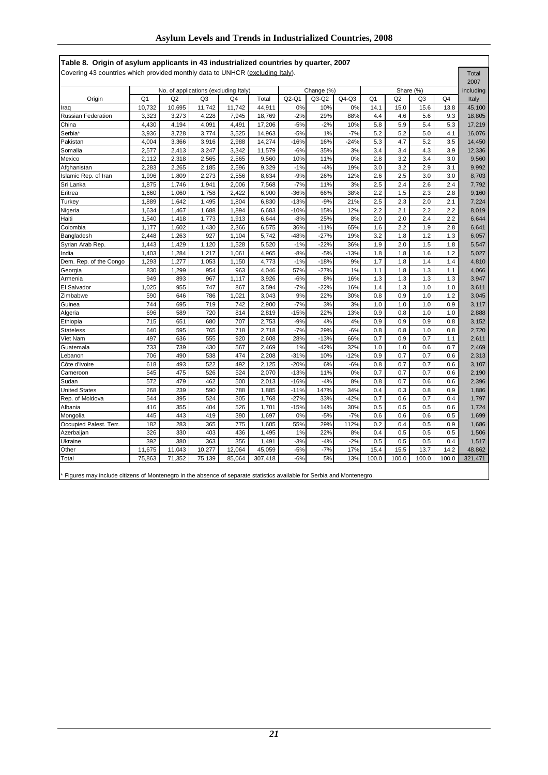| Table 8. Origin of asylum applicants in 43 industrialized countries by quarter, 2007 |        |                                       |                |        |         |        |            |        |                |                |                |       |           |
|--------------------------------------------------------------------------------------|--------|---------------------------------------|----------------|--------|---------|--------|------------|--------|----------------|----------------|----------------|-------|-----------|
| Covering 43 countries which provided monthly data to UNHCR (excluding Italy).        |        |                                       |                |        |         |        |            |        |                |                |                |       | Total     |
|                                                                                      |        |                                       |                |        |         |        |            |        |                |                |                |       | 2007      |
|                                                                                      |        | No. of applications (excluding Italy) |                |        |         |        | Change (%) |        |                | Share (%)      |                |       | including |
| Origin                                                                               | Q1     | Q2                                    | Q <sub>3</sub> | Q4     | Total   | Q2-Q1  | Q3-Q2      | Q4-Q3  | Q <sub>1</sub> | Q <sub>2</sub> | Q <sub>3</sub> | Q4    | Italy     |
| Iraq                                                                                 | 10,732 | 10,695                                | 11,742         | 11,742 | 44,911  | 0%     | 10%        | 0%     | 14.1           | 15.0           | 15.6           | 13.8  | 45,100    |
| <b>Russian Federation</b>                                                            | 3,323  | 3,273                                 | 4,228          | 7,945  | 18,769  | $-2%$  | 29%        | 88%    | 4.4            | 4.6            | 5.6            | 9.3   | 18,805    |
| China                                                                                | 4,430  | 4,194                                 | 4,091          | 4,491  | 17,206  | $-5%$  | $-2%$      | 10%    | 5.8            | 5.9            | 5.4            | 5.3   | 17,219    |
| Serbia <sup>*</sup>                                                                  | 3,936  | 3,728                                 | 3,774          | 3,525  | 14,963  | $-5%$  | 1%         | $-7%$  | 5.2            | 5.2            | 5.0            | 4.1   | 16,076    |
| Pakistan                                                                             | 4,004  | 3,366                                 | 3,916          | 2,988  | 14,274  | $-16%$ | 16%        | $-24%$ | 5.3            | 4.7            | 5.2            | 3.5   | 14,450    |
| Somalia                                                                              | 2,577  | 2,413                                 | 3,247          | 3,342  | 11,579  | $-6%$  | 35%        | 3%     | 3.4            | 3.4            | 4.3            | 3.9   | 12,336    |
| Mexico                                                                               | 2,112  | 2,318                                 | 2,565          | 2,565  | 9,560   | 10%    | 11%        | 0%     | 2.8            | 3.2            | 3.4            | 3.0   | 9,560     |
| Afghanistan                                                                          | 2,283  | 2,265                                 | 2,185          | 2,596  | 9,329   | $-1%$  | $-4%$      | 19%    | 3.0            | 3.2            | 2.9            | 3.1   | 9,992     |
| Islamic Rep. of Iran                                                                 | 1.996  | 1,809                                 | 2,273          | 2,556  | 8,634   | $-9%$  | 26%        | 12%    | 2.6            | 2.5            | 3.0            | 3.0   | 8,703     |
| Sri Lanka                                                                            | 1.875  | 1,746                                 | 1,941          | 2,006  | 7,568   | $-7%$  | 11%        | 3%     | 2.5            | 2.4            | 2.6            | 2.4   | 7,792     |
| Eritrea                                                                              | 1,660  | 1,060                                 | 1,758          | 2,422  | 6,900   | -36%   | 66%        | 38%    | 2.2            | 1.5            | 2.3            | 2.8   | 9,160     |
| Turkey                                                                               | 1,889  | 1,642                                 | 1,495          | 1,804  | 6,830   | $-13%$ | $-9%$      | 21%    | 2.5            | 2.3            | 2.0            | 2.1   | 7,224     |
| Nigeria                                                                              | 1,634  | 1,467                                 | 1,688          | 1,894  | 6,683   | $-10%$ | 15%        | 12%    | 2.2            | 2.1            | 2.2            | 2.2   | 8,019     |
| Haiti                                                                                | 1,540  | 1,418                                 | 1,773          | 1,913  | 6,644   | $-8%$  | 25%        | 8%     | 2.0            | 2.0            | 2.4            | 2.2   | 6,644     |
| Colombia                                                                             | 1,177  | 1,602                                 | 1,430          | 2,366  | 6,575   | 36%    | $-11%$     | 65%    | 1.6            | 2.2            | 1.9            | 2.8   | 6,641     |
| Bangladesh                                                                           | 2,448  | 1,263                                 | 927            | 1,104  | 5,742   | $-48%$ | $-27%$     | 19%    | 3.2            | 1.8            | 1.2            | 1.3   | 6,057     |
| Syrian Arab Rep.                                                                     | 1,443  | 1,429                                 | 1,120          | 1,528  | 5,520   | $-1%$  | $-22%$     | 36%    | 1.9            | 2.0            | 1.5            | 1.8   | 5,547     |
| India                                                                                | 1,403  | 1,284                                 | 1,217          | 1,061  | 4,965   | $-8%$  | $-5%$      | $-13%$ | 1.8            | 1.8            | 1.6            | 1.2   | 5,027     |
| Dem. Rep. of the Congo                                                               | 1,293  | 1,277                                 | 1,053          | 1,150  | 4,773   | $-1%$  | $-18%$     | 9%     | 1.7            | 1.8            | 1.4            | 1.4   | 4,810     |
| Georgia                                                                              | 830    | 1,299                                 | 954            | 963    | 4,046   | 57%    | $-27%$     | 1%     | 1.1            | 1.8            | 1.3            | 1.1   | 4,066     |
| Armenia                                                                              | 949    | 893                                   | 967            | 1,117  | 3,926   | $-6%$  | 8%         | 16%    | 1.3            | 1.3            | 1.3            | 1.3   | 3,947     |
| El Salvador                                                                          | 1,025  | 955                                   | 747            | 867    | 3,594   | $-7%$  | $-22%$     | 16%    | 1.4            | 1.3            | 1.0            | 1.0   | 3,611     |
| Zimbabwe                                                                             | 590    | 646                                   | 786            | 1,021  | 3,043   | 9%     | 22%        | 30%    | 0.8            | 0.9            | 1.0            | 1.2   | 3,045     |
| Guinea                                                                               | 744    | 695                                   | 719            | 742    | 2,900   | $-7%$  | 3%         | 3%     | 1.0            | 1.0            | 1.0            | 0.9   | 3,117     |
| Algeria                                                                              | 696    | 589                                   | 720            | 814    | 2,819   | $-15%$ | 22%        | 13%    | 0.9            | 0.8            | 1.0            | 1.0   | 2,888     |
| Ethiopia                                                                             | 715    | 651                                   | 680            | 707    | 2,753   | $-9%$  | 4%         | 4%     | 0.9            | 0.9            | 0.9            | 0.8   | 3,152     |
| <b>Stateless</b>                                                                     | 640    | 595                                   | 765            | 718    | 2,718   | $-7%$  | 29%        | $-6%$  | 0.8            | 0.8            | 1.0            | 0.8   | 2,720     |
| Viet Nam                                                                             | 497    | 636                                   | 555            | 920    | 2,608   | 28%    | $-13%$     | 66%    | 0.7            | 0.9            | 0.7            | 1.1   | 2,611     |
| Guatemala                                                                            | 733    | 739                                   | 430            | 567    | 2,469   | 1%     | $-42%$     | 32%    | 1.0            | 1.0            | 0.6            | 0.7   | 2,469     |
| Lebanon                                                                              | 706    | 490                                   | 538            | 474    | 2,208   | $-31%$ | 10%        | $-12%$ | 0.9            | 0.7            | 0.7            | 0.6   | 2,313     |
| Côte d'Ivoire                                                                        | 618    | 493                                   | 522            | 492    | 2,125   | $-20%$ | 6%         | $-6%$  | 0.8            | 0.7            | 0.7            | 0.6   | 3,107     |
| Cameroon                                                                             | 545    | 475                                   | 526            | 524    | 2,070   | $-13%$ | 11%        | 0%     | 0.7            | 0.7            | 0.7            | 0.6   | 2,190     |
| Sudan                                                                                | 572    | 479                                   | 462            | 500    | 2,013   | $-16%$ | $-4%$      | 8%     | 0.8            | 0.7            | 0.6            | 0.6   | 2,396     |
| <b>United States</b>                                                                 | 268    | 239                                   | 590            | 788    | 1,885   | $-11%$ | 147%       | 34%    | 0.4            | 0.3            | 0.8            | 0.9   | 1,886     |
| Rep. of Moldova                                                                      | 544    | 395                                   | 524            | 305    | 1,768   | $-27%$ | 33%        | $-42%$ | 0.7            | 0.6            | 0.7            | 0.4   | 1,797     |
| Albania                                                                              | 416    | 355                                   | 404            | 526    | 1,701   | $-15%$ | 14%        | 30%    | 0.5            | 0.5            | 0.5            | 0.6   | 1,724     |
| Mongolia                                                                             | 445    | 443                                   | 419            | 390    | 1,697   | 0%     | $-5%$      | $-7%$  | 0.6            | 0.6            | 0.6            | 0.5   | 1,699     |
| Occupied Palest. Terr.                                                               | 182    | 283                                   | 365            | 775    | 1,605   | 55%    | 29%        | 112%   | 0.2            | 0.4            | 0.5            | 0.9   | 1,686     |
| Azerbaijan                                                                           | 326    | 330                                   | 403            | 436    | 1,495   | 1%     | 22%        | 8%     | 0.4            | 0.5            | 0.5            | 0.5   | 1,506     |
| Ukraine                                                                              | 392    | 380                                   | 363            | 356    | 1,491   | $-3%$  | $-4%$      | $-2%$  | 0.5            | 0.5            | 0.5            | 0.4   | 1,517     |
| Other                                                                                | 11,675 | 11,043                                | 10,277         | 12,064 | 45,059  | $-5%$  | $-7%$      | 17%    | 15.4           | 15.5           | 13.7           | 14.2  | 48,862    |
| Total                                                                                | 75,863 | 71,352                                | 75,139         | 85,064 | 307,418 | $-6%$  | 5%         | 13%    | 100.0          | 100.0          | 100.0          | 100.0 | 321,471   |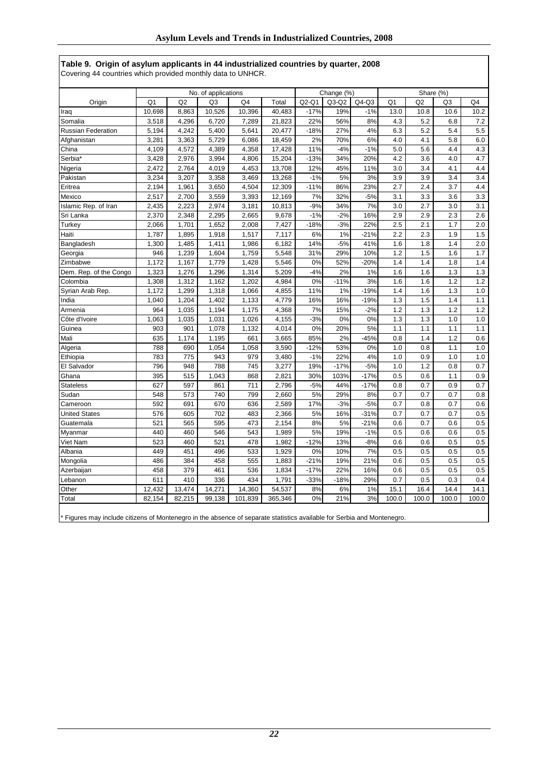**Table 9. Origin of asylum applicants in 44 industrialized countries by quarter, 2008** Covering 44 countries which provided monthly data to UNHCR.

|                                                                                                                        |                |        | No. of applications |                |         |         | Change (%) |         |                | Share (%) |       |                |
|------------------------------------------------------------------------------------------------------------------------|----------------|--------|---------------------|----------------|---------|---------|------------|---------|----------------|-----------|-------|----------------|
| Origin                                                                                                                 | Q <sub>1</sub> | Q2     | Q <sub>3</sub>      | Q <sub>4</sub> | Total   | $Q2-Q1$ | $Q3-Q2$    | $Q4-Q3$ | Q <sub>1</sub> | Q2        | Q3    | Q <sub>4</sub> |
| Iraq                                                                                                                   | 10,698         | 8,863  | 10,526              | 10,396         | 40,483  | $-17%$  | 19%        | $-1%$   | 13.0           | 10.8      | 10.6  | 10.2           |
| Somalia                                                                                                                | 3,518          | 4,296  | 6,720               | 7,289          | 21,823  | 22%     | 56%        | 8%      | 4.3            | 5.2       | 6.8   | 7.2            |
| <b>Russian Federation</b>                                                                                              | 5,194          | 4,242  | 5,400               | 5,641          | 20,477  | $-18%$  | 27%        | 4%      | 6.3            | 5.2       | 5.4   | 5.5            |
| Afghanistan                                                                                                            | 3,281          | 3,363  | 5,729               | 6,086          | 18.459  | 2%      | 70%        | 6%      | 4.0            | 4.1       | 5.8   | 6.0            |
| China                                                                                                                  | 4,109          | 4,572  | 4,389               | 4,358          | 17,428  | 11%     | $-4%$      | $-1%$   | 5.0            | 5.6       | 4.4   | 4.3            |
| Serbia*                                                                                                                | 3,428          | 2,976  | 3,994               | 4,806          | 15,204  | $-13%$  | 34%        | 20%     | 4.2            | 3.6       | 4.0   | 4.7            |
| Nigeria                                                                                                                | 2,472          | 2,764  | 4,019               | 4,453          | 13,708  | 12%     | 45%        | 11%     | 3.0            | 3.4       | 4.1   | 4.4            |
| Pakistan                                                                                                               | 3,234          | 3,207  | 3,358               | 3,469          | 13,268  | $-1%$   | 5%         | 3%      | 3.9            | 3.9       | 3.4   | 3.4            |
| Eritrea                                                                                                                | 2,194          | 1,961  | 3,650               | 4,504          | 12,309  | $-11%$  | 86%        | 23%     | 2.7            | 2.4       | 3.7   | 4.4            |
| Mexico                                                                                                                 | 2,517          | 2,700  | 3,559               | 3,393          | 12,169  | 7%      | 32%        | $-5%$   | 3.1            | 3.3       | 3.6   | 3.3            |
| Islamic Rep. of Iran                                                                                                   | 2,435          | 2,223  | 2,974               | 3,181          | 10,813  | $-9%$   | 34%        | 7%      | 3.0            | 2.7       | 3.0   | 3.1            |
| Sri Lanka                                                                                                              | 2,370          | 2,348  | 2,295               | 2,665          | 9,678   | $-1%$   | $-2%$      | 16%     | 2.9            | 2.9       | 2.3   | 2.6            |
| Turkey                                                                                                                 | 2,066          | 1,701  | 1,652               | 2,008          | 7,427   | $-18%$  | $-3%$      | 22%     | 2.5            | 2.1       | 1.7   | 2.0            |
| Haiti                                                                                                                  | 1,787          | 1,895  | 1,918               | 1,517          | 7,117   | 6%      | 1%         | $-21%$  | 2.2            | 2.3       | 1.9   | 1.5            |
| Bangladesh                                                                                                             | 1,300          | 1,485  | 1,411               | 1,986          | 6,182   | 14%     | $-5%$      | 41%     | 1.6            | 1.8       | 1.4   | 2.0            |
| Georgia                                                                                                                | 946            | 1,239  | 1,604               | 1,759          | 5,548   | 31%     | 29%        | 10%     | 1.2            | 1.5       | 1.6   | 1.7            |
| Zimbabwe                                                                                                               | 1,172          | 1,167  | 1,779               | 1,428          | 5,546   | 0%      | 52%        | $-20%$  | 1.4            | 1.4       | 1.8   | 1.4            |
| Dem. Rep. of the Congo                                                                                                 | 1,323          | 1,276  | 1,296               | 1,314          | 5,209   | $-4%$   | 2%         | 1%      | 1.6            | 1.6       | 1.3   | 1.3            |
| Colombia                                                                                                               | 1,308          | 1,312  | 1,162               | 1,202          | 4,984   | 0%      | $-11%$     | 3%      | 1.6            | 1.6       | 1.2   | 1.2            |
| Syrian Arab Rep.                                                                                                       | 1,172          | 1,299  | 1,318               | 1,066          | 4,855   | 11%     | 1%         | $-19%$  | 1.4            | 1.6       | 1.3   | 1.0            |
| India                                                                                                                  | 1,040          | 1,204  | 1,402               | 1,133          | 4,779   | 16%     | 16%        | $-19%$  | 1.3            | 1.5       | 1.4   | 1.1            |
| Armenia                                                                                                                | 964            | 1,035  | 1,194               | 1,175          | 4,368   | 7%      | 15%        | $-2%$   | 1.2            | 1.3       | 1.2   | 1.2            |
| Côte d'Ivoire                                                                                                          | 1,063          | 1,035  | 1,031               | 1,026          | 4,155   | $-3%$   | 0%         | 0%      | 1.3            | 1.3       | 1.0   | 1.0            |
| Guinea                                                                                                                 | 903            | 901    | 1,078               | 1,132          | 4,014   | 0%      | 20%        | 5%      | 1.1            | 1.1       | 1.1   | 1.1            |
| Mali                                                                                                                   | 635            | 1,174  | 1,195               | 661            | 3,665   | 85%     | 2%         | $-45%$  | 0.8            | 1.4       | 1.2   | 0.6            |
| Algeria                                                                                                                | 788            | 690    | 1,054               | 1,058          | 3,590   | $-12%$  | 53%        | 0%      | 1.0            | 0.8       | 1.1   | 1.0            |
| Ethiopia                                                                                                               | 783            | 775    | 943                 | 979            | 3,480   | $-1%$   | 22%        | 4%      | 1.0            | 0.9       | 1.0   | 1.0            |
| El Salvador                                                                                                            | 796            | 948    | 788                 | 745            | 3,277   | 19%     | $-17%$     | $-5%$   | 1.0            | 1.2       | 0.8   | 0.7            |
| Ghana                                                                                                                  | 395            | 515    | 1,043               | 868            | 2,821   | 30%     | 103%       | $-17%$  | 0.5            | 0.6       | 1.1   | 0.9            |
| Stateless                                                                                                              | 627            | 597    | 861                 | 711            | 2,796   | $-5%$   | 44%        | $-17%$  | 0.8            | 0.7       | 0.9   | 0.7            |
| Sudan                                                                                                                  | 548            | 573    | 740                 | 799            | 2,660   | 5%      | 29%        | 8%      | 0.7            | 0.7       | 0.7   | 0.8            |
| Cameroon                                                                                                               | 592            | 691    | 670                 | 636            | 2,589   | 17%     | $-3%$      | $-5%$   | 0.7            | 0.8       | 0.7   | 0.6            |
| <b>United States</b>                                                                                                   | 576            | 605    | 702                 | 483            | 2,366   | 5%      | 16%        | $-31%$  | 0.7            | 0.7       | 0.7   | 0.5            |
| Guatemala                                                                                                              | 521            | 565    | 595                 | 473            | 2,154   | 8%      | 5%         | $-21%$  | 0.6            | 0.7       | 0.6   | 0.5            |
| Myanmar                                                                                                                | 440            | 460    | 546                 | 543            | 1,989   | 5%      | 19%        | $-1%$   | 0.5            | 0.6       | 0.6   | 0.5            |
| Viet Nam                                                                                                               | 523            | 460    | 521                 | 478            | 1,982   | $-12%$  | 13%        | $-8%$   | 0.6            | 0.6       | 0.5   | 0.5            |
| Albania                                                                                                                | 449            | 451    | 496                 | 533            | 1,929   | 0%      | 10%        | 7%      | 0.5            | 0.5       | 0.5   | 0.5            |
| Mongolia                                                                                                               | 486            | 384    | 458                 | 555            | 1,883   | $-21%$  | 19%        | 21%     | 0.6            | 0.5       | 0.5   | 0.5            |
| Azerbaijan                                                                                                             | 458            | 379    | 461                 | 536            | 1,834   | $-17%$  | 22%        | 16%     | 0.6            | 0.5       | 0.5   | 0.5            |
| Lebanon                                                                                                                | 611            | 410    | 336                 | 434            | 1,791   | $-33%$  | $-18%$     | 29%     | 0.7            | 0.5       | 0.3   | 0.4            |
| Other                                                                                                                  | 12,432         | 13,474 | 14,271              | 14,360         | 54,537  | 8%      | 6%         | 1%      | 15.1           | 16.4      | 14.4  | 14.1           |
| Total                                                                                                                  | 82,154         | 82,215 | 99,138              | 101,839        | 365,346 | 0%      | 21%        | 3%      | 100.0          | 100.0     | 100.0 | 100.0          |
| * Figures may include citizens of Montenegro in the absence of separate statistics available for Serbia and Montenegro |                |        |                     |                |         |         |            |         |                |           |       |                |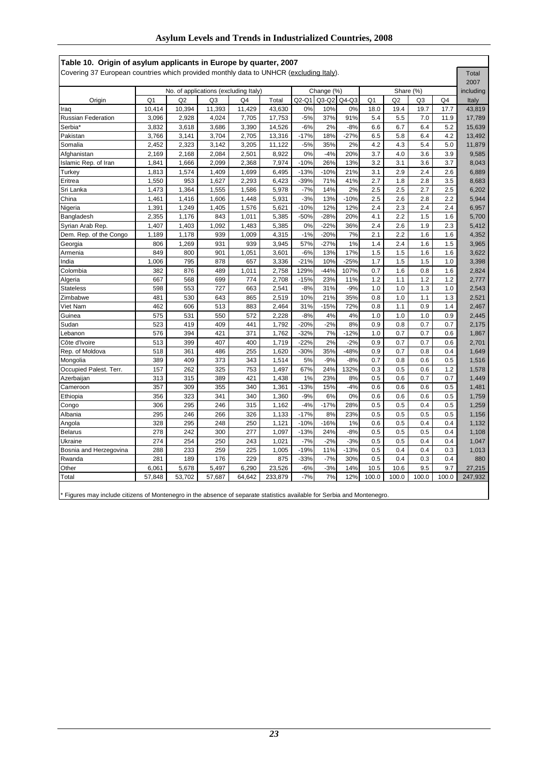|                           |                |                                       |                |        |         |         |            |         |                |           |                | 2007           |           |
|---------------------------|----------------|---------------------------------------|----------------|--------|---------|---------|------------|---------|----------------|-----------|----------------|----------------|-----------|
|                           |                | No. of applications (excluding Italy) |                |        |         |         | Change (%) |         |                | Share (%) |                |                | including |
| Origin                    | Q <sub>1</sub> | Q2                                    | Q <sub>3</sub> | Q4     | Total   | $Q2-Q1$ | $Q3-Q2$    | $Q4-Q3$ | Q <sub>1</sub> | Q2        | Q <sub>3</sub> | Q <sub>4</sub> | Italy     |
| Iraq                      | 10,414         | 10,394                                | 11,393         | 11,429 | 43,630  | 0%      | 10%        | 0%      | 18.0           | 19.4      | 19.7           | 17.7           | 43,819    |
| <b>Russian Federation</b> | 3,096          | 2,928                                 | 4,024          | 7,705  | 17,753  | $-5%$   | 37%        | 91%     | 5.4            | 5.5       | 7.0            | 11.9           | 17,789    |
| Serbia <sup>*</sup>       | 3,832          | 3,618                                 | 3,686          | 3,390  | 14,526  | $-6%$   | 2%         | $-8%$   | 6.6            | 6.7       | 6.4            | 5.2            | 15,639    |
| Pakistan                  | 3,766          | 3,141                                 | 3,704          | 2,705  | 13,316  | $-17%$  | 18%        | $-27%$  | 6.5            | 5.8       | 6.4            | 4.2            | 13,492    |
| Somalia                   | 2,452          | 2,323                                 | 3,142          | 3,205  | 11,122  | $-5%$   | 35%        | 2%      | 4.2            | 4.3       | 5.4            | 5.0            | 11,879    |
| Afghanistan               | 2,169          | 2,168                                 | 2,084          | 2,501  | 8,922   | 0%      | $-4%$      | 20%     | 3.7            | 4.0       | 3.6            | 3.9            | 9,585     |
| Islamic Rep. of Iran      | 1,841          | 1,666                                 | 2,099          | 2,368  | 7,974   | $-10%$  | 26%        | 13%     | 3.2            | 3.1       | 3.6            | 3.7            | 8,043     |
| Turkey                    | 1,813          | 1,574                                 | 1,409          | 1,699  | 6,495   | $-13%$  | $-10%$     | 21%     | 3.1            | 2.9       | 2.4            | 2.6            | 6,889     |
| Eritrea                   | 1,550          | 953                                   | 1,627          | 2,293  | 6,423   | $-39%$  | 71%        | 41%     | 2.7            | 1.8       | 2.8            | 3.5            | 8,683     |
| Sri Lanka                 | 1,473          | 1,364                                 | 1,555          | 1,586  | 5,978   | $-7%$   | 14%        | 2%      | 2.5            | 2.5       | 2.7            | 2.5            | 6,202     |
| China                     | 1,461          | 1,416                                 | 1,606          | 1,448  | 5,931   | $-3%$   | 13%        | $-10%$  | 2.5            | 2.6       | 2.8            | 2.2            | 5,944     |
| Nigeria                   | 1,391          | 1,249                                 | 1,405          | 1,576  | 5,621   | $-10%$  | 12%        | 12%     | 2.4            | 2.3       | 2.4            | 2.4            | 6,957     |
| Bangladesh                | 2,355          | 1,176                                 | 843            | 1,011  | 5,385   | $-50%$  | $-28%$     | 20%     | 4.1            | 2.2       | 1.5            | 1.6            | 5,700     |
| Syrian Arab Rep.          | 1,407          | 1,403                                 | 1,092          | 1,483  | 5,385   | 0%      | $-22%$     | 36%     | 2.4            | 2.6       | 1.9            | 2.3            | 5,412     |
| Dem. Rep. of the Congo    | 1,189          | 1,178                                 | 939            | 1,009  | 4,315   | $-1%$   | $-20%$     | 7%      | 2.1            | 2.2       | 1.6            | 1.6            | 4,352     |
| Georgia                   | 806            | 1,269                                 | 931            | 939    | 3,945   | 57%     | $-27%$     | 1%      | 1.4            | 2.4       | 1.6            | 1.5            | 3,965     |
| Armenia                   | 849            | 800                                   | 901            | 1,051  | 3,601   | $-6%$   | 13%        | 17%     | 1.5            | 1.5       | 1.6            | 1.6            | 3,622     |
| India                     | 1,006          | 795                                   | 878            | 657    | 3,336   | $-21%$  | 10%        | $-25%$  | 1.7            | 1.5       | 1.5            | 1.0            | 3,398     |
| Colombia                  | 382            | 876                                   | 489            | 1,011  | 2,758   | 129%    | $-44%$     | 107%    | 0.7            | 1.6       | 0.8            | 1.6            | 2,824     |
| Algeria                   | 667            | 568                                   | 699            | 774    | 2,708   | $-15%$  | 23%        | 11%     | 1.2            | 1.1       | 1.2            | 1.2            | 2,777     |
| Stateless                 | 598            | 553                                   | 727            | 663    | 2,541   | $-8%$   | 31%        | $-9%$   | 1.0            | 1.0       | 1.3            | 1.0            | 2,543     |
| Zimbabwe                  | 481            | 530                                   | 643            | 865    | 2,519   | 10%     | 21%        | 35%     | 0.8            | 1.0       | 1.1            | 1.3            | 2,521     |
| Viet Nam                  | 462            | 606                                   | 513            | 883    | 2,464   | 31%     | $-15%$     | 72%     | 0.8            | 1.1       | 0.9            | 1.4            | 2,467     |
| Guinea                    | 575            | 531                                   | 550            | 572    | 2,228   | $-8%$   | 4%         | 4%      | 1.0            | 1.0       | 1.0            | 0.9            | 2,445     |
| Sudan                     | 523            | 419                                   | 409            | 441    | 1,792   | $-20%$  | $-2%$      | 8%      | 0.9            | 0.8       | 0.7            | 0.7            | 2,175     |
| Lebanon                   | 576            | 394                                   | 421            | 371    | 1,762   | $-32%$  | 7%         | $-12%$  | 1.0            | 0.7       | 0.7            | 0.6            | 1,867     |
| Côte d'Ivoire             | 513            | 399                                   | 407            | 400    | 1,719   | $-22%$  | 2%         | $-2%$   | 0.9            | 0.7       | 0.7            | 0.6            | 2,701     |
| Rep. of Moldova           | 518            | 361                                   | 486            | 255    | 1,620   | $-30%$  | 35%        | $-48%$  | 0.9            | 0.7       | 0.8            | 0.4            | 1,649     |
| Mongolia                  | 389            | 409                                   | 373            | 343    | 1,514   | 5%      | $-9%$      | $-8%$   | 0.7            | 0.8       | 0.6            | 0.5            | 1,516     |
| Occupied Palest. Terr.    | 157            | 262                                   | 325            | 753    | 1,497   | 67%     | 24%        | 132%    | 0.3            | 0.5       | 0.6            | 1.2            | 1,578     |
| Azerbaijan                | 313            | 315                                   | 389            | 421    | 1,438   | 1%      | 23%        | 8%      | 0.5            | 0.6       | 0.7            | 0.7            | 1,449     |
| Cameroon                  | 357            | 309                                   | 355            | 340    | 1,361   | $-13%$  | 15%        | $-4%$   | 0.6            | 0.6       | 0.6            | 0.5            | 1,481     |
| Ethiopia                  | 356            | 323                                   | 341            | 340    | 1,360   | $-9%$   | 6%         | 0%      | 0.6            | 0.6       | 0.6            | 0.5            | 1,759     |
| Congo                     | 306            | 295                                   | 246            | 315    | 1,162   | $-4%$   | $-17%$     | 28%     | 0.5            | 0.5       | 0.4            | 0.5            | 1,259     |
| Albania                   | 295            | 246                                   | 266            | 326    | 1,133   | $-17%$  | 8%         | 23%     | 0.5            | 0.5       | 0.5            | 0.5            | 1,156     |
| Angola                    | 328            | 295                                   | 248            | 250    | 1,121   | $-10%$  | $-16%$     | 1%      | 0.6            | 0.5       | 0.4            | 0.4            | 1,132     |
| <b>Belarus</b>            | 278            | 242                                   | 300            | 277    | 1,097   | $-13%$  | 24%        | $-8%$   | 0.5            | 0.5       | 0.5            | 0.4            | 1,108     |
| Ukraine                   | 274            | 254                                   | 250            | 243    | 1,021   | $-7%$   | $-2%$      | $-3%$   | 0.5            | 0.5       | 0.4            | 0.4            | 1,047     |
| Bosnia and Herzegovina    | 288            | 233                                   | 259            | 225    | 1,005   | $-19%$  | 11%        | $-13%$  | 0.5            | 0.4       | 0.4            | 0.3            | 1,013     |
| Rwanda                    | 281            | 189                                   | 176            | 229    | 875     | $-33%$  | $-7%$      | 30%     | 0.5            | 0.4       | 0.3            | 0.4            | 880       |
| Other                     | 6,061          | 5,678                                 | 5,497          | 6,290  | 23,526  | $-6%$   | $-3%$      | 14%     | 10.5           | 10.6      | 9.5            | 9.7            | 27,215    |
| Total                     | 57,848         | 53,702                                | 57,687         | 64,642 | 233,879 | $-7%$   | 7%         | 12%     | 100.0          | 100.0     | 100.0          | 100.0          | 247,932   |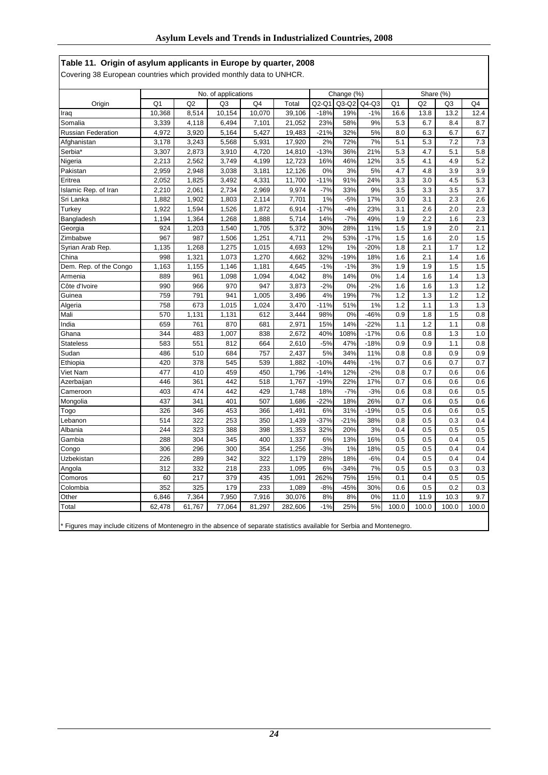|  |  | Table 11. Origin of asylum applicants in Europe by quarter, 2008 |  |  |
|--|--|------------------------------------------------------------------|--|--|
|--|--|------------------------------------------------------------------|--|--|

Covering 38 European countries which provided monthly data to UNHCR.

|                           | No. of applications |                |                |        |         |         | Change (%) |         | Share (%)      |                |                |       |
|---------------------------|---------------------|----------------|----------------|--------|---------|---------|------------|---------|----------------|----------------|----------------|-------|
| Origin                    | Q <sub>1</sub>      | Q <sub>2</sub> | Q <sub>3</sub> | Q4     | Total   | $Q2-Q1$ | $Q3-Q2$    | $Q4-Q3$ | Q <sub>1</sub> | Q <sub>2</sub> | Q <sub>3</sub> | Q4    |
| Iraq                      | 10,368              | 8,514          | 10,154         | 10,070 | 39,106  | $-18%$  | 19%        | $-1%$   | 16.6           | 13.8           | 13.2           | 12.4  |
| Somalia                   | 3,339               | 4,118          | 6,494          | 7,101  | 21,052  | 23%     | 58%        | 9%      | 5.3            | 6.7            | 8.4            | 8.7   |
| <b>Russian Federation</b> | 4,972               | 3,920          | 5,164          | 5,427  | 19,483  | $-21%$  | 32%        | 5%      | 8.0            | 6.3            | 6.7            | 6.7   |
| Afghanistan               | 3,178               | 3,243          | 5,568          | 5,931  | 17,920  | 2%      | 72%        | 7%      | 5.1            | 5.3            | 7.2            | 7.3   |
| Serbia*                   | 3,307               | 2,873          | 3,910          | 4,720  | 14,810  | $-13%$  | 36%        | 21%     | 5.3            | 4.7            | 5.1            | 5.8   |
| Nigeria                   | 2,213               | 2,562          | 3,749          | 4,199  | 12,723  | 16%     | 46%        | 12%     | 3.5            | 4.1            | 4.9            | 5.2   |
| Pakistan                  | 2,959               | 2,948          | 3,038          | 3,181  | 12,126  | 0%      | 3%         | 5%      | 4.7            | 4.8            | 3.9            | 3.9   |
| Eritrea                   | 2,052               | 1,825          | 3,492          | 4,331  | 11,700  | $-11%$  | 91%        | 24%     | 3.3            | 3.0            | 4.5            | 5.3   |
| Islamic Rep. of Iran      | 2,210               | 2,061          | 2,734          | 2,969  | 9,974   | $-7%$   | 33%        | 9%      | 3.5            | 3.3            | 3.5            | 3.7   |
| Sri Lanka                 | 1,882               | 1,902          | 1,803          | 2,114  | 7,701   | 1%      | $-5%$      | 17%     | 3.0            | 3.1            | 2.3            | 2.6   |
| Turkey                    | 1,922               | 1,594          | 1,526          | 1,872  | 6,914   | $-17%$  | $-4%$      | 23%     | 3.1            | 2.6            | 2.0            | 2.3   |
| Bangladesh                | 1,194               | 1,364          | 1,268          | 1,888  | 5,714   | 14%     | $-7%$      | 49%     | 1.9            | 2.2            | 1.6            | 2.3   |
| Georgia                   | 924                 | 1.203          | 1,540          | 1,705  | 5,372   | 30%     | 28%        | 11%     | 1.5            | 1.9            | 2.0            | 2.1   |
| Zimbabwe                  | 967                 | 987            | 1,506          | 1,251  | 4,711   | 2%      | 53%        | $-17%$  | 1.5            | 1.6            | 2.0            | 1.5   |
| Syrian Arab Rep.          | 1,135               | 1,268          | 1,275          | 1,015  | 4,693   | 12%     | 1%         | $-20%$  | 1.8            | 2.1            | 1.7            | 1.2   |
| China                     | 998                 | 1,321          | 1,073          | 1,270  | 4,662   | 32%     | $-19%$     | 18%     | 1.6            | 2.1            | 1.4            | 1.6   |
| Dem. Rep. of the Congo    | 1,163               | 1,155          | 1,146          | 1,181  | 4,645   | $-1%$   | $-1%$      | 3%      | 1.9            | 1.9            | 1.5            | 1.5   |
| Armenia                   | 889                 | 961            | 1,098          | 1,094  | 4,042   | 8%      | 14%        | 0%      | 1.4            | 1.6            | 1.4            | 1.3   |
| Côte d'Ivoire             | 990                 | 966            | 970            | 947    | 3,873   | $-2%$   | 0%         | $-2%$   | 1.6            | 1.6            | 1.3            | 1.2   |
| Guinea                    | 759                 | 791            | 941            | 1,005  | 3,496   | 4%      | 19%        | 7%      | 1.2            | 1.3            | 1.2            | 1.2   |
| Algeria                   | 758                 | 673            | 1,015          | 1,024  | 3,470   | $-11%$  | 51%        | 1%      | 1.2            | 1.1            | 1.3            | 1.3   |
| Mali                      | 570                 | 1,131          | 1,131          | 612    | 3,444   | 98%     | 0%         | $-46%$  | 0.9            | 1.8            | 1.5            | 0.8   |
| India                     | 659                 | 761            | 870            | 681    | 2,971   | 15%     | 14%        | $-22%$  | 1.1            | 1.2            | 1.1            | 0.8   |
| Ghana                     | 344                 | 483            | 1,007          | 838    | 2,672   | 40%     | 108%       | $-17%$  | 0.6            | 0.8            | 1.3            | 1.0   |
| <b>Stateless</b>          | 583                 | 551            | 812            | 664    | 2,610   | $-5%$   | 47%        | $-18%$  | 0.9            | 0.9            | 1.1            | 0.8   |
| Sudan                     | 486                 | 510            | 684            | 757    | 2,437   | 5%      | 34%        | 11%     | 0.8            | 0.8            | 0.9            | 0.9   |
| Ethiopia                  | 420                 | 378            | 545            | 539    | 1,882   | $-10%$  | 44%        | $-1%$   | 0.7            | 0.6            | 0.7            | 0.7   |
| Viet Nam                  | 477                 | 410            | 459            | 450    | 1,796   | $-14%$  | 12%        | $-2%$   | 0.8            | 0.7            | 0.6            | 0.6   |
| Azerbaijan                | 446                 | 361            | 442            | 518    | 1,767   | $-19%$  | 22%        | 17%     | 0.7            | 0.6            | 0.6            | 0.6   |
| Cameroon                  | 403                 | 474            | 442            | 429    | 1,748   | 18%     | $-7%$      | $-3%$   | 0.6            | 0.8            | 0.6            | 0.5   |
| Mongolia                  | 437                 | 341            | 401            | 507    | 1,686   | $-22%$  | 18%        | 26%     | 0.7            | 0.6            | 0.5            | 0.6   |
| Togo                      | 326                 | 346            | 453            | 366    | 1,491   | 6%      | 31%        | $-19%$  | 0.5            | 0.6            | 0.6            | 0.5   |
| Lebanon                   | 514                 | 322            | 253            | 350    | 1,439   | $-37%$  | $-21%$     | 38%     | 0.8            | 0.5            | 0.3            | 0.4   |
| Albania                   | 244                 | 323            | 388            | 398    | 1,353   | 32%     | 20%        | 3%      | 0.4            | 0.5            | 0.5            | 0.5   |
| Gambia                    | 288                 | 304            | 345            | 400    | 1,337   | 6%      | 13%        | 16%     | 0.5            | 0.5            | 0.4            | 0.5   |
| Congo                     | 306                 | 296            | 300            | 354    | 1,256   | $-3%$   | 1%         | 18%     | 0.5            | 0.5            | 0.4            | 0.4   |
| Uzbekistan                | 226                 | 289            | 342            | 322    | 1,179   | 28%     | 18%        | $-6%$   | 0.4            | 0.5            | 0.4            | 0.4   |
| Angola                    | 312                 | 332            | 218            | 233    | 1,095   | 6%      | $-34%$     | 7%      | 0.5            | 0.5            | 0.3            | 0.3   |
| Comoros                   | 60                  | 217            | 379            | 435    | 1,091   | 262%    | 75%        | 15%     | 0.1            | 0.4            | 0.5            | 0.5   |
| Colombia                  | 352                 | 325            | 179            | 233    | 1,089   | $-8%$   | $-45%$     | 30%     | 0.6            | 0.5            | 0.2            | 0.3   |
| Other                     | 6,846               | 7,364          | 7,950          | 7,916  | 30,076  | 8%      | 8%         | 0%      | 11.0           | 11.9           | 10.3           | 9.7   |
| Total                     | 62,478              | 61,767         | 77,064         | 81,297 | 282,606 | $-1%$   | 25%        | 5%      | 100.0          | 100.0          | 100.0          | 100.0 |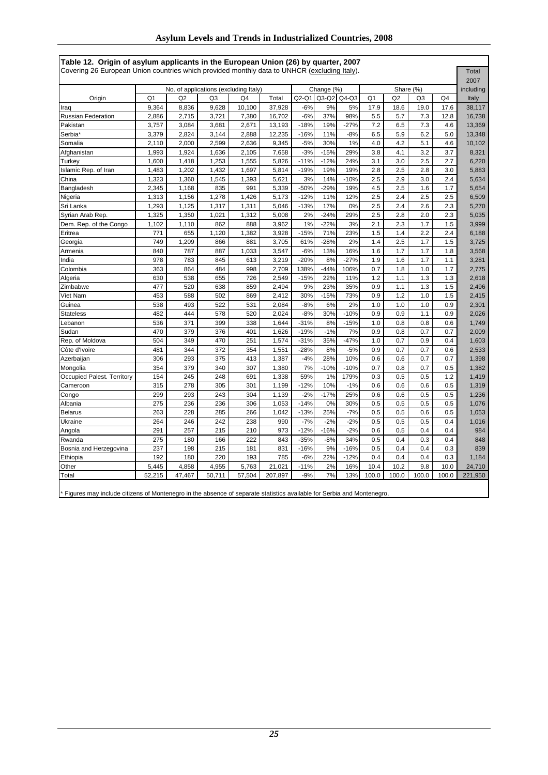|                            |                |                                       |        |        |         |         |            |         |                |           |                |                | 2007      |
|----------------------------|----------------|---------------------------------------|--------|--------|---------|---------|------------|---------|----------------|-----------|----------------|----------------|-----------|
|                            |                | No. of applications (excluding Italy) |        |        |         |         | Change (%) |         |                | Share (%) |                |                | including |
| Origin                     | Q <sub>1</sub> | Q2                                    | Q3     | Q4     | Total   | $Q2-Q1$ | $Q3-Q2$    | $Q4-Q3$ | Q <sub>1</sub> | Q2        | Q <sub>3</sub> | Q <sub>4</sub> | Italy     |
| Iraq                       | 9.364          | 8,836                                 | 9,628  | 10,100 | 37,928  | $-6%$   | 9%         | 5%      | 17.9           | 18.6      | 19.0           | 17.6           | 38.117    |
| <b>Russian Federation</b>  | 2,886          | 2,715                                 | 3,721  | 7,380  | 16,702  | $-6%$   | 37%        | 98%     | 5.5            | 5.7       | 7.3            | 12.8           | 16,738    |
| Pakistan                   | 3,757          | 3,084                                 | 3,681  | 2,671  | 13,193  | $-18%$  | 19%        | $-27%$  | 7.2            | 6.5       | 7.3            | 4.6            | 13,369    |
| Serbia*                    | 3,379          | 2,824                                 | 3,144  | 2,888  | 12,235  | $-16%$  | 11%        | $-8%$   | 6.5            | 5.9       | 6.2            | 5.0            | 13,348    |
| Somalia                    | 2,110          | 2,000                                 | 2,599  | 2,636  | 9,345   | $-5%$   | 30%        | 1%      | 4.0            | 4.2       | 5.1            | 4.6            | 10,102    |
| Afghanistan                | 1,993          | 1,924                                 | 1,636  | 2,105  | 7,658   | $-3%$   | $-15%$     | 29%     | 3.8            | 4.1       | 3.2            | 3.7            | 8,321     |
| Turkey                     | 1,600          | 1,418                                 | 1,253  | 1,555  | 5,826   | $-11%$  | $-12%$     | 24%     | 3.1            | 3.0       | 2.5            | 2.7            | 6,220     |
| Islamic Rep. of Iran       | 1,483          | 1,202                                 | 1,432  | 1,697  | 5,814   | $-19%$  | 19%        | 19%     | 2.8            | 2.5       | 2.8            | 3.0            | 5,883     |
| China                      | 1,323          | 1,360                                 | 1,545  | 1,393  | 5,621   | 3%      | 14%        | $-10%$  | 2.5            | 2.9       | 3.0            | 2.4            | 5,634     |
| Bangladesh                 | 2,345          | 1,168                                 | 835    | 991    | 5,339   | $-50%$  | $-29%$     | 19%     | 4.5            | 2.5       | 1.6            | 1.7            | 5,654     |
| Nigeria                    | 1,313          | 1,156                                 | 1,278  | 1,426  | 5,173   | $-12%$  | 11%        | 12%     | 2.5            | 2.4       | 2.5            | 2.5            | 6,509     |
| Sri Lanka                  | 1,293          | 1,125                                 | 1,317  | 1,311  | 5,046   | $-13%$  | 17%        | 0%      | 2.5            | 2.4       | 2.6            | 2.3            | 5,270     |
| Syrian Arab Rep.           | 1,325          | 1,350                                 | 1,021  | 1,312  | 5,008   | 2%      | $-24%$     | 29%     | 2.5            | 2.8       | 2.0            | 2.3            | 5,035     |
| Dem. Rep. of the Congo     | 1,102          | 1,110                                 | 862    | 888    | 3,962   | 1%      | $-22%$     | 3%      | 2.1            | 2.3       | 1.7            | 1.5            | 3,999     |
| Eritrea                    | 771            | 655                                   | 1,120  | 1,382  | 3,928   | $-15%$  | 71%        | 23%     | 1.5            | 1.4       | 2.2            | 2.4            | 6,188     |
| Georgia                    | 749            | 1,209                                 | 866    | 881    | 3,705   | 61%     | $-28%$     | 2%      | 1.4            | 2.5       | 1.7            | 1.5            | 3,725     |
| Armenia                    | 840            | 787                                   | 887    | 1,033  | 3,547   | $-6%$   | 13%        | 16%     | 1.6            | 1.7       | 1.7            | 1.8            | 3,568     |
| India                      | 978            | 783                                   | 845    | 613    | 3,219   | $-20%$  | 8%         | $-27%$  | 1.9            | 1.6       | 1.7            | 1.1            | 3,281     |
| Colombia                   | 363            | 864                                   | 484    | 998    | 2,709   | 138%    | $-44%$     | 106%    | 0.7            | 1.8       | 1.0            | 1.7            | 2,775     |
| Algeria                    | 630            | 538                                   | 655    | 726    | 2,549   | $-15%$  | 22%        | 11%     | 1.2            | 1.1       | 1.3            | 1.3            | 2,618     |
| Zimbabwe                   | 477            | 520                                   | 638    | 859    | 2,494   | 9%      | 23%        | 35%     | 0.9            | 1.1       | 1.3            | 1.5            | 2,496     |
| Viet Nam                   | 453            | 588                                   | 502    | 869    | 2,412   | 30%     | $-15%$     | 73%     | 0.9            | 1.2       | 1.0            | 1.5            | 2,415     |
| Guinea                     | 538            | 493                                   | 522    | 531    | 2,084   | $-8%$   | 6%         | 2%      | 1.0            | 1.0       | 1.0            | 0.9            | 2,301     |
| <b>Stateless</b>           | 482            | 444                                   | 578    | 520    | 2,024   | $-8%$   | 30%        | $-10%$  | 0.9            | 0.9       | 1.1            | 0.9            | 2,026     |
| Lebanon                    | 536            | 371                                   | 399    | 338    | 1,644   | $-31%$  | 8%         | $-15%$  | 1.0            | 0.8       | 0.8            | 0.6            | 1,749     |
| Sudan                      | 470            | 379                                   | 376    | 401    | 1,626   | $-19%$  | $-1%$      | 7%      | 0.9            | 0.8       | 0.7            | 0.7            | 2,009     |
| Rep. of Moldova            | 504            | 349                                   | 470    | 251    | 1,574   | $-31%$  | 35%        | $-47%$  | 1.0            | 0.7       | 0.9            | 0.4            | 1,603     |
| Côte d'Ivoire              | 481            | 344                                   | 372    | 354    | 1,551   | $-28%$  | 8%         | $-5%$   | 0.9            | 0.7       | 0.7            | 0.6            | 2,533     |
| Azerbaijan                 | 306            | 293                                   | 375    | 413    | 1,387   | $-4%$   | 28%        | 10%     | 0.6            | 0.6       | 0.7            | 0.7            | 1,398     |
| Mongolia                   | 354            | 379                                   | 340    | 307    | 1,380   | 7%      | $-10%$     | $-10%$  | 0.7            | 0.8       | 0.7            | 0.5            | 1,382     |
| Occupied Palest. Territory | 154            | 245                                   | 248    | 691    | 1,338   | 59%     | 1%         | 179%    | 0.3            | 0.5       | 0.5            | 1.2            | 1,419     |
| Cameroon                   | 315            | 278                                   | 305    | 301    | 1,199   | $-12%$  | 10%        | $-1%$   | 0.6            | 0.6       | 0.6            | 0.5            | 1,319     |
| Congo                      | 299            | 293                                   | 243    | 304    | 1,139   | $-2%$   | $-17%$     | 25%     | 0.6            | 0.6       | 0.5            | 0.5            | 1,236     |
| Albania                    | 275            | 236                                   | 236    | 306    | 1,053   | $-14%$  | 0%         | 30%     | 0.5            | 0.5       | 0.5            | 0.5            | 1,076     |
| <b>Belarus</b>             | 263            | 228                                   | 285    | 266    | 1,042   | $-13%$  | 25%        | $-7%$   | 0.5            | 0.5       | 0.6            | 0.5            | 1,053     |
| Ukraine                    | 264            | 246                                   | 242    | 238    | 990     | $-7%$   | $-2%$      | $-2%$   | 0.5            | 0.5       | 0.5            | 0.4            | 1,016     |
| Angola                     | 291            | 257                                   | 215    | 210    | 973     | $-12%$  | $-16%$     | $-2%$   | 0.6            | 0.5       | 0.4            | 0.4            | 984       |
| Rwanda                     | 275            | 180                                   | 166    | 222    | 843     | $-35%$  | $-8%$      | 34%     | 0.5            | 0.4       | 0.3            | 0.4            | 848       |
| Bosnia and Herzegovina     | 237            | 198                                   | 215    | 181    | 831     | $-16%$  | 9%         | $-16%$  | 0.5            | 0.4       | 0.4            | 0.3            | 839       |
| Ethiopia                   | 192            | 180                                   | 220    | 193    | 785     | $-6%$   | 22%        | $-12%$  | 0.4            | 0.4       | 0.4            | 0.3            | 1,184     |
| Other                      | 5,445          | 4,858                                 | 4,955  | 5,763  | 21,021  | $-11%$  | 2%         | 16%     | 10.4           | 10.2      | 9.8            | 10.0           | 24,710    |
| Total                      | 52,215         | 47,467                                | 50,711 | 57,504 | 207,897 | $-9%$   | 7%         | 13%     | 100.0          | 100.0     | 100.0          | 100.0          | 221,950   |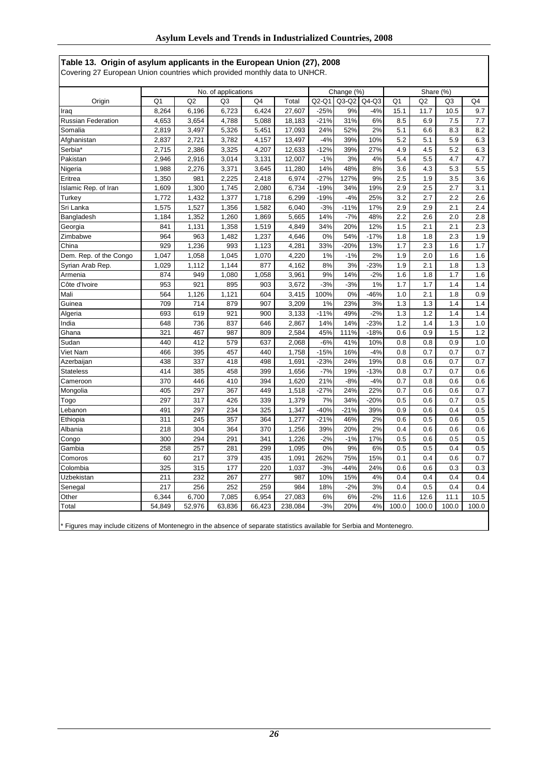| Covering 27 European Union countries which provided monthly data to UNHCR. |                |        |                     |        |         |        |            |         |       |                |                |       |
|----------------------------------------------------------------------------|----------------|--------|---------------------|--------|---------|--------|------------|---------|-------|----------------|----------------|-------|
|                                                                            |                |        | No. of applications |        |         |        | Change (%) |         |       |                | Share (%)      |       |
| Origin                                                                     | Q <sub>1</sub> | Q2     | Q3                  | Q4     | Total   | Q2-Q1  | $Q3-Q2$    | $Q4-Q3$ | Q1    | Q <sub>2</sub> | Q <sub>3</sub> | Q4    |
| Iraq                                                                       | 8,264          | 6,196  | 6,723               | 6,424  | 27,607  | $-25%$ | 9%         | $-4%$   | 15.1  | 11.7           | 10.5           | 9.7   |
| Russian Federation                                                         | 4,653          | 3,654  | 4,788               | 5,088  | 18,183  | $-21%$ | 31%        | 6%      | 8.5   | 6.9            | 7.5            | 7.7   |
| Somalia                                                                    | 2,819          | 3,497  | 5,326               | 5,451  | 17,093  | 24%    | 52%        | 2%      | 5.1   | 6.6            | 8.3            | 8.2   |
| Afghanistan                                                                | 2,837          | 2,721  | 3,782               | 4,157  | 13,497  | $-4%$  | 39%        | 10%     | 5.2   | 5.1            | 5.9            | 6.3   |
| Serbia*                                                                    | 2,715          | 2,386  | 3,325               | 4,207  | 12,633  | $-12%$ | 39%        | 27%     | 4.9   | 4.5            | 5.2            | 6.3   |
| Pakistan                                                                   | 2,946          | 2,916  | 3,014               | 3,131  | 12,007  | $-1%$  | 3%         | 4%      | 5.4   | 5.5            | 4.7            | 4.7   |
| Nigeria                                                                    | 1,988          | 2,276  | 3,371               | 3,645  | 11,280  | 14%    | 48%        | 8%      | 3.6   | 4.3            | 5.3            | 5.5   |
| Eritrea                                                                    | 1,350          | 981    | 2,225               | 2,418  | 6,974   | $-27%$ | 127%       | 9%      | 2.5   | 1.9            | 3.5            | 3.6   |
| Islamic Rep. of Iran                                                       | 1,609          | 1,300  | 1,745               | 2,080  | 6,734   | $-19%$ | 34%        | 19%     | 2.9   | 2.5            | 2.7            | 3.1   |
| Turkey                                                                     | 1,772          | 1,432  | 1,377               | 1,718  | 6,299   | $-19%$ | $-4%$      | 25%     | 3.2   | 2.7            | 2.2            | 2.6   |
| Sri Lanka                                                                  | 1,575          | 1,527  | 1,356               | 1,582  | 6,040   | $-3%$  | $-11%$     | 17%     | 2.9   | 2.9            | 2.1            | 2.4   |
| Bangladesh                                                                 | 1,184          | 1,352  | 1,260               | 1,869  | 5,665   | 14%    | $-7%$      | 48%     | 2.2   | 2.6            | 2.0            | 2.8   |
| Georgia                                                                    | 841            | 1,131  | 1,358               | 1,519  | 4,849   | 34%    | 20%        | 12%     | 1.5   | 2.1            | 2.1            | 2.3   |
| Zimbabwe                                                                   | 964            | 963    | 1,482               | 1,237  | 4,646   | 0%     | 54%        | $-17%$  | 1.8   | 1.8            | 2.3            | 1.9   |
| China                                                                      | 929            | 1,236  | 993                 | 1,123  | 4,281   | 33%    | $-20%$     | 13%     | 1.7   | 2.3            | 1.6            | 1.7   |
| Dem. Rep. of the Congo                                                     | 1,047          | 1,058  | 1,045               | 1,070  | 4,220   | 1%     | $-1%$      | 2%      | 1.9   | 2.0            | 1.6            | 1.6   |
| Syrian Arab Rep.                                                           | 1,029          | 1,112  | 1,144               | 877    | 4,162   | 8%     | 3%         | $-23%$  | 1.9   | 2.1            | 1.8            | 1.3   |
| Armenia                                                                    | 874            | 949    | 1,080               | 1,058  | 3,961   | 9%     | 14%        | $-2%$   | 1.6   | 1.8            | 1.7            | 1.6   |
| Côte d'Ivoire                                                              | 953            | 921    | 895                 | 903    | 3,672   | $-3%$  | $-3%$      | 1%      | 1.7   | 1.7            | 1.4            | 1.4   |
| Mali                                                                       | 564            | 1,126  | 1,121               | 604    | 3,415   | 100%   | 0%         | $-46%$  | 1.0   | 2.1            | 1.8            | 0.9   |
| Guinea                                                                     | 709            | 714    | 879                 | 907    | 3,209   | 1%     | 23%        | 3%      | 1.3   | 1.3            | 1.4            | 1.4   |
| Algeria                                                                    | 693            | 619    | 921                 | 900    | 3,133   | $-11%$ | 49%        | $-2%$   | 1.3   | 1.2            | 1.4            | 1.4   |
| India                                                                      | 648            | 736    | 837                 | 646    | 2,867   | 14%    | 14%        | $-23%$  | 1.2   | 1.4            | 1.3            | 1.0   |
| Ghana                                                                      | 321            | 467    | 987                 | 809    | 2,584   | 45%    | 111%       | $-18%$  | 0.6   | 0.9            | 1.5            | 1.2   |
| Sudan                                                                      | 440            | 412    | 579                 | 637    | 2,068   | $-6%$  | 41%        | 10%     | 0.8   | 0.8            | 0.9            | 1.0   |
| Viet Nam                                                                   | 466            | 395    | 457                 | 440    | 1,758   | $-15%$ | 16%        | $-4%$   | 0.8   | 0.7            | 0.7            | 0.7   |
| Azerbaijan                                                                 | 438            | 337    | 418                 | 498    | 1,691   | $-23%$ | 24%        | 19%     | 0.8   | 0.6            | 0.7            | 0.7   |
| <b>Stateless</b>                                                           | 414            | 385    | 458                 | 399    | 1,656   | $-7%$  | 19%        | $-13%$  | 0.8   | 0.7            | 0.7            | 0.6   |
| Cameroon                                                                   | 370            | 446    | 410                 | 394    | 1,620   | 21%    | $-8%$      | $-4%$   | 0.7   | 0.8            | 0.6            | 0.6   |
| Mongolia                                                                   | 405            | 297    | 367                 | 449    | 1,518   | $-27%$ | 24%        | 22%     | 0.7   | 0.6            | 0.6            | 0.7   |
| Togo                                                                       | 297            | 317    | 426                 | 339    | 1,379   | 7%     | 34%        | $-20%$  | 0.5   | 0.6            | 0.7            | 0.5   |
| Lebanon                                                                    | 491            | 297    | 234                 | 325    | 1,347   | $-40%$ | $-21%$     | 39%     | 0.9   | 0.6            | 0.4            | 0.5   |
| Ethiopia                                                                   | 311            | 245    | 357                 | 364    | 1,277   | $-21%$ | 46%        | 2%      | 0.6   | 0.5            | 0.6            | 0.5   |
| Albania                                                                    | 218            | 304    | 364                 | 370    | 1,256   | 39%    | 20%        | 2%      | 0.4   | 0.6            | 0.6            | 0.6   |
| Congo                                                                      | 300            | 294    | 291                 | 341    | 1,226   | $-2%$  | $-1%$      | 17%     | 0.5   | 0.6            | 0.5            | 0.5   |
| Gambia                                                                     | 258            | 257    | 281                 | 299    | 1,095   | 0%     | 9%         | 6%      | 0.5   | 0.5            | 0.4            | 0.5   |
| Comoros                                                                    | 60             | 217    | 379                 | 435    | 1,091   | 262%   | 75%        | 15%     | 0.1   | 0.4            | 0.6            | 0.7   |
| Colombia                                                                   | 325            | 315    | 177                 | 220    | 1,037   | $-3%$  | $-44%$     | 24%     | 0.6   | 0.6            | 0.3            | 0.3   |
| Uzbekistan                                                                 | 211            | 232    | 267                 | 277    | 987     | 10%    | 15%        | 4%      | 0.4   | 0.4            | 0.4            | 0.4   |
| Senegal                                                                    | 217            | 256    | 252                 | 259    | 984     | 18%    | $-2%$      | 3%      | 0.4   | 0.5            | 0.4            | 0.4   |
| Other                                                                      | 6,344          | 6,700  | 7,085               | 6,954  | 27,083  | 6%     | 6%         | $-2%$   | 11.6  | 12.6           | 11.1           | 10.5  |
| Total                                                                      | 54,849         | 52,976 | 63,836              | 66,423 | 238,084 | $-3%$  | 20%        | 4%      | 100.0 | 100.0          | 100.0          | 100.0 |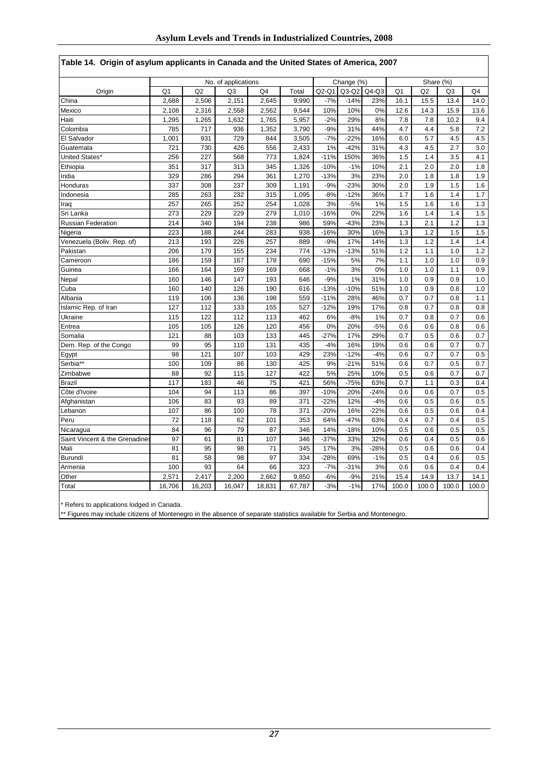| Table 14. Origin of asylum applicants in Canada and the United States of America, 2007 |                |        |                     |        |        |                |                 |           |                |                |                |         |
|----------------------------------------------------------------------------------------|----------------|--------|---------------------|--------|--------|----------------|-----------------|-----------|----------------|----------------|----------------|---------|
|                                                                                        |                |        | No. of applications |        |        |                | Change (%)      |           |                | Share (%)      |                |         |
| Origin                                                                                 | Q <sub>1</sub> | Q2     | Q3                  | Q4     | Total  | Q2-Q1          | $Q3-Q2$         | $Q4-Q3$   | Q <sub>1</sub> | Q <sub>2</sub> | Q <sub>3</sub> | Q4      |
| China                                                                                  | 2,688          | 2,506  | 2,151               | 2,645  | 9,990  | $-7%$          | $-14%$          | 23%       | 16.1           | 15.5           | 13.4           | 14.0    |
| Mexico                                                                                 | 2,108          | 2,316  | 2,558               | 2,562  | 9,544  | 10%            | 10%             | 0%        | 12.6           | 14.3           | 15.9           | 13.6    |
| Haiti                                                                                  | 1,295          | 1,265  | 1,632               | 1,765  | 5,957  | $-2%$          | 29%             | 8%        | 7.8            | 7.8            | 10.2           | 9.4     |
| Colombia                                                                               | 785            | 717    | 936                 | 1,352  | 3,790  | $-9%$          | 31%             | 44%       | 4.7            | 4.4            | 5.8            | 7.2     |
| El Salvador                                                                            | 1,001          | 931    | 729                 | 844    | 3,505  | $-7%$          | $-22%$          | 16%       | 6.0            | 5.7            | 4.5            | 4.5     |
| Guatemala                                                                              | 721            | 730    | 426                 | 556    | 2,433  | 1%             | $-42%$          | 31%       | 4.3            | 4.5            | 2.7            | 3.0     |
| United States*                                                                         | 256            | 227    | 568                 | 773    | 1,824  | $-11%$         | 150%            | 36%       | 1.5            | 1.4            | 3.5            | 4.1     |
| Ethiopia                                                                               | 351            | 317    | 313                 | 345    | 1,326  | $-10%$         | $-1%$           | 10%       | 2.1            | 2.0            | 2.0            | 1.8     |
| India                                                                                  | 329            | 286    | 294                 | 361    | 1,270  | $-13%$         | 3%              | 23%       | 2.0            | 1.8            | 1.8            | 1.9     |
| Honduras                                                                               | 337            | 308    | 237                 | 309    | 1,191  | $-9%$          | $-23%$          | 30%       | 2.0            | 1.9            | 1.5            | 1.6     |
| Indonesia                                                                              | 285            | 263    | 232                 | 315    | 1,095  | $-8%$          | $-12%$          | 36%       | 1.7            | 1.6            | 1.4            | 1.7     |
| Iraq                                                                                   | 257            | 265    | 252                 | 254    | 1,028  | 3%             | $-5%$           | 1%        | 1.5            | 1.6            | 1.6            | $1.3$   |
| Sri Lanka                                                                              | 273            | 229    | 229                 | 279    | 1,010  | $-16%$         | 0%              | 22%       | 1.6            | 1.4            | 1.4            | $1.5\,$ |
| <b>Russian Federation</b>                                                              | 214            | 340    | 194                 | 238    | 986    | 59%            | $-43%$          | 23%       | 1.3            | 2.1            | 1.2            | 1.3     |
| Nigeria                                                                                | 223            | 188    | 244                 | 283    | 938    | $-16%$         | 30%             | 16%       | 1.3            | 1.2            | 1.5            | 1.5     |
| Venezuela (Boliv. Rep. of)                                                             | 213            | 193    | 226                 | 257    | 889    | $-9%$          | 17%             | 14%       | 1.3            | 1.2            | 1.4            | 1.4     |
| Pakistan                                                                               | 206            | 179    | 155                 | 234    | 774    | $-13%$         | $-13%$          | 51%       | 1.2            | 1.1            | 1.0            | 1.2     |
| Cameroon                                                                               | 186            | 159    | 167                 | 178    | 690    | $-15%$         | 5%              | 7%        | 1.1            | 1.0            | 1.0            | 0.9     |
| Guinea                                                                                 | 166            | 164    | 169                 | 169    | 668    | $-1%$          | 3%              | 0%        | 1.0            | 1.0            | 1.1            | 0.9     |
| Nepal                                                                                  | 160            | 146    | 147                 | 193    | 646    | $-9%$          | 1%              | 31%       | 1.0            | 0.9            | 0.9            | 1.0     |
| Cuba                                                                                   | 160            | 140    | 126                 | 190    | 616    | $-13%$         | $-10%$          | 51%       | 1.0            | 0.9            | 0.8            | 1.0     |
| Albania                                                                                | 119            | 106    | 136                 | 198    | 559    | $-11%$         | 28%             | 46%       | 0.7            | 0.7            | 0.8            | 1.1     |
| Islamic Rep. of Iran                                                                   | 127            | 112    | 133                 | 155    | 527    | $-12%$         | 19%             | 17%       | 0.8            | 0.7            | 0.8            | 0.8     |
| Ukraine                                                                                | 115            | 122    | 112                 | 113    | 462    | 6%             | $-8%$           | 1%        | 0.7            | 0.8            | 0.7            | 0.6     |
| Eritrea                                                                                | 105            | 105    | 126                 | 120    | 456    | 0%             | 20%             | $-5%$     | 0.6            | 0.6            | 0.8            | 0.6     |
| Somalia                                                                                | 121            | 88     | 103                 | 133    | 445    | $-27%$         | 17%             | 29%       | 0.7            | 0.5            | 0.6            | 0.7     |
| Dem. Rep. of the Congo                                                                 | 99             | 95     | 110                 | 131    | 435    | $-4%$          | 16%             | 19%       | 0.6            | 0.6            | 0.7            | 0.7     |
| Egypt                                                                                  | 98             | 121    | 107                 | 103    | 429    | 23%            | $-12%$          | $-4%$     | 0.6            | 0.7            | 0.7            | 0.5     |
| Serbia**                                                                               | 100            | 109    | 86                  | 130    | 425    | 9%             | $-21%$          | 51%       | 0.6            | 0.7            | 0.5            | 0.7     |
| Zimbabwe                                                                               | 88             | 92     | 115                 | 127    | 422    | 5%             | 25%             | 10%       | 0.5            | 0.6            | 0.7            | 0.7     |
| <b>Brazil</b>                                                                          | 117            | 183    | 46                  | 75     | 421    | 56%            | $-75%$          | 63%       | 0.7            | 1.1            | 0.3            | 0.4     |
| Côte d'Ivoire                                                                          | 104            | 94     | 113                 | 86     | 397    | $-10%$         | 20%             | $-24%$    | 0.6            | 0.6            | 0.7            | 0.5     |
| Afghanistan                                                                            | 106            | 83     | 93                  | 89     | 371    | $-22%$         | 12%             | $-4%$     | 0.6            | 0.5            | 0.6            | 0.5     |
| Lebanon                                                                                | 107            | 86     | 100                 | 78     | 371    | $-20%$         | 16%             | $-22%$    | 0.6            | 0.5            | 0.6            | 0.4     |
| Peru                                                                                   | 72             | 118    | 62                  | 101    | 353    | 64%            | $-47%$          | 63%       | 0.4            | 0.7            | 0.4            | 0.5     |
| Nicaragua                                                                              | 84             | 96     | 79                  | 87     | 346    | 14%            | $-18%$          | 10%       | 0.5            | 0.6            | 0.5            | 0.5     |
| Saint Vincent & the Grenadine                                                          | 97             | 61     | 81                  | 107    | 346    | $-37%$         | 33%             | 32%       | 0.6            | 0.4            | 0.5            | 0.6     |
| Mali                                                                                   | 81             | 95     | 98                  | 71     | 345    | 17%            | 3%              | $-28%$    | 0.5            | 0.6            | 0.6            | 0.4     |
| Burundi                                                                                | 81             | 58     | 98                  | 97     | 334    | $-28%$         | 69%             | $-1%$     | 0.5            | 0.4            | 0.6            | 0.5     |
| Armenia                                                                                | 100            | 93     | 64                  | 66     | 323    | $-7%$<br>$-6%$ | $-31%$<br>$-9%$ | 3%<br>21% | 0.6            | 0.6<br>14.9    | 0.4            | 0.4     |
| Other                                                                                  | 2,571          | 2,417  | 2,200               | 2,662  | 9,850  |                |                 |           | 15.4           |                | 13.7           | 14.1    |
| Total                                                                                  | 16,706         | 16,203 | 16,047              | 18,831 | 67,787 | $-3%$          | $-1%$           | 17%       | 100.0          | 100.0          | 100.0          | 100.0   |

|  | Table 14.  Origin of asylum applicants in Canada and the United States of America, 2007 |  |  |  |
|--|-----------------------------------------------------------------------------------------|--|--|--|

\* Refers to applications lodged in Canada.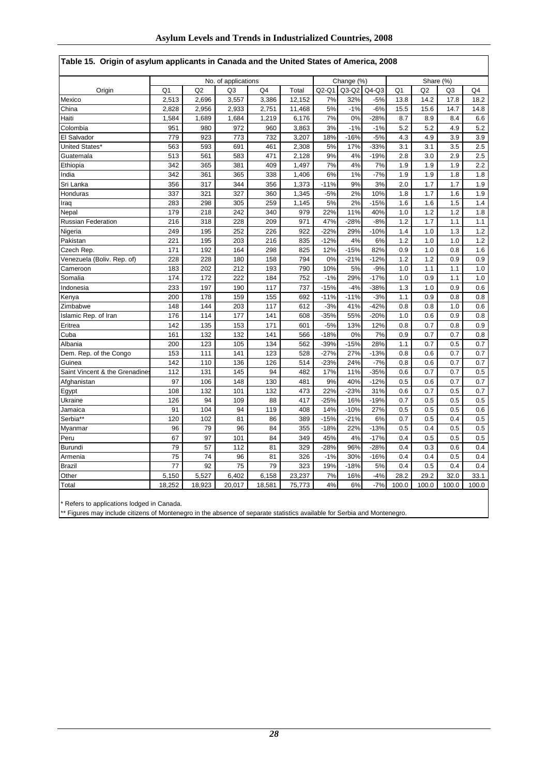| Origin or asymm applicants in Canada and the Onlied<br><b>ULGIGS VI AILIGHUG, LUVU</b> |                |        |                     |                |        |        |            |         |                |                |                |                |
|----------------------------------------------------------------------------------------|----------------|--------|---------------------|----------------|--------|--------|------------|---------|----------------|----------------|----------------|----------------|
|                                                                                        |                |        | No. of applications |                |        |        | Change (%) |         |                | Share (%)      |                |                |
| Origin                                                                                 | Q <sub>1</sub> | Q2     | Q3                  | Q <sub>4</sub> | Total  | Q2-Q1  | $Q3-Q2$    | $Q4-Q3$ | Q <sub>1</sub> | Q <sub>2</sub> | Q <sub>3</sub> | Q <sub>4</sub> |
| Mexico                                                                                 | 2,513          | 2,696  | 3,557               | 3,386          | 12,152 | 7%     | 32%        | $-5%$   | 13.8           | 14.2           | 17.8           | 18.2           |
| China                                                                                  | 2,828          | 2,956  | 2,933               | 2,751          | 11,468 | 5%     | $-1%$      | $-6%$   | 15.5           | 15.6           | 14.7           | 14.8           |
| Haiti                                                                                  | 1,584          | 1,689  | 1,684               | 1,219          | 6,176  | 7%     | 0%         | $-28%$  | 8.7            | 8.9            | 8.4            | 6.6            |
| Colombia                                                                               | 951            | 980    | 972                 | 960            | 3,863  | 3%     | $-1%$      | $-1%$   | 5.2            | 5.2            | 4.9            | 5.2            |
| El Salvador                                                                            | 779            | 923    | 773                 | 732            | 3,207  | 18%    | $-16%$     | $-5%$   | 4.3            | 4.9            | 3.9            | 3.9            |
| United States*                                                                         | 563            | 593    | 691                 | 461            | 2,308  | 5%     | 17%        | $-33%$  | 3.1            | 3.1            | 3.5            | 2.5            |
| Guatemala                                                                              | 513            | 561    | 583                 | 471            | 2,128  | 9%     | 4%         | $-19%$  | 2.8            | 3.0            | 2.9            | 2.5            |
| Ethiopia                                                                               | 342            | 365    | 381                 | 409            | 1,497  | 7%     | 4%         | 7%      | 1.9            | 1.9            | 1.9            | 2.2            |
| India                                                                                  | 342            | 361    | 365                 | 338            | 1,406  | 6%     | 1%         | $-7%$   | 1.9            | 1.9            | 1.8            | 1.8            |
| Sri Lanka                                                                              | 356            | 317    | 344                 | 356            | 1,373  | $-11%$ | 9%         | 3%      | 2.0            | 1.7            | 1.7            | 1.9            |
| Honduras                                                                               | 337            | 321    | 327                 | 360            | 1,345  | $-5%$  | 2%         | 10%     | 1.8            | 1.7            | 1.6            | 1.9            |
| Iraq                                                                                   | 283            | 298    | 305                 | 259            | 1,145  | 5%     | 2%         | $-15%$  | 1.6            | 1.6            | 1.5            | 1.4            |
| Nepal                                                                                  | 179            | 218    | 242                 | 340            | 979    | 22%    | 11%        | 40%     | 1.0            | 1.2            | 1.2            | 1.8            |
| <b>Russian Federation</b>                                                              | 216            | 318    | 228                 | 209            | 971    | 47%    | $-28%$     | $-8%$   | 1.2            | 1.7            | 1.1            | 1.1            |
| Nigeria                                                                                | 249            | 195    | 252                 | 226            | 922    | $-22%$ | 29%        | $-10%$  | 1.4            | 1.0            | 1.3            | 1.2            |
| Pakistan                                                                               | 221            | 195    | 203                 | 216            | 835    | $-12%$ | 4%         | 6%      | 1.2            | 1.0            | 1.0            | 1.2            |
| Czech Rep.                                                                             | 171            | 192    | 164                 | 298            | 825    | 12%    | $-15%$     | 82%     | 0.9            | 1.0            | 0.8            | 1.6            |
| Venezuela (Boliv. Rep. of)                                                             | 228            | 228    | 180                 | 158            | 794    | 0%     | $-21%$     | $-12%$  | 1.2            | 1.2            | 0.9            | 0.9            |
| Cameroon                                                                               | 183            | 202    | 212                 | 193            | 790    | 10%    | 5%         | $-9%$   | 1.0            | 1.1            | 1.1            | 1.0            |
| Somalia                                                                                | 174            | 172    | 222                 | 184            | 752    | $-1%$  | 29%        | $-17%$  | 1.0            | 0.9            | 1.1            | 1.0            |
| Indonesia                                                                              | 233            | 197    | 190                 | 117            | 737    | $-15%$ | $-4%$      | $-38%$  | 1.3            | 1.0            | 0.9            | 0.6            |
| Kenya                                                                                  | 200            | 178    | 159                 | 155            | 692    | $-11%$ | $-11%$     | $-3%$   | 1.1            | 0.9            | 0.8            | 0.8            |
| Zimbabwe                                                                               | 148            | 144    | 203                 | 117            | 612    | $-3%$  | 41%        | $-42%$  | 0.8            | 0.8            | 1.0            | 0.6            |
| Islamic Rep. of Iran                                                                   | 176            | 114    | 177                 | 141            | 608    | $-35%$ | 55%        | $-20%$  | 1.0            | 0.6            | 0.9            | 0.8            |
| Eritrea                                                                                | 142            | 135    | 153                 | 171            | 601    | $-5%$  | 13%        | 12%     | 0.8            | 0.7            | 0.8            | 0.9            |
| Cuba                                                                                   | 161            | 132    | 132                 | 141            | 566    | $-18%$ | 0%         | 7%      | 0.9            | 0.7            | 0.7            | 0.8            |
| Albania                                                                                | 200            | 123    | 105                 | 134            | 562    | $-39%$ | $-15%$     | 28%     | 1.1            | 0.7            | 0.5            | 0.7            |
| Dem. Rep. of the Congo                                                                 | 153            | 111    | 141                 | 123            | 528    | $-27%$ | 27%        | $-13%$  | 0.8            | 0.6            | 0.7            | 0.7            |
| Guinea                                                                                 | 142            | 110    | 136                 | 126            | 514    | $-23%$ | 24%        | $-7%$   | 0.8            | 0.6            | 0.7            | 0.7            |
| Saint Vincent & the Grenadine                                                          | 112            | 131    | 145                 | 94             | 482    | 17%    | 11%        | $-35%$  | 0.6            | 0.7            | 0.7            | 0.5            |
| Afghanistan                                                                            | 97             | 106    | 148                 | 130            | 481    | 9%     | 40%        | $-12%$  | 0.5            | 0.6            | 0.7            | 0.7            |
| Egypt                                                                                  | 108            | 132    | 101                 | 132            | 473    | 22%    | $-23%$     | 31%     | 0.6            | 0.7            | 0.5            | 0.7            |
| Ukraine                                                                                | 126            | 94     | 109                 | 88             | 417    | $-25%$ | 16%        | $-19%$  | 0.7            | 0.5            | 0.5            | 0.5            |
| Jamaica                                                                                | 91             | 104    | 94                  | 119            | 408    | 14%    | $-10%$     | 27%     | 0.5            | 0.5            | 0.5            | 0.6            |
| Serbia**                                                                               | 120            | 102    | 81                  | 86             | 389    | $-15%$ | $-21%$     | 6%      | 0.7            | 0.5            | 0.4            | 0.5            |
| Myanmar                                                                                | 96             | 79     | 96                  | 84             | 355    | $-18%$ | 22%        | $-13%$  | 0.5            | 0.4            | 0.5            | 0.5            |
| Peru                                                                                   | 67             | 97     | 101                 | 84             | 349    | 45%    | 4%         | $-17%$  | 0.4            | 0.5            | 0.5            | 0.5            |
| <b>Burundi</b>                                                                         | 79             | 57     | 112                 | 81             | 329    | $-28%$ | 96%        | $-28%$  | 0.4            | 0.3            | 0.6            | 0.4            |
| Armenia                                                                                | 75             | 74     | 96                  | 81             | 326    | $-1%$  | 30%        | $-16%$  | 0.4            | 0.4            | 0.5            | 0.4            |
| <b>Brazil</b>                                                                          | 77             | 92     | 75                  | 79             | 323    | 19%    | $-18%$     | 5%      | 0.4            | 0.5            | 0.4            | 0.4            |
| Other                                                                                  | 5,150          | 5,527  | 6,402               | 6,158          | 23,237 | 7%     | 16%        | $-4%$   | 28.2           | 29.2           | 32.0           | 33.1           |
| Total                                                                                  | 18,252         | 18,923 | 20,017              | 18,581         | 75,773 | 4%     | 6%         | $-7%$   | 100.0          | 100.0          | 100.0          | 100.0          |

### **Table 15. Origin of asylum applicants in Canada and the United States of America, 2008**

\* Refers to applications lodged in Canada.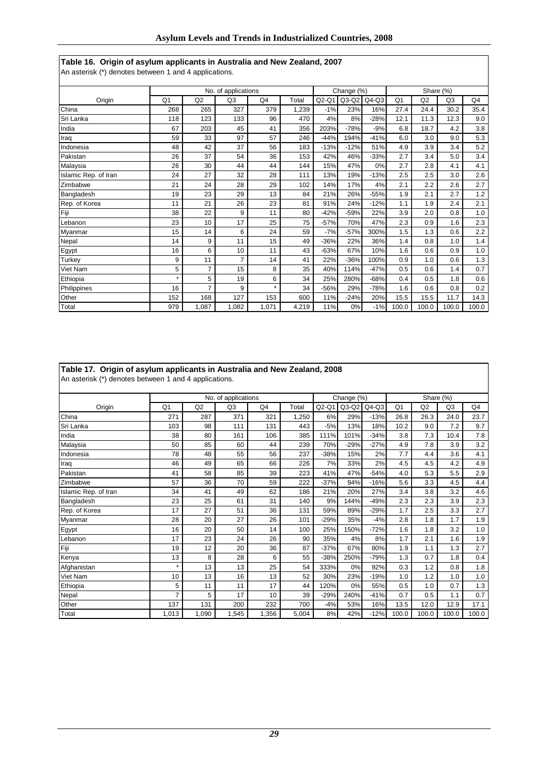# **Table 16. Origin of asylum applicants in Australia and New Zealand, 2007**

An asterisk (\*) denotes between 1 and 4 applications.

|                      |                |       | No. of applications |                |       |         | Change (%) |         |                |       | Share (%)      |       |
|----------------------|----------------|-------|---------------------|----------------|-------|---------|------------|---------|----------------|-------|----------------|-------|
| Origin               | Q <sub>1</sub> | Q2    | Q <sub>3</sub>      | Q <sub>4</sub> | Total | $Q2-Q1$ | $Q3-Q2$    | $Q4-Q3$ | Q <sub>1</sub> | Q2    | Q <sub>3</sub> | Q4    |
| China                | 268            | 265   | 327                 | 379            | 1,239 | $-1%$   | 23%        | 16%     | 27.4           | 24.4  | 30.2           | 35.4  |
| Sri Lanka            | 118            | 123   | 133                 | 96             | 470   | 4%      | 8%         | $-28%$  | 12.1           | 11.3  | 12.3           | 9.0   |
| India                | 67             | 203   | 45                  | 41             | 356   | 203%    | $-78%$     | $-9%$   | 6.8            | 18.7  | 4.2            | 3.8   |
| Iraq                 | 59             | 33    | 97                  | 57             | 246   | $-44%$  | 194%       | $-41%$  | 6.0            | 3.0   | 9.0            | 5.3   |
| Indonesia            | 48             | 42    | 37                  | 56             | 183   | $-13%$  | $-12%$     | 51%     | 4.9            | 3.9   | 3.4            | 5.2   |
| Pakistan             | 26             | 37    | 54                  | 36             | 153   | 42%     | 46%        | $-33%$  | 2.7            | 3.4   | 5.0            | 3.4   |
| Malaysia             | 26             | 30    | 44                  | 44             | 144   | 15%     | 47%        | 0%      | 2.7            | 2.8   | 4.1            | 4.1   |
| Islamic Rep. of Iran | 24             | 27    | 32                  | 28             | 111   | 13%     | 19%        | $-13%$  | 2.5            | 2.5   | 3.0            | 2.6   |
| Zimbabwe             | 21             | 24    | 28                  | 29             | 102   | 14%     | 17%        | 4%      | 2.1            | 2.2   | 2.6            | 2.7   |
| Bangladesh           | 19             | 23    | 29                  | 13             | 84    | 21%     | 26%        | $-55%$  | 1.9            | 2.1   | 2.7            | 1.2   |
| Rep. of Korea        | 11             | 21    | 26                  | 23             | 81    | 91%     | 24%        | $-12%$  | 1.1            | 1.9   | 2.4            | 2.1   |
| Fiji                 | 38             | 22    | 9                   | 11             | 80    | $-42%$  | $-59%$     | 22%     | 3.9            | 2.0   | 0.8            | 1.0   |
| Lebanon              | 23             | 10    | 17                  | 25             | 75    | $-57%$  | 70%        | 47%     | 2.3            | 0.9   | 1.6            | 2.3   |
| Myanmar              | 15             | 14    | 6                   | 24             | 59    | $-7%$   | $-57%$     | 300%    | 1.5            | 1.3   | 0.6            | 2.2   |
| Nepal                | 14             | 9     | 11                  | 15             | 49    | $-36%$  | 22%        | 36%     | 1.4            | 0.8   | 1.0            | 1.4   |
| Egypt                | 16             | 6     | 10                  | 11             | 43    | $-63%$  | 67%        | 10%     | 1.6            | 0.6   | 0.9            | 1.0   |
| Turkey               | 9              | 11    | 7                   | 14             | 41    | 22%     | $-36%$     | 100%    | 0.9            | 1.0   | 0.6            | 1.3   |
| Viet Nam             | 5              | 7     | 15                  | 8              | 35    | 40%     | 114%       | $-47%$  | 0.5            | 0.6   | 1.4            | 0.7   |
| Ethiopia             | $\star$        | 5     | 19                  | 6              | 34    | 25%     | 280%       | $-68%$  | 0.4            | 0.5   | 1.8            | 0.6   |
| Philippines          | 16             | 7     | 9                   | $\star$        | 34    | $-56%$  | 29%        | $-78%$  | 1.6            | 0.6   | 0.8            | 0.2   |
| Other                | 152            | 168   | 127                 | 153            | 600   | 11%     | $-24%$     | 20%     | 15.5           | 15.5  | 11.7           | 14.3  |
| Total                | 979            | 1,087 | 1,082               | 1.071          | 4,219 | 11%     | 0%         | $-1%$   | 100.0          | 100.0 | 100.0          | 100.0 |

|                      |                |       | No. of applications |                |       | Change (%)<br>Share (%) |         |         |                |       |                |       |
|----------------------|----------------|-------|---------------------|----------------|-------|-------------------------|---------|---------|----------------|-------|----------------|-------|
| Origin               | Q <sub>1</sub> | Q2    | Q <sub>3</sub>      | Q <sub>4</sub> | Total | $Q2-Q1$                 | $Q3-Q2$ | $Q4-Q3$ | Q <sub>1</sub> | Q2    | Q <sub>3</sub> | Q4    |
| China                | 271            | 287   | 371                 | 321            | 1,250 | 6%                      | 29%     | $-13%$  | 26.8           | 26.3  | 24.0           | 23.7  |
| Sri Lanka            | 103            | 98    | 111                 | 131            | 443   | $-5%$                   | 13%     | 18%     | 10.2           | 9.0   | 7.2            | 9.7   |
| India                | 38             | 80    | 161                 | 106            | 385   | 111%                    | 101%    | $-34%$  | 3.8            | 7.3   | 10.4           | 7.8   |
| Malaysia             | 50             | 85    | 60                  | 44             | 239   | 70%                     | $-29%$  | $-27%$  | 4.9            | 7.8   | 3.9            | 3.2   |
| Indonesia            | 78             | 48    | 55                  | 56             | 237   | $-38%$                  | 15%     | 2%      | 7.7            | 4.4   | 3.6            | 4.1   |
| Iraq                 | 46             | 49    | 65                  | 66             | 226   | 7%                      | 33%     | 2%      | 4.5            | 4.5   | 4.2            | 4.9   |
| Pakistan             | 41             | 58    | 85                  | 39             | 223   | 41%                     | 47%     | $-54%$  | 4.0            | 5.3   | 5.5            | 2.9   |
| Zimbabwe             | 57             | 36    | 70                  | 59             | 222   | $-37%$                  | 94%     | $-16%$  | 5.6            | 3.3   | 4.5            | 4.4   |
| Islamic Rep. of Iran | 34             | 41    | 49                  | 62             | 186   | 21%                     | 20%     | 27%     | 3.4            | 3.8   | 3.2            | 4.6   |
| Bangladesh           | 23             | 25    | 61                  | 31             | 140   | 9%                      | 144%    | $-49%$  | 2.3            | 2.3   | 3.9            | 2.3   |
| Rep. of Korea        | 17             | 27    | 51                  | 36             | 131   | 59%                     | 89%     | $-29%$  | 1.7            | 2.5   | 3.3            | 2.7   |
| Myanmar              | 28             | 20    | 27                  | 26             | 101   | $-29%$                  | 35%     | $-4%$   | 2.8            | 1.8   | 1.7            | 1.9   |
| Egypt                | 16             | 20    | 50                  | 14             | 100   | 25%                     | 150%    | $-72%$  | 1.6            | 1.8   | 3.2            | 1.0   |
| Lebanon              | 17             | 23    | 24                  | 26             | 90    | 35%                     | 4%      | 8%      | 1.7            | 2.1   | 1.6            | 1.9   |
| Fiji                 | 19             | 12    | 20                  | 36             | 87    | $-37%$                  | 67%     | 80%     | 1.9            | 1.1   | 1.3            | 2.7   |
| Kenya                | 13             | 8     | 28                  | 6              | 55    | $-38%$                  | 250%    | $-79%$  | 1.3            | 0.7   | 1.8            | 0.4   |
| Afghanistan          | $\star$        | 13    | 13                  | 25             | 54    | 333%                    | 0%      | 92%     | 0.3            | 1.2   | 0.8            | 1.8   |
| Viet Nam             | 10             | 13    | 16                  | 13             | 52    | 30%                     | 23%     | $-19%$  | 1.0            | 1.2   | 1.0            | 1.0   |
| Ethiopia             | 5              | 11    | 11                  | 17             | 44    | 120%                    | 0%      | 55%     | 0.5            | 1.0   | 0.7            | 1.3   |
| Nepal                | $\overline{7}$ | 5     | 17                  | 10             | 39    | $-29%$                  | 240%    | $-41%$  | 0.7            | 0.5   | 1.1            | 0.7   |
| Other                | 137            | 131   | 200                 | 232            | 700   | $-4%$                   | 53%     | 16%     | 13.5           | 12.0  | 12.9           | 17.1  |
| Total                | 1.013          | 1.090 | 1.545               | 1.356          | 5.004 | 8%                      | 42%     | $-12%$  | 100.0          | 100.0 | 100.0          | 100.0 |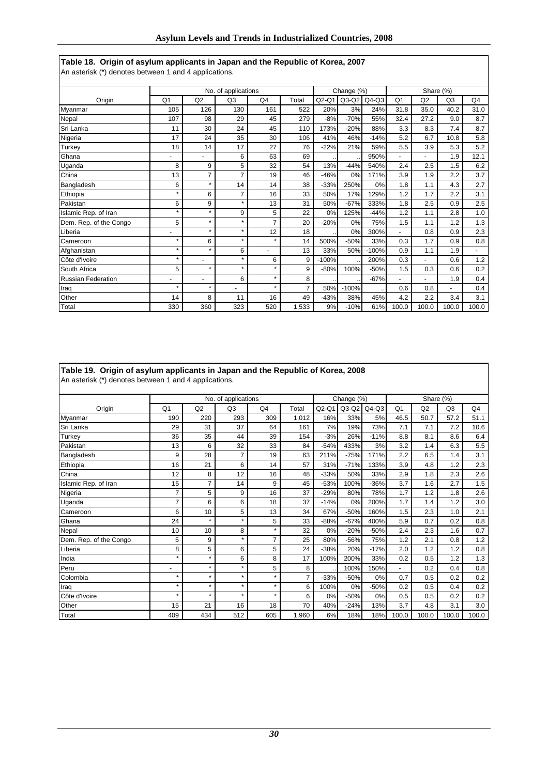#### **Table 18. Origin of asylum applicants in Japan and the Republic of Korea, 2007** An asterisk (\*) denotes between 1 and 4 applications.

|                           |                |                          | No. of applications |                |       |         | Change (%) |           |                |       | Share (%) |       |
|---------------------------|----------------|--------------------------|---------------------|----------------|-------|---------|------------|-----------|----------------|-------|-----------|-------|
| Origin                    | Q <sub>1</sub> | Q2                       | Q3                  | Q4             | Total | $Q2-Q1$ | $Q3-Q2$    | $Q4-Q3$   | Q <sub>1</sub> | Q2    | Q3        | Q4    |
| Myanmar                   | 105            | 126                      | 130                 | 161            | 522   | 20%     | 3%         | 24%       | 31.8           | 35.0  | 40.2      | 31.0  |
| Nepal                     | 107            | 98                       | 29                  | 45             | 279   | $-8%$   | $-70%$     | 55%       | 32.4           | 27.2  | 9.0       | 8.7   |
| Sri Lanka                 | 11             | 30                       | 24                  | 45             | 110   | 173%    | $-20%$     | 88%       | 3.3            | 8.3   | 7.4       | 8.7   |
| Nigeria                   | 17             | 24                       | 35                  | 30             | 106   | 41%     | 46%        | $-14%$    | 5.2            | 6.7   | 10.8      | 5.8   |
| Turkey                    | 18             | 14                       | 17                  | 27             | 76    | $-22%$  | 21%        | 59%       | 5.5            | 3.9   | 5.3       | 5.2   |
| Ghana                     |                |                          | 6                   | 63             | 69    |         |            | 950%      |                | ۰     | 1.9       | 12.1  |
| Uganda                    | 8              | 9                        | 5                   | 32             | 54    | 13%     | $-44%$     | 540%      | 2.4            | 2.5   | 1.5       | 6.2   |
| China                     | 13             | 7                        | 7                   | 19             | 46    | $-46%$  | 0%         | 171%      | 3.9            | 1.9   | 2.2       | 3.7   |
| Bangladesh                | 6              | $\star$                  | 14                  | 14             | 38    | $-33%$  | 250%       | 0%        | 1.8            | 1.1   | 4.3       | 2.7   |
| Ethiopia                  | $\star$        | 6                        | 7                   | 16             | 33    | 50%     | 17%        | 129%      | 1.2            | 1.7   | 2.2       | 3.1   |
| Pakistan                  | 6              | 9                        | $\star$             | 13             | 31    | 50%     | $-67%$     | 333%      | 1.8            | 2.5   | 0.9       | 2.5   |
| Islamic Rep. of Iran      | $\star$        | $\star$                  | 9                   | 5              | 22    | 0%      | 125%       | $-44%$    | 1.2            | 1.1   | 2.8       | 1.0   |
| Dem. Rep. of the Congo    | 5              | $\star$                  | ÷                   | $\overline{7}$ | 20    | $-20%$  | 0%         | 75%       | 1.5            | 1.1   | 1.2       | 1.3   |
| Liberia                   | ٠              | $\star$                  | $\star$             | 12             | 18    |         | 0%         | 300%      |                | 0.8   | 0.9       | 2.3   |
| Cameroon                  | $\star$        | 6                        | $\star$             | $\star$        | 14    | 500%    | $-50%$     | 33%       | 0.3            | 1.7   | 0.9       | 0.8   |
| Afghanistan               | $\star$        | $\star$                  | 6                   | ٠              | 13    | 33%     | 50%        | $-100%$   | 0.9            | 1.1   | 1.9       |       |
| Côte d'Ivoire             | $\star$        | $\overline{\phantom{a}}$ | $\star$             | 6              | 9     | $-100%$ |            | 200%      | 0.3            | ۰.    | 0.6       | 1.2   |
| South Africa              | 5              | $\star$                  | $\star$             | $\star$        | 9     | $-80%$  | 100%       | $-50%$    | 1.5            | 0.3   | 0.6       | 0.2   |
| <b>Russian Federation</b> | $\overline{a}$ | $\overline{\phantom{a}}$ | 6                   | $\star$        | 8     |         |            | $-67%$    |                | ۰     | 1.9       | 0.4   |
| Iraq                      | $\star$        | $\star$                  | -                   | $\star$        | 7     | 50%     | $-100%$    | $\ddotsc$ | 0.6            | 0.8   | ٠         | 0.4   |
| Other                     | 14             | 8                        | 11                  | 16             | 49    | $-43%$  | 38%        | 45%       | 4.2            | 2.2   | 3.4       | 3.1   |
| Total                     | 330            | 360                      | 323                 | 520            | 1,533 | 9%      | $-10%$     | 61%       | 100.0          | 100.0 | 100.0     | 100.0 |

| Table 19. Origin of asylum applicants in Japan and the Republic of Korea, 2008<br>An asterisk (*) denotes between 1 and 4 applications. |                |                |                     |         |       |        |            |         |                          |                |           |      |
|-----------------------------------------------------------------------------------------------------------------------------------------|----------------|----------------|---------------------|---------|-------|--------|------------|---------|--------------------------|----------------|-----------|------|
|                                                                                                                                         |                |                | No. of applications |         |       |        | Change (%) |         |                          |                | Share (%) |      |
| Origin                                                                                                                                  | Q1             | Q <sub>2</sub> | Q3                  | Q4      | Total | Q2-Q1  | $Q3-Q2$    | $Q4-Q3$ | Q <sub>1</sub>           | Q <sub>2</sub> | Q3        | Q4   |
| Myanmar                                                                                                                                 | 190            | 220            | 293                 | 309     | 1,012 | 16%    | 33%        | 5%      | 46.5                     | 50.7           | 57.2      | 51.1 |
| Sri Lanka                                                                                                                               | 29             | 31             | 37                  | 64      | 161   | 7%     | 19%        | 73%     | 7.1                      | 7.1            | 7.2       | 10.6 |
| Turkey                                                                                                                                  | 36             | 35             | 44                  | 39      | 154   | $-3%$  | 26%        | $-11%$  | 8.8                      | 8.1            | 8.6       | 6.4  |
| Pakistan                                                                                                                                | 13             | 6              | 32                  | 33      | 84    | $-54%$ | 433%       | 3%      | 3.2                      | 1.4            | 6.3       | 5.5  |
| Bangladesh                                                                                                                              | 9              | 28             | 7                   | 19      | 63    | 211%   | $-75%$     | 171%    | 2.2                      | 6.5            | 1.4       | 3.1  |
| Ethiopia                                                                                                                                | 16             | 21             | 6                   | 14      | 57    | 31%    | $-71%$     | 133%    | 3.9                      | 4.8            | 1.2       | 2.3  |
| China                                                                                                                                   | 12             | 8              | 12                  | 16      | 48    | $-33%$ | 50%        | 33%     | 2.9                      | 1.8            | 2.3       | 2.6  |
| Islamic Rep. of Iran                                                                                                                    | 15             | 7              | 14                  | 9       | 45    | $-53%$ | 100%       | $-36%$  | 3.7                      | 1.6            | 2.7       | 1.5  |
| Nigeria                                                                                                                                 | $\overline{7}$ | 5              | 9                   | 16      | 37    | $-29%$ | 80%        | 78%     | 1.7                      | 1.2            | 1.8       | 2.6  |
| Uganda                                                                                                                                  | 7              | 6              | 6                   | 18      | 37    | $-14%$ | 0%         | 200%    | 1.7                      | 1.4            | 1.2       | 3.0  |
| Cameroon                                                                                                                                | 6              | 10             | 5                   | 13      | 34    | 67%    | $-50%$     | 160%    | 1.5                      | 2.3            | 1.0       | 2.1  |
| Ghana                                                                                                                                   | 24             | $\star$        | $\star$             | 5       | 33    | $-88%$ | $-67%$     | 400%    | 5.9                      | 0.7            | 0.2       | 0.8  |
| Nepal                                                                                                                                   | 10             | 10             | 8                   | $\star$ | 32    | 0%     | $-20%$     | $-50%$  | 2.4                      | 2.3            | 1.6       | 0.7  |
| Dem. Rep. of the Congo                                                                                                                  | 5              | 9              | $\star$             |         | 25    | 80%    | $-56%$     | 75%     | 1.2                      | 2.1            | 0.8       | 1.2  |
| Liberia                                                                                                                                 | 8              | 5              | 6                   | 5       | 24    | $-38%$ | 20%        | $-17%$  | 2.0                      | 1.2            | 1.2       | 0.8  |
| India                                                                                                                                   | $\star$        | $\star$        | 6                   | 8       | 17    | 100%   | 200%       | 33%     | 0.2                      | 0.5            | 1.2       | 1.3  |
| Peru                                                                                                                                    | ٠              | $\star$        | $\star$             | 5       | 8     |        | 100%       | 150%    | $\overline{\phantom{0}}$ | 0.2            | 0.4       | 0.8  |
| Colombia                                                                                                                                | $\star$        | $\star$        | $\star$             |         | 7     | $-33%$ | $-50%$     | 0%      | 0.7                      | 0.5            | 0.2       | 0.2  |
| Iraq                                                                                                                                    | $\star$        | $\star$        | $\star$             | $\star$ | 6     | 100%   | 0%         | -50%    | 0.2                      | 0.5            | 0.4       | 0.2  |
|                                                                                                                                         |                |                |                     |         |       |        |            |         |                          |                |           |      |

Côte d'Ivoire | \* | \* | \* | \* | 6 | 0% | -50% | 0% | 0.5 | 0.5 | 0.2 | 0.2 Other 15 21 16 18 70 40% -24% 13% 3.7 4.8 3.1 3.0 Total 409 434 512 605 1,960 6% 18% 18% 100.0 100.0 100.0 100.0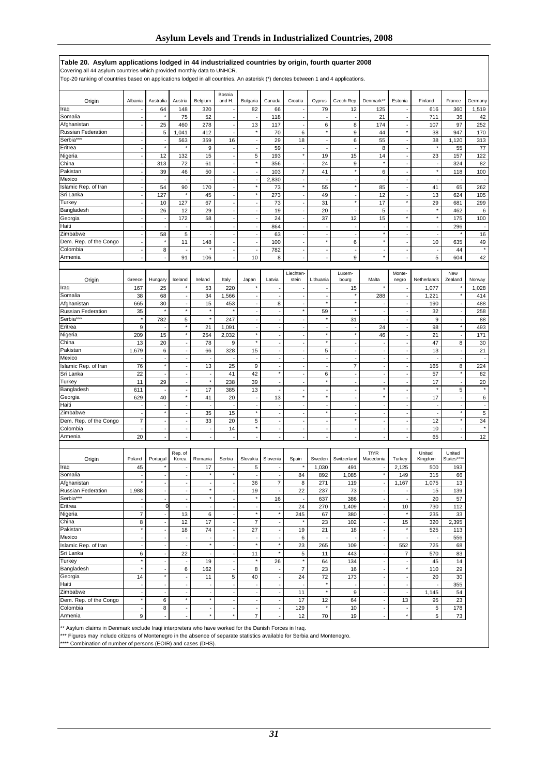### **Table 20. Asylum applications lodged in 44 industrialized countries by origin, fourth quarter 2008**

Covering all 44 asylum countries which provided monthly data to UNHCR.

Top-20 ranking of countries based on applications lodged in all countries. An asterisk (\*) denotes between 1 and 4 applications.

| Origin                        | Albania                        | Australia                  | Austria                        | Belgium                                              | Bosnia<br>and H.               | Bulgaria                                             | Canada                                     | Croatia                        | Cyprus                   | Czech Rep.                                   | Denmark*                       | Estonia                        | Finland                  | France                   | Germany                  |
|-------------------------------|--------------------------------|----------------------------|--------------------------------|------------------------------------------------------|--------------------------------|------------------------------------------------------|--------------------------------------------|--------------------------------|--------------------------|----------------------------------------------|--------------------------------|--------------------------------|--------------------------|--------------------------|--------------------------|
| Iraq                          |                                | 64                         | 148                            | 320                                                  |                                | 82                                                   | 66                                         | ÷,                             | 79                       | 12                                           | 125                            |                                | 616                      | 360                      | 1,519                    |
| Somalia                       | ÷,                             |                            | 75                             | 52                                                   | $\overline{\phantom{a}}$       |                                                      | 118                                        | ٠                              |                          |                                              | 21                             | ÷,                             | 711                      | 36                       | 42                       |
| Afghanistan                   | ÷,                             | 25                         | 460                            | 278                                                  | $\blacksquare$                 | 13                                                   | 117                                        | $\overline{a}$                 | 6                        | 8                                            | 174                            | ÷,                             | 107                      | 97                       | 252                      |
| Russian Federation            | $\overline{\phantom{a}}$       | 5                          | 1,041                          | 412                                                  | $\overline{\phantom{a}}$       | $\star$                                              | 70                                         | 6                              | $\pmb{\ast}$             | 9                                            | 44                             | $\star$                        | 38                       | 947                      | 170                      |
| Serbia***                     | ÷,                             | ÷,                         | 563                            | 359                                                  | 16                             | $\overline{\phantom{a}}$                             | 29                                         | 18                             | $\sim$                   | 6                                            | 55                             | $\sim$                         | 38                       | 1,120                    | 313                      |
| Eritrea                       | Ĭ.                             | $^\star$                   | $\star$                        | 9                                                    | $\overline{\phantom{a}}$       | $\overline{\phantom{a}}$                             | 59                                         | ÷,                             |                          |                                              | 8                              | ÷,                             | $\star$                  | 55                       | 77                       |
| Nigeria                       | $\blacksquare$                 | 12                         | 132                            | 15                                                   | $\overline{\phantom{a}}$       | 5                                                    | 193                                        | $\star$                        | 19                       | 15                                           | 14                             | ÷,                             | 23                       | 157                      | 122                      |
| China                         | ÷,                             | 313                        | 72                             | 61                                                   | $\overline{\phantom{a}}$       | $\star$                                              | 356                                        | ÷,                             | 24                       | 9                                            | $\star$                        | ÷,                             |                          | 324                      | 82                       |
| Pakistan                      | Ĭ.                             | 39                         | 46                             | 50                                                   | Ĭ.                             |                                                      | 103                                        | $\overline{7}$                 | 41                       | $\star$                                      | 6                              |                                | $^\star$                 | 118                      | 100                      |
| Mexico<br>slamic Rep. of Iran | ÷,                             | $\overline{\phantom{a}}$   | ÷,                             | $\overline{\phantom{a}}$                             | $\sim$                         | $\overline{\phantom{a}}$<br>$\star$                  | 2,830                                      | $\blacksquare$<br>$\star$      | $\overline{\phantom{a}}$ | $\overline{\phantom{a}}$<br>$\star$          | ÷,                             | ÷,                             | $\overline{\phantom{a}}$ |                          | $\overline{\phantom{a}}$ |
| Sri Lanka                     | ÷,<br>L,                       | 54<br>127                  | 90<br>$\star$                  | 170<br>45                                            | ÷,<br>ł,                       | $\star$                                              | 73<br>273                                  | ÷,                             | 55<br>49                 |                                              | 85<br>12                       | ÷,<br>÷,                       | 41<br>13                 | 65<br>624                | 262<br>105               |
| Turkey                        | ÷,                             | 10                         | 127                            | 67                                                   | ÷,                             | $\sim$                                               | 73                                         | ÷,                             | 31                       | $\star$                                      | 17                             | $\star$                        | 29                       | 681                      | 299                      |
| Bangladesh                    | ÷,                             | 26                         | 12                             | 29                                                   | ÷,                             | $\overline{\phantom{a}}$                             | 19                                         | ÷,                             | 20                       | $\overline{\phantom{a}}$                     | 5                              | $\overline{\phantom{a}}$       |                          | 462                      | 6                        |
| Georgia                       | Ĭ.                             | $\overline{\phantom{a}}$   | 172                            | 58                                                   | ÷,                             | $\overline{\phantom{a}}$                             | 24                                         | $\overline{a}$                 | 37                       | 12                                           | 15                             | $^\star$                       | $\star$                  | 175                      | 100                      |
| Haiti                         | ÷,                             | ÷,                         |                                | $\overline{\phantom{a}}$                             | $\ddot{\phantom{1}}$           |                                                      | 864                                        | ÷,                             | $\overline{\phantom{a}}$ | $\overline{\phantom{a}}$                     | J.                             | ÷,                             | $\sim$                   | 296                      | $\overline{\phantom{a}}$ |
| Zimbabwe                      | $\overline{\phantom{a}}$       | 58                         | 5                              | $\overline{\phantom{a}}$                             | $\overline{\phantom{a}}$       | $\overline{\phantom{a}}$                             | 63                                         | $\overline{a}$                 | $\overline{\phantom{a}}$ |                                              | $\star$                        | $\overline{\phantom{a}}$       | $\overline{\phantom{a}}$ |                          | 16                       |
| Dem. Rep. of the Congo        | Ĭ.                             | $^\star$                   | 11                             | 148                                                  | ÷,                             | $\overline{\phantom{a}}$                             | 100                                        | ÷,                             | $^\star$                 | 6                                            | $\star$                        | ÷,                             | 10                       | 635                      | 49                       |
| Colombia                      | $\blacksquare$                 | 8                          | ÷,                             | $\star$                                              | $\overline{\phantom{a}}$       | $\overline{\phantom{a}}$                             | 782                                        | ä,                             | $\sim$                   | $\overline{a}$                               | ÷,                             | ÷,                             | ÷,                       | 44                       | $\star$                  |
| Armenia                       | ÷,                             | $\epsilon$                 | 91                             | 106                                                  | ÷,                             | 10                                                   | 8                                          | ÷,                             | $\overline{\phantom{a}}$ | 9                                            | $\star$                        | ÷.                             | 5                        | 604                      | 42                       |
|                               |                                |                            |                                |                                                      |                                |                                                      |                                            |                                |                          |                                              |                                |                                |                          |                          |                          |
|                               | Greece                         |                            | Iceland                        | Ireland                                              | Italy                          | Japan                                                | Latvia                                     | Liechten-<br>stein             | Lithuania                | Luxem-                                       | Malta                          | Monte-                         | Netherlands              | New<br>Zealand           | Norway                   |
| Origin<br>Iraq                | 167                            | Hungary<br>25              | ×                              | 53                                                   | 220                            |                                                      |                                            |                                |                          | bourg<br>15                                  |                                | negro                          | 1,077                    |                          | 1,028                    |
| Somalia                       | 38                             | 68                         | $\overline{\phantom{a}}$       | 34                                                   | 1,566                          | $\overline{\phantom{a}}$                             | ÷,                                         | $\overline{a}$                 |                          |                                              | 288                            | ÷,                             | 1,221                    |                          | 414                      |
| Afghanistan                   | 665                            | 30                         | $\sim$                         | 15                                                   | 453                            | $\sim$                                               | 8                                          | ÷,                             | $\pmb{\ast}$             | $\pmb{\ast}$                                 | $\overline{a}$                 | ÷,                             | 190                      | $\blacksquare$           | 488                      |
| Russian Federation            | 35                             | $\star$                    | $\star$                        | $\pmb{\ast}$                                         | ×                              | $\overline{\phantom{a}}$                             | $\overline{\phantom{a}}$                   | $\star$                        | 59                       | $\star$                                      | $\blacksquare$                 | $\overline{\phantom{a}}$       | 32                       | $\overline{\phantom{a}}$ | 258                      |
| Serbia***                     | $\star$                        | 782                        | 5                              | $\star$                                              | 247                            | ÷,                                                   |                                            | ÷,                             | $\star$                  | 31                                           | ÷,                             | ÷,                             | 9                        |                          | 88                       |
| Eritrea                       | 9                              |                            | $^\star$                       | 21                                                   | 1,091                          | $\overline{\phantom{a}}$                             | $\blacksquare$                             | ä,                             | $\sim$                   | $\overline{\phantom{a}}$                     | 24                             | ÷,                             | 98                       | $\star$                  | 493                      |
| Nigeria                       | 209                            | 15                         | $^\star$                       | 254                                                  | 2,032                          | $\star$                                              | $\overline{\phantom{a}}$                   | ÷,                             | $^\star$                 | $\star$                                      | 46                             | ÷,                             | 21                       | ÷,                       | 171                      |
| China                         | 13                             | 20                         | ÷,                             | 78                                                   | 9                              | $\star$                                              |                                            | ÷,                             | $\star$                  |                                              | ÷,                             |                                | 47                       | 8                        | 30                       |
| Pakistan                      | 1,679                          | 6                          | $\blacksquare$                 | 66                                                   | 328                            | 15                                                   | $\blacksquare$                             | $\blacksquare$                 | 5                        | ÷,                                           | $\blacksquare$                 | ÷,                             | 13                       | $\overline{a}$           | 21                       |
| Mexico                        |                                | $\sim$                     | $\sim$                         | $\overline{\phantom{a}}$                             |                                | $\overline{\phantom{a}}$                             | $\overline{\phantom{a}}$                   | ٠                              | $\overline{\phantom{a}}$ | $\overline{\phantom{a}}$                     | $\blacksquare$                 | $\sim$                         |                          | $\overline{\phantom{a}}$ | ÷,                       |
| slamic Rep. of Iran           | 76                             | $\star$                    | Ĭ.                             | 13                                                   | 25                             | 9                                                    | ÷,<br>$^\star$                             | $\overline{\phantom{a}}$       |                          | $\overline{7}$                               | ÷,                             | $\overline{\phantom{a}}$       | 165                      | 8<br>$\star$             | 224                      |
| Sri Lanka                     | 22                             | ÷,                         | $\overline{\phantom{a}}$<br>÷, | $\overline{\phantom{a}}$<br>$^\star$                 | 41                             | 42                                                   |                                            | ä,                             | 6<br>$^\star$            | $\overline{\phantom{a}}$                     | ÷,                             | ÷,                             | 57                       |                          | 82                       |
| Turkey<br>Bangladesh          | 11<br>611                      | 29<br>÷,                   | ÷,                             | 17                                                   | 238<br>385                     | 39<br>13                                             | $\overline{\phantom{a}}$<br>÷,             | ÷,<br>÷,                       |                          |                                              | ÷,<br>$\star$                  | $\overline{\phantom{a}}$<br>÷, | 17<br>$\star$            | $\blacksquare$<br>5      | 20<br>$\pmb{\ast}$       |
| Georgia                       | 629                            | 40                         | $^\star$                       | 41                                                   | 20                             | $\sim$                                               | 13                                         | $\star$                        | $\pmb{\ast}$             |                                              | $\star$                        | $\overline{\phantom{a}}$       | 17                       | $\ddot{\phantom{1}}$     | 6                        |
| Haiti                         | ×,                             | ÷,                         | $\overline{\phantom{a}}$       | $\overline{\phantom{a}}$                             |                                | $\overline{\phantom{a}}$                             | $\overline{\phantom{a}}$                   | ٠                              | $\overline{\phantom{a}}$ | $\overline{\phantom{a}}$                     | $\blacksquare$                 | ÷,                             | ÷,                       | $\overline{\phantom{a}}$ | $\overline{\phantom{a}}$ |
| Zimbabwe                      |                                | $\star$                    | ÷,                             | 35                                                   | 15                             | $\star$                                              |                                            | ÷,                             | $\star$                  |                                              |                                |                                |                          | $\star$                  | 5                        |
| Dem. Rep. of the Congo        | $\overline{\mathbf{7}}$        | $\blacksquare$             | $\blacksquare$                 | 33                                                   | 20                             | 5                                                    | $\blacksquare$                             | ä,                             | $\overline{\phantom{a}}$ | $\star$                                      | ÷,                             | $\sim$                         | 12                       | $\star$                  | 34                       |
| Colombia                      | ÷,                             | ÷,                         | $\overline{\phantom{a}}$       | $\sim$                                               | 14                             | $^\star$                                             | ÷,                                         | ÷,                             | $\sim$                   | $\overline{\phantom{a}}$                     | ÷,                             | $\overline{\phantom{a}}$       | 10                       | ÷,                       | $^\star$                 |
| Armenia                       | 20                             | ÷,                         | ÷,                             | $\sim$                                               |                                |                                                      |                                            | ÷,                             |                          |                                              |                                |                                | 65                       |                          | 12                       |
|                               |                                |                            |                                |                                                      |                                |                                                      |                                            |                                |                          |                                              |                                |                                |                          |                          |                          |
|                               |                                |                            | Rep. of                        |                                                      |                                |                                                      |                                            |                                |                          |                                              | <b>TfYR</b>                    |                                | United                   | United                   |                          |
| Origin                        | Poland                         | Portugal                   | Korea                          | Romania                                              | Serbia                         | Slovakia                                             | Slovenia                                   | Spain<br>×                     | Sweden                   | Switzerland                                  | Macedonia                      | Turkey                         | Kingdom                  | States**                 |                          |
| Iraq<br>Somalia               | 45<br>ä,                       | ÷,                         | ÷,                             | 17<br>$\star$                                        | $\star$                        | 5                                                    | ÷,                                         | 84                             | 1,030<br>892             | 491<br>1,085                                 | $\star$                        | 2,125<br>149                   | 500<br>315               | 193<br>66                |                          |
| Afghanistan                   | $\star$                        | ÷.                         | $\overline{\phantom{a}}$       | $\sim$                                               | $\sim$                         | 36                                                   | $\overline{7}$                             | 8                              | 271                      | 119                                          | $\overline{\phantom{a}}$       | 1,167                          | 1,075                    | 13                       |                          |
| Russian Federation            | 1,988                          | $\overline{\phantom{a}}$   | $\overline{\phantom{a}}$       | $\star$                                              | $\blacksquare$                 | 19                                                   | $\overline{\phantom{a}}$                   | 22                             | 237                      | 73                                           | $\blacksquare$                 | $\overline{\phantom{a}}$       | 15                       | 139                      |                          |
| Serbia***                     | $\overline{\phantom{a}}$       | $\blacksquare$             | $\overline{\phantom{a}}$       | $^\star$                                             | $\overline{\phantom{a}}$       | $\star$                                              | 16                                         | $\overline{\phantom{a}}$       | 637                      | 386                                          | $\overline{\phantom{a}}$       | $\overline{\phantom{a}}$       | 20                       | 57                       |                          |
| Eritrea                       | ÷,                             | $\mathfrak{o}$             | $\overline{\phantom{a}}$       | $\sim$                                               | ÷,                             | $\sim$                                               | $\sim$                                     | 24                             | 270                      | 1,409                                        | ÷,                             | 10                             | 730                      | 112                      |                          |
| Nigeria                       | $\overline{7}$                 | $\overline{\phantom{a}}$   | 13                             | 6                                                    | $\overline{\phantom{a}}$       | $\star$                                              | $^\star$                                   | 245                            | 67                       | 380                                          | $\blacksquare$                 | $\star$                        | 235                      | 33                       |                          |
| China                         | 8                              | $\blacksquare$             | 12                             | 17                                                   | $\overline{\phantom{a}}$       | $\overline{7}$                                       | $\blacksquare$                             | $\star$                        | 23                       | 102                                          | ÷,                             | 15                             | 320                      | 2,395                    |                          |
| Pakistan                      | $\star$                        | $\overline{\phantom{a}}$   | 18                             | 74                                                   | $\sim$                         | 27                                                   | $\sim$                                     | 19                             | 21                       | 18                                           | ÷,                             | $\pmb{\ast}$                   | 525                      | 113                      |                          |
| Mexico                        | $\blacksquare$                 | $\overline{\phantom{a}}$   | $\overline{\phantom{a}}$       | $\overline{\phantom{a}}$                             | $\overline{\phantom{a}}$       | $\overline{\phantom{a}}$                             | $\overline{\phantom{a}}$                   | 6                              | $\overline{\phantom{a}}$ |                                              | $\blacksquare$                 | $\overline{\phantom{a}}$       |                          | 556                      |                          |
| Islamic Rep. of Iran          | $\blacksquare$                 | $\blacksquare$             | $\overline{\phantom{a}}$       | $^\star$                                             | $\ddot{\phantom{a}}$           | $\star$                                              | $^\star$                                   | 23                             | 265                      | 109                                          | ÷,                             | 552                            | 725                      | 68                       |                          |
| Sri Lanka                     | 6                              | $\blacksquare$             | 22                             | $\sim$                                               | $\blacksquare$                 | 11                                                   | $^\star$                                   | 5                              | 11                       | 443                                          | $\Box$                         | $\overline{7}$                 | 570                      | 83                       |                          |
| Turkey                        | $^\star$                       | $\overline{\phantom{a}}$   | $\overline{\phantom{a}}$       | 19                                                   | $\overline{\phantom{a}}$       | $^\star$                                             | 26                                         | $^\star$                       | 64                       | 134                                          | ÷,                             | $\overline{\phantom{a}}$       | 45                       | 14                       |                          |
| Bangladesh                    | $\star$                        | $\overline{a}$<br>$^\star$ | 6                              | 162                                                  |                                | 8                                                    |                                            | $\overline{\mathbf{7}}$        | 23                       | 16                                           | ÷,                             | $\star$                        | 110                      | 29                       |                          |
| Georgia<br>Haiti              | 14                             | $\overline{\phantom{a}}$   | $\overline{\phantom{a}}$       | 11                                                   | 5                              | 40                                                   | ÷,                                         | 24                             | 72<br>$^\star$           | 173                                          | $\overline{\phantom{a}}$<br>÷, | $\overline{\phantom{a}}$       | 20                       | 30<br>355                |                          |
| Zimbabwe                      | $\overline{\phantom{a}}$<br>÷, | $\blacksquare$             | $\overline{\phantom{a}}$<br>÷, | $\overline{\phantom{a}}$<br>$\overline{\phantom{a}}$ | $\overline{\phantom{a}}$<br>÷, | $\overline{\phantom{a}}$<br>$\overline{\phantom{a}}$ | $\overline{\phantom{a}}$<br>$\blacksquare$ | $\overline{\phantom{a}}$<br>11 | $^\star$                 | $\overline{\phantom{a}}$<br>$\boldsymbol{9}$ | ÷,                             | $\overline{\phantom{a}}$<br>÷, | 1,145                    | 54                       |                          |
| Dem. Rep. of the Congo        | $^\star$                       | 6                          | $^\star$                       | $^\star$                                             | $\sim$                         | $\overline{\phantom{a}}$                             | $\overline{\phantom{a}}$                   | 17                             | 12                       | 64                                           | $\Box$                         | 13                             | 95                       | 23                       |                          |
| Colombia                      | $\sim$                         | 8                          | $\overline{\phantom{a}}$       | $\overline{\phantom{a}}$                             | $\sim$                         | $\sim$                                               | $\overline{\phantom{a}}$                   | 129                            | $\star$                  | 10                                           | ÷,                             | $\overline{\phantom{a}}$       | $\,$ 5 $\,$              | 178                      |                          |
| Armenia                       | 9                              | $\blacksquare$             | $\Box$                         | $^\star$                                             | $\star$                        | $\overline{7}$                                       | $\blacksquare$                             | 12                             | 70                       | 19                                           | $\blacksquare$                 | $\pmb{\ast}$                   | $\,$ 5 $\,$              | 73                       |                          |
|                               |                                |                            |                                |                                                      |                                |                                                      |                                            |                                |                          |                                              |                                |                                |                          |                          |                          |

\*\* Asylum claims in Denmark exclude Iraqi interpreters who have worked for the Danish Forces in Iraq.

\*\*\* Figures may include citizens of Montenegro in the absence of separate statistics available for Serbia and Montenegro.

\*\*\*\* Combination of number of persons (EOIR) and cases (DHS).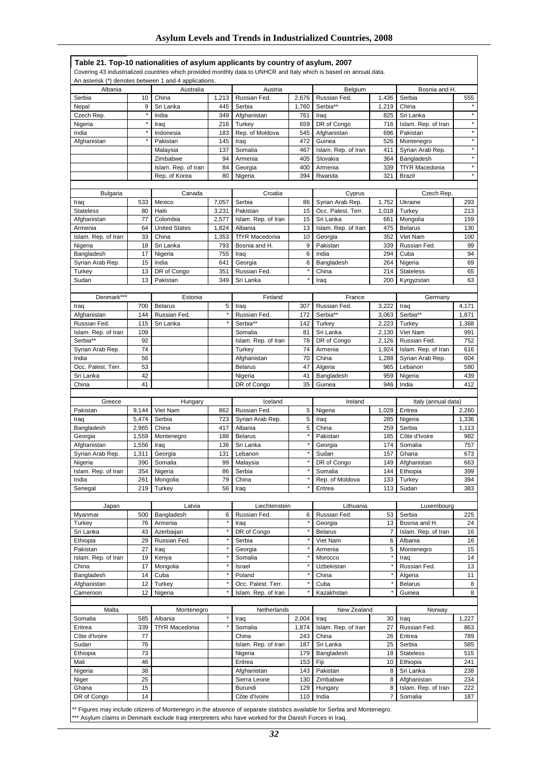|                      |              | Table 21. Top-10 nationalities of asylum applicants by country of asylum, 2007<br>An asterisk (*) denotes between 1 and 4 applications. |              |                          |              | Covering 43 industrialized countries which provided monthly data to UNHCR and Italy which is based on annual data. |                     |                                |                                                                                                           |
|----------------------|--------------|-----------------------------------------------------------------------------------------------------------------------------------------|--------------|--------------------------|--------------|--------------------------------------------------------------------------------------------------------------------|---------------------|--------------------------------|-----------------------------------------------------------------------------------------------------------|
| Albania              |              | Australia                                                                                                                               |              | Austria                  |              | Belgium                                                                                                            |                     | Bosnia and H.                  |                                                                                                           |
| Serbia               | 10           | China                                                                                                                                   | 1,213        | Russian Fed.             | 2,676        | Russian Fed.                                                                                                       | 1,436               | Serbia                         | 555                                                                                                       |
| Nepal                | 9            | Sri Lanka                                                                                                                               | 445          | Serbia                   | 1,760        | Serbia**                                                                                                           | 1,219               | China                          |                                                                                                           |
| Czech Rep.           | $\pmb{\ast}$ | India                                                                                                                                   | 349          | Afghanistan              | 761          | Iraq                                                                                                               | 825                 | Sri Lanka                      | $\star$                                                                                                   |
| Nigeria              | $^\star$     | Iraq                                                                                                                                    | 216          | Turkey                   | 659          | DR of Congo                                                                                                        | 716                 | Islam. Rep. of Iran            | $\star$                                                                                                   |
| India                | $\star$      | Indonesia                                                                                                                               | 183          | Rep. of Moldova          | 545          | Afghanistan                                                                                                        | 696                 | Pakistan                       | $\star$                                                                                                   |
| Afghanistan          |              | Pakistan                                                                                                                                | 145          | Iraq                     | 472          | Guinea                                                                                                             | 526                 | Montenegro                     | $\star$                                                                                                   |
|                      |              | Malaysia                                                                                                                                | 137          | Somalia                  | 467          | Islam. Rep. of Iran                                                                                                | 411                 | Syrian Arab Rep.               | $\star$                                                                                                   |
|                      |              | Zimbabwe                                                                                                                                | 94           | Armenia                  | 405          | Slovakia                                                                                                           | 364                 | Bangladesh                     | $\star$                                                                                                   |
|                      |              | Islam. Rep. of Iran                                                                                                                     | 84           | Georgia                  | 400          | Armenia                                                                                                            | 339                 | <b>TfYR Macedonia</b>          | $\star$                                                                                                   |
|                      |              | Rep. of Korea                                                                                                                           | 80           | Nigeria                  | 394          | Rwanda                                                                                                             | 321                 | <b>Brazil</b>                  | $\star$                                                                                                   |
|                      |              |                                                                                                                                         |              |                          |              |                                                                                                                    |                     |                                |                                                                                                           |
|                      |              |                                                                                                                                         |              |                          |              |                                                                                                                    |                     |                                |                                                                                                           |
| Bulgaria             |              | Canada<br>Mexico                                                                                                                        |              | Croatia                  |              | Cyprus                                                                                                             |                     | Czech Rep                      |                                                                                                           |
| Iraq                 | 533          |                                                                                                                                         | 7,057        | Serbia                   | 86           | Syrian Arab Rep.                                                                                                   | 1,752               | Ukraine                        | 293                                                                                                       |
| <b>Stateless</b>     | 80           | Haiti                                                                                                                                   | 3,231        | Pakistan                 | 15           | Occ. Palest. Terr.                                                                                                 | 1,018               | Turkey                         | 213                                                                                                       |
| Afghanistan          | 77           | Colombia                                                                                                                                | 2,577        | Islam. Rep. of Iran      | 15           | Sri Lanka                                                                                                          | 661                 | Mongolia                       | 159                                                                                                       |
| Armenia              | 64           | <b>United States</b>                                                                                                                    | 1,824        | Albania                  | 13           | Islam. Rep. of Iran                                                                                                | 475                 | <b>Belarus</b>                 | 130                                                                                                       |
| Islam. Rep. of Iran  | 33           | China                                                                                                                                   | 1,353        | <b>TfYR Macedonia</b>    | 10           | Georgia                                                                                                            | 352                 | Viet Nam                       | 100                                                                                                       |
| Nigeria              | 18           | Sri Lanka                                                                                                                               | 793          | Bosnia and H.            | 9            | Pakistan                                                                                                           | 339                 | Russian Fed.                   | 99                                                                                                        |
| Bangladesh           | 17           | Nigeria                                                                                                                                 | 755          | Iraq                     | 6            | India                                                                                                              | 294                 | Cuba                           | 94                                                                                                        |
| Syrian Arab Rep.     | 15           | India                                                                                                                                   | 641          | Georgia                  | 6            | Bangladesh                                                                                                         | 264                 | Nigeria                        | 69                                                                                                        |
| Turkey               | 13           | DR of Congo                                                                                                                             | 351          | Russian Fed.             | $\star$      | China                                                                                                              | 214                 | <b>Stateless</b>               | 65                                                                                                        |
| Sudan                | 13           | Pakistan                                                                                                                                | 349          | Sri Lanka                | $\pmb{\ast}$ | Iraq                                                                                                               | 200                 | Kyrgyzstan                     | 63                                                                                                        |
|                      |              |                                                                                                                                         |              |                          |              |                                                                                                                    |                     |                                |                                                                                                           |
| Denmark***           |              | Estonia                                                                                                                                 |              | Finland                  |              | France                                                                                                             |                     | Germany                        |                                                                                                           |
| Iraq                 | 700          | <b>Belarus</b>                                                                                                                          | 5            | Iraq                     | 307          | Russian Fed.                                                                                                       | 3,222               | Iraq                           | 4,171                                                                                                     |
| Afghanistan          | 144          | Russian Fed.                                                                                                                            |              | Russian Fed.             | 172          | Serbia**                                                                                                           | 3,063               | Serbia**                       | 1,871                                                                                                     |
| Russian Fed.         | 115          | Sri Lanka                                                                                                                               |              | Serbia**                 | 142          | Turkey                                                                                                             | 2,223               | Turkey                         | 1,368                                                                                                     |
| Islam. Rep. of Iran  | 109          |                                                                                                                                         |              | Somalia                  | 81           | Sri Lanka                                                                                                          | 2,130               | Viet Nam                       | 991                                                                                                       |
| Serbia**             | 92           |                                                                                                                                         |              | Islam. Rep. of Iran      | 78           | DR of Congo                                                                                                        | 2,126               | Russian Fed.                   | 752                                                                                                       |
|                      |              |                                                                                                                                         |              |                          |              |                                                                                                                    |                     |                                |                                                                                                           |
| Syrian Arab Rep.     | 74           |                                                                                                                                         |              | Turkey                   | 74           | Armenia                                                                                                            | 1,924               | Islam. Rep. of Iran            | 616                                                                                                       |
| India                | 56           |                                                                                                                                         |              | Afghanistan              | 70           | China                                                                                                              | 1,288               | Syrian Arab Rep.               | 604                                                                                                       |
| Occ. Palest. Terr.   | 53           |                                                                                                                                         |              | <b>Belarus</b>           | 47           | Algeria                                                                                                            | 965                 | Lebanon                        | 580                                                                                                       |
| Sri Lanka            | 42           |                                                                                                                                         |              | Nigeria                  | 41           | Bangladesh                                                                                                         | 959                 | Nigeria                        | 439                                                                                                       |
| China                | 41           |                                                                                                                                         |              | DR of Congo              | 35           | Guinea                                                                                                             | 946                 | India                          | 412                                                                                                       |
|                      |              |                                                                                                                                         |              |                          |              |                                                                                                                    |                     |                                |                                                                                                           |
| Greece               |              |                                                                                                                                         |              |                          |              |                                                                                                                    |                     |                                |                                                                                                           |
|                      |              | Hungary                                                                                                                                 |              | Iceland                  |              | Ireland                                                                                                            |                     | Italy (annual data)            |                                                                                                           |
| Pakistan             | 9,144        | Viet Nam                                                                                                                                | 862          | Russian Fed.             | 5            | Nigeria                                                                                                            | 1,028               | Eritrea                        | 2,260                                                                                                     |
| Iraq                 | 5,474        | Serbia                                                                                                                                  | 723          | Syrian Arab Rep.         | 5            | Iraq                                                                                                               | 285                 | Nigeria                        | 1,336                                                                                                     |
| Bangladesh           | 2,965        | China                                                                                                                                   | 417          | Albania                  | 5            | China                                                                                                              | 259                 | Serbia                         | 1,113                                                                                                     |
| Georgia              | 1,559        | Montenegro                                                                                                                              | 188          | <b>Belarus</b>           | $\pmb{\ast}$ | Pakistan                                                                                                           | 185                 | Côte d'Ivoire                  | 982                                                                                                       |
| Afghanistan          | 1,556        | Iraq                                                                                                                                    | 136          | Sri Lanka                | $\pmb{\ast}$ | Georgia                                                                                                            | 174                 | Somalia                        | 757                                                                                                       |
| Syrian Arab Rep.     | 1,311        | Georgia                                                                                                                                 | 131          | Lebanon                  | $\pmb{\ast}$ | Sudan                                                                                                              | 157                 | Ghana                          | 673                                                                                                       |
|                      | 390          | Somalia                                                                                                                                 | 99           |                          | $\pmb{\ast}$ |                                                                                                                    | 149                 |                                | 663                                                                                                       |
| Nigeria              |              |                                                                                                                                         |              | Malaysia                 | $\star$      | DR of Congo                                                                                                        |                     | Afghanistan                    |                                                                                                           |
| Islam. Rep. of Iran  | 354          | Nigeria                                                                                                                                 | 86           | Serbia                   |              | Somalia                                                                                                            | 144                 | Ethiopia                       |                                                                                                           |
| India                | 261          | Mongolia                                                                                                                                | 79           | China                    |              | Rep. of Moldova                                                                                                    | 133                 | Turkey                         |                                                                                                           |
| Senegal              | 219          | Turkey                                                                                                                                  | 56           | Iraq                     |              | Eritrea                                                                                                            | 113                 | Sudan                          |                                                                                                           |
|                      |              |                                                                                                                                         |              |                          |              |                                                                                                                    |                     |                                |                                                                                                           |
| Japan                |              | Latvia                                                                                                                                  |              | Liechtenstein            |              | Lithuania                                                                                                          |                     | Luxembourg                     |                                                                                                           |
| Myanmar              | 500          | Bangladesh                                                                                                                              | 6            | Russian Fed.             | 6            | Russian Fed.                                                                                                       | 53                  | Serbia                         |                                                                                                           |
| Turkey               | 76           | Armenia                                                                                                                                 | $\star$      | Iraq                     |              | Georgia                                                                                                            | 13                  | Bosnia and H.                  |                                                                                                           |
| Sri Lanka            | 43           | Azerbaijan                                                                                                                              | $\star$      | DR of Congo              | $^\star$     | <b>Belarus</b>                                                                                                     | $\overline{7}$      | Islam. Rep. of Iran            |                                                                                                           |
| Ethiopia             | 29           | Russian Fed.                                                                                                                            |              | Serbia                   | $\pmb{\ast}$ | Viet Nam                                                                                                           | 6                   | Albania                        |                                                                                                           |
| Pakistan             | 27           | Iraq                                                                                                                                    |              | Georgia                  | $^\star$     | Armenia                                                                                                            | 5                   | Montenegro                     |                                                                                                           |
| Islam. Rep. of Iran  | 19           | Kenya                                                                                                                                   |              | Somalia                  | $\ast$       | Morocco                                                                                                            |                     | Iraq                           |                                                                                                           |
| China                | 17           | Mongolia                                                                                                                                |              | Israel                   | $\pmb{\ast}$ | Uzbekistan                                                                                                         |                     | Russian Fed.                   |                                                                                                           |
| Bangladesh           | 14           | Cuba                                                                                                                                    |              | Poland                   | $\pmb{\ast}$ | China                                                                                                              |                     | Algeria                        | 11                                                                                                        |
| Afghanistan          | 12           | Turkey                                                                                                                                  | $\pmb{\ast}$ | Occ. Palest. Terr.       | $\star$      | Cuba                                                                                                               |                     | <b>Belarus</b>                 |                                                                                                           |
| Cameroon             | 12           | Nigeria                                                                                                                                 | $\star$      | Islam. Rep. of Iran      | $\pmb{\ast}$ | Kazakhstan                                                                                                         | $\star$             | Guinea                         |                                                                                                           |
|                      |              |                                                                                                                                         |              |                          |              |                                                                                                                    |                     |                                |                                                                                                           |
| Malta                |              | Montenegro                                                                                                                              |              | Netherlands              |              | New Zealand                                                                                                        |                     | Norway                         |                                                                                                           |
| Somalia              | 585          | Albania                                                                                                                                 |              | Iraq                     | 2,004        | Iraq                                                                                                               | 30                  | Iraq                           | 1,227                                                                                                     |
| Eritrea              | 339          | <b>TfYR Macedonia</b>                                                                                                                   |              | Somalia                  | 1,874        | Islam. Rep. of Iran                                                                                                | 27                  | Russian Fed.                   |                                                                                                           |
|                      |              |                                                                                                                                         |              | China                    |              |                                                                                                                    |                     |                                |                                                                                                           |
| Côte d'Ivoire        | 77<br>76     |                                                                                                                                         |              |                          | 243          | China                                                                                                              | 26                  | Eritrea                        |                                                                                                           |
| Sudan                |              |                                                                                                                                         |              | Islam. Rep. of Iran      | 187          | Sri Lanka                                                                                                          | 25                  | Serbia                         |                                                                                                           |
| Ethiopia             | 73           |                                                                                                                                         |              | Nigeria                  | 179          | Bangladesh                                                                                                         | 18                  | <b>Stateless</b>               |                                                                                                           |
| Mali                 | 46           |                                                                                                                                         |              | Eritrea                  | 153          | Fiji                                                                                                               | 10                  | Ethiopia                       | 241                                                                                                       |
| Nigeria              | 38           |                                                                                                                                         |              | Afghanistan              | 143          | Pakistan                                                                                                           | 8                   | Sri Lanka                      | 863<br>789<br>238                                                                                         |
| Niger                | 25           |                                                                                                                                         |              | Sierra Leone             | 130          | Zimbabwe                                                                                                           | 8                   | Afghanistan                    |                                                                                                           |
| Ghana<br>DR of Congo | 15<br>14     |                                                                                                                                         |              | Burundi<br>Côte d'Ivoire | 129<br>110   | Hungary<br>India                                                                                                   | 8<br>$\overline{7}$ | Islam. Rep. of Iran<br>Somalia | 399<br>394<br>383<br>225<br>24<br>16<br>16<br>15<br>14<br>13<br>8<br>8<br>585<br>515<br>234<br>222<br>187 |

\*\*\* Asylum claims in Denmark exclude Iraqi interpreters who have worked for the Danish Forces in Iraq.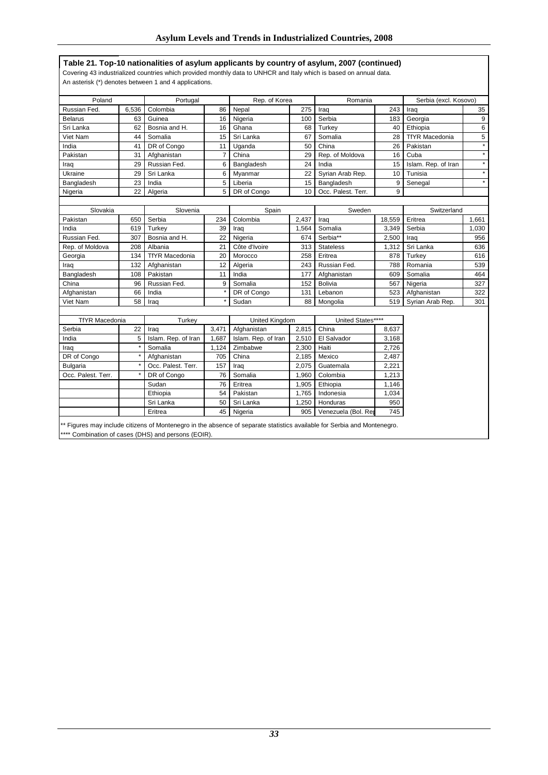### **Table 21. Top-10 nationalities of asylum applicants by country of asylum, 2007 (continued)**

Covering 43 industrialized countries which provided monthly data to UNHCR and Italy which is based on annual data. An asterisk (\*) denotes between 1 and 4 applications.

| Poland                |       | Portugal              |                | Rep. of Korea       |       | Romania                                                                                                                  |        | Serbia (excl. Kosovo) |                  |
|-----------------------|-------|-----------------------|----------------|---------------------|-------|--------------------------------------------------------------------------------------------------------------------------|--------|-----------------------|------------------|
| Russian Fed.          | 6,536 | Colombia              | 86             | Nepal               | 275   | Iraq                                                                                                                     | 243    | Iraq                  | 35               |
| <b>Belarus</b>        | 63    | Guinea                | 16             | Nigeria             | 100   | Serbia                                                                                                                   | 183    | Georgia               | $\boldsymbol{9}$ |
| Sri Lanka             | 62    | Bosnia and H.         | 16             | Ghana               | 68    | Turkey                                                                                                                   | 40     | Ethiopia              | 6                |
| Viet Nam              | 44    | Somalia               | 15             | Sri Lanka           | 67    | Somalia                                                                                                                  | 28     | <b>TfYR Macedonia</b> | 5                |
| India                 | 41    | DR of Congo           | 11             | Uganda              | 50    | China                                                                                                                    | 26     | Pakistan              | $\star$          |
| Pakistan              | 31    | Afghanistan           | $\overline{7}$ | China               | 29    | Rep. of Moldova                                                                                                          | 16     | Cuba                  | $\star$          |
| Iraq                  | 29    | Russian Fed.          | 6              | Bangladesh          | 24    | India                                                                                                                    | 15     | Islam. Rep. of Iran   | $\star$          |
| Ukraine               | 29    | Sri Lanka             | 6              | Myanmar             | 22    | Syrian Arab Rep.                                                                                                         | 10     | Tunisia               | $\star$          |
| Bangladesh            | 23    | India                 | 5              | Liberia             | 15    | Bangladesh                                                                                                               | 9      | Senegal               | $\star$          |
| Nigeria               | 22    | Algeria               | 5              | DR of Congo         | 10    | Occ. Palest. Terr.                                                                                                       | 9      |                       |                  |
|                       |       |                       |                |                     |       |                                                                                                                          |        |                       |                  |
| Slovakia              |       | Slovenia              |                | Spain               |       | Sweden                                                                                                                   |        | Switzerland           |                  |
| Pakistan              | 650   | Serbia                | 234            | Colombia            | 2,437 | Irag                                                                                                                     | 18,559 | Eritrea               | 1.661            |
| India                 | 619   | Turkev                | 39             | Irag                | 1,564 | Somalia                                                                                                                  | 3,349  | Serbia                | 1,030            |
| Russian Fed.          | 307   | Bosnia and H.         | 22             | Nigeria             | 674   | Serbia**                                                                                                                 | 2,500  | Iraq                  | 956              |
| Rep. of Moldova       | 208   | Albania               | 21             | Côte d'Ivoire       | 313   | <b>Stateless</b>                                                                                                         | 1,312  | Sri Lanka             | 636              |
| Georgia               | 134   | <b>TfYR Macedonia</b> | 20             | Morocco             | 258   | Eritrea                                                                                                                  | 878    | Turkey                | 616              |
| Iraq                  | 132   | Afghanistan           | 12             | Algeria             | 243   | Russian Fed.                                                                                                             | 788    | Romania               | 539              |
| Bangladesh            | 108   | Pakistan              | 11             | India               | 177   | Afghanistan                                                                                                              | 609    | Somalia               | 464              |
| China                 | 96    | Russian Fed.          | 9              | Somalia             | 152   | <b>Bolivia</b>                                                                                                           | 567    | Nigeria               | 327              |
| Afghanistan           | 66    | India                 |                | DR of Congo         | 131   | Lebanon                                                                                                                  | 523    | Afghanistan           | 322              |
| Viet Nam              | 58    | Iraq                  |                | Sudan               | 88    | Mongolia                                                                                                                 | 519    | Syrian Arab Rep.      | 301              |
|                       |       |                       |                |                     |       |                                                                                                                          |        |                       |                  |
| <b>TfYR Macedonia</b> |       | Turkey                |                | United Kingdom      |       | United States****                                                                                                        |        |                       |                  |
| Serbia                | 22    | Irag                  | 3,471          | Afghanistan         | 2,815 | China                                                                                                                    | 8,637  |                       |                  |
| India                 | 5     | Islam. Rep. of Iran   | 1.687          | Islam. Rep. of Iran | 2,510 | El Salvador                                                                                                              | 3,168  |                       |                  |
| Iraq                  |       | Somalia               | 1,124          | Zimbabwe            | 2,300 | Haiti                                                                                                                    | 2,726  |                       |                  |
| DR of Congo           |       | Afghanistan           | 705            | China               | 2,185 | Mexico                                                                                                                   | 2,487  |                       |                  |
| <b>Bulgaria</b>       |       | Occ. Palest. Terr.    | 157            | Iraq                | 2,075 | Guatemala                                                                                                                | 2,221  |                       |                  |
| Occ. Palest. Terr.    |       | DR of Congo           | 76             | Somalia             | 1,960 | Colombia                                                                                                                 | 1,213  |                       |                  |
|                       |       | Sudan                 | 76             | Eritrea             | 1,905 | Ethiopia                                                                                                                 | 1,146  |                       |                  |
|                       |       | Ethiopia              | 54             | Pakistan            | 1,765 | Indonesia                                                                                                                | 1,034  |                       |                  |
|                       |       | Sri Lanka             | 50             | Sri Lanka           | 1,250 | Honduras                                                                                                                 | 950    |                       |                  |
|                       |       | Eritrea               | 45             | Nigeria             | 905   | Venezuela (Bol. Rep                                                                                                      | 745    |                       |                  |
|                       |       |                       |                |                     |       | ** Figures may include citizens of Montenegro in the absence of separate statistics available for Serbia and Montenegro. |        |                       |                  |

\*\*\*\* Combination of cases (DHS) and persons (EOIR).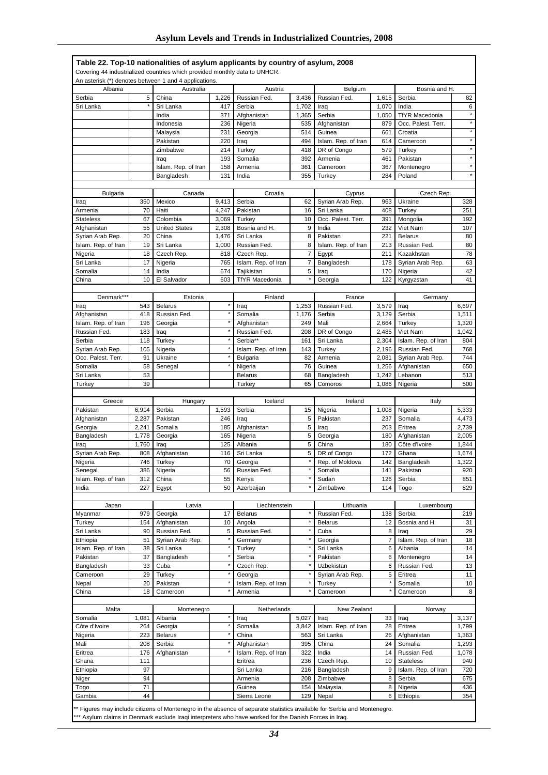### **Table 22. Top-10 nationalities of asylum applicants by country of asylum, 2008**

| Covering 44 industrialized countries which provided monthly data to UNHCR. |
|----------------------------------------------------------------------------|
|----------------------------------------------------------------------------|

|                             |                | An asterisk (*) denotes between 1 and 4 applications. |                |                                |                |                                 |                |                               |                |
|-----------------------------|----------------|-------------------------------------------------------|----------------|--------------------------------|----------------|---------------------------------|----------------|-------------------------------|----------------|
| Albania                     |                | Australia                                             |                | Austria                        |                | Belgium                         |                | Bosnia and H.                 |                |
| Serbia                      | 5              | China                                                 | 1,226          | Russian Fed.                   | 3,436          | Russian Fed.                    | 1,615          | Serbia                        | 82             |
| Sri Lanka                   | $^\star$       | Sri Lanka                                             | 417            | Serbia                         | 1,702          | Iraq                            | 1,070          | India                         | 6              |
|                             |                | India                                                 | 371            | Afghanistan                    | 1,365          | Serbia                          | 1,050          | <b>TfYR Macedonia</b>         | $\star$        |
|                             |                | Indonesia                                             | 236            | Nigeria<br>Georgia             | 535<br>514     | Afghanistan<br>Guinea           | 879            | Occ. Palest. Terr.            | $\star$        |
|                             |                | Malaysia<br>Pakistan                                  | 231<br>220     | Iraq                           | 494            | Islam. Rep. of Iran             | 661<br>614     | Croatia<br>Cameroon           | $\star$        |
|                             |                | Zimbabwe                                              | 214            | Turkey                         | 418            | DR of Congo                     | 579            | Turkey                        | $\star$        |
|                             |                | Iraq                                                  | 193            | Somalia                        | 392            | Armenia                         | 461            | Pakistan                      |                |
|                             |                | Islam. Rep. of Iran                                   | 158            | Armenia                        | 361            | Cameroon                        | 367            | Montenegro                    | $\star$        |
|                             |                | Bangladesh                                            | 131            | India                          | 355            | Turkey                          | 284            | Poland                        | $\star$        |
|                             |                |                                                       |                |                                |                |                                 |                |                               |                |
| <b>Bulgaria</b>             |                | Canada                                                |                | Croatia                        |                | Cyprus                          |                | Czech Rep.                    |                |
| Iraq                        | 350            | Mexico                                                | 9,413          | Serbia                         | 62             | Syrian Arab Rep.                | 963            | Ukraine                       | 328            |
| Armenia<br><b>Stateless</b> | 70<br>67       | Haiti<br>Colombia                                     | 4,247<br>3,069 | Pakistan<br>Turkey             | 16<br>10       | Sri Lanka<br>Occ. Palest. Terr. | 408<br>391     | Turkey<br>Mongolia            | 251<br>192     |
| Afghanistan                 | 55             | <b>United States</b>                                  | 2,308          | Bosnia and H.                  | 9              | India                           | 232            | Viet Nam                      | 107            |
| Syrian Arab Rep.            | 20             | China                                                 | 1,476          | Sri Lanka                      | 8              | Pakistan                        | 221            | <b>Belarus</b>                | 80             |
| Islam. Rep. of Iran         | 19             | Sri Lanka                                             | 1,000          | Russian Fed.                   | 8              | Islam. Rep. of Iran             | 213            | Russian Fed.                  | 80             |
| Nigeria                     | 18             | Czech Rep.                                            | 818            | Czech Rep.                     | $\overline{7}$ | Egypt                           | 211            | Kazakhstan                    | 78             |
| Sri Lanka                   | 17             | Nigeria                                               | 765            | Islam. Rep. of Iran            | 7              | Bangladesh                      | 178            | Syrian Arab Rep.              | 63             |
| Somalia                     | 14             | India                                                 | 674            | Tajikistan                     | 5              | Iraq                            | 170            | Nigeria                       | 42             |
| China                       | 10             | El Salvador                                           | 603            | <b>TfYR Macedonia</b>          |                | Georgia                         | 122            | Kyrgyzstan                    | 41             |
|                             |                |                                                       |                |                                |                |                                 |                |                               |                |
| Denmark***                  |                | Estonia                                               |                | Finland                        |                | France                          |                | Germany                       |                |
| Iraq<br>Afghanistan         | 543<br>418     | <b>Belarus</b><br>Russian Fed.                        |                | Iraq<br>Somalia                | 1,253<br>1,176 | Russian Fed.<br>Serbia          | 3,579<br>3,129 | Iraq<br>Serbia                | 6,697<br>1,511 |
| Islam. Rep. of Iran         | 196            | Georgia                                               |                | Afghanistan                    | 249            | Mali                            | 2,664          | Turkey                        | 1,320          |
| Russian Fed.                | 183            | Iraq                                                  |                | Russian Fed.                   | 208            | DR of Congo                     | 2,485          | Viet Nam                      | 1,042          |
| Serbia                      | 118            | Turkey                                                |                | Serbia**                       | 161            | Sri Lanka                       | 2,304          | Islam. Rep. of Iran           | 804            |
| Syrian Arab Rep.            | 105            | Nigeria                                               |                | Islam. Rep. of Iran            | 143            | Turkey                          | 2,196          | Russian Fed.                  | 768            |
| Occ. Palest. Terr.          | 91             | Ukraine                                               |                | <b>Bulgaria</b>                | 82             | Armenia                         | 2,081          | Syrian Arab Rep.              | 744            |
| Somalia                     | 58             | Senegal                                               |                | Nigeria                        | 76             | Guinea                          | 1,256          | Afghanistan                   | 650            |
| Sri Lanka                   | 53             |                                                       |                | <b>Belarus</b>                 | 68             | Bangladesh                      | 1,242          | Lebanon                       | 513            |
| Turkey                      | 39             |                                                       |                | Turkey                         | 65             | Comoros                         | 1,086          | Nigeria                       | 500            |
|                             |                |                                                       |                |                                |                |                                 |                |                               |                |
|                             |                |                                                       |                |                                |                |                                 |                |                               |                |
| Greece                      |                | Hungary                                               |                | Iceland                        |                | Ireland                         |                | Italy                         |                |
| Pakistan                    | 6,914          | Serbia                                                | 1,593          | Serbia                         | 15<br>5        | Nigeria                         | 1,008<br>237   | Nigeria                       | 5,333          |
| Afghanistan<br>Georgia      | 2,287<br>2,241 | Pakistan<br>Somalia                                   | 246<br>185     | Iraq<br>Afghanistan            | 5              | Pakistan<br>Iraq                | 203            | Somalia<br>Eritrea            | 4,473<br>2,739 |
| Bangladesh                  | 1,778          | Georgia                                               | 165            | Nigeria                        | 5              | Georgia                         | 180            | Afghanistan                   | 2,005          |
| Iraq                        | 1,760          | Iraq                                                  | 125            | Albania                        | $\sqrt{5}$     | China                           | 180            | Côte d'Ivoire                 | 1,844          |
| Syrian Arab Rep.            | 808            | Afghanistan                                           | 116            | Sri Lanka                      | 5              | DR of Congo                     | 172            | Ghana                         | 1,674          |
| Nigeria                     | 746            | Turkey                                                | 70             | Georgia                        |                | Rep. of Moldova                 | 142            | Bangladesh                    | 1,322          |
| Senegal                     | 386            | Nigeria                                               | 56             | Russian Fed.                   |                | Somalia                         | 141            | Pakistan                      | 920            |
| Islam. Rep. of Iran         | 312            | China                                                 | 55             | Kenya                          |                | Sudan                           | 126            | Serbia                        | 851            |
| India                       |                | $227$ Egypt                                           |                | 50 Azerbaijan                  |                | ∠imbabwe                        |                | 114 Togo                      | 829            |
| Japan                       |                | Latvia                                                |                | Liechtenstein                  |                | Lithuania                       |                | Luxembourg                    |                |
| Myanmar                     | 979            | Georgia                                               | 17             | <b>Belarus</b>                 |                | Russian Fed.                    | 138            | Serbia                        | 219            |
| Turkey                      | 154            | Afghanistan                                           | 10             | Angola                         |                | <b>Belarus</b>                  | 12             | Bosnia and H.                 | 31             |
| Sri Lanka                   | 90             | Russian Fed.                                          | 5              | Russian Fed.                   |                | Cuba                            | 8              | Iraq                          | 29             |
| Ethiopia                    | 51             | Syrian Arab Rep.                                      |                | Germany                        |                | Georgia                         | 7              | Islam. Rep. of Iran           | 18             |
| Islam. Rep. of Iran         | 38             | Sri Lanka                                             |                | Turkey                         |                | Sri Lanka                       | 6              | Albania                       | 14             |
| Pakistan                    | 37             | Bangladesh                                            | ×              | Serbia                         | *              | Pakistan                        | 6              | Montenegro                    | 14             |
| Bangladesh                  | 33             | Cuba                                                  |                | Czech Rep.                     |                | Uzbekistan                      | 6              | Russian Fed.                  | 13             |
| Cameroon                    | 29             | Turkey                                                |                | Georgia                        |                | Syrian Arab Rep.                | 5              | Eritrea                       | 11             |
| Nepal<br>China              | 20<br>18       | Pakistan<br>Cameroon                                  |                | Islam. Rep. of Iran<br>Armenia |                | Turkey<br>Cameroon              |                | Somalia<br>Cameroon           | 10<br>8        |
|                             |                |                                                       |                |                                |                |                                 |                |                               |                |
| Malta                       |                | Montenegro                                            |                | Netherlands                    |                | New Zealand                     |                | Norway                        |                |
| Somalia                     | 1,081          | Albania                                               |                | Iraq                           | 5,027          | Iraq                            | 33             | Iraq                          | 3,137          |
| Côte d'Ivoire               | 264            | Georgia                                               |                | Somalia                        | 3,842          | Islam. Rep. of Iran             | 28             | Eritrea                       | 1,799          |
| Nigeria                     | 223            | <b>Belarus</b>                                        |                | China                          | 563            | Sri Lanka                       | 26             | Afghanistan                   | 1,363          |
| Mali                        | 208            | Serbia                                                |                | Afghanistan                    | 395            | China                           | 24             | Somalia                       | 1,293          |
| Eritrea                     | 176            | Afghanistan                                           |                | Islam. Rep. of Iran            | 322            | India                           | 14             | Russian Fed.                  | 1,078          |
| Ghana                       | 111            |                                                       |                | Eritrea                        | 236            | Czech Rep.                      | 10             | <b>Stateless</b>              | 940            |
| Ethiopia<br>Niger           | 97<br>94       |                                                       |                | Sri Lanka<br>Armenia           | 216<br>208     | Bangladesh<br>Zimbabwe          | 9<br>8         | Islam. Rep. of Iran<br>Serbia | 720<br>675     |
| Togo                        | 71             |                                                       |                | Guinea                         | 154            | Malaysia                        | 8              | Nigeria                       | 436            |
| Gambia                      | 44             |                                                       |                | Sierra Leone                   | 129            | Nepal                           | 6              | Ethiopia                      | 354            |

\*\*\* Asylum claims in Denmark exclude Iraqi interpreters who have worked for the Danish Forces in Iraq.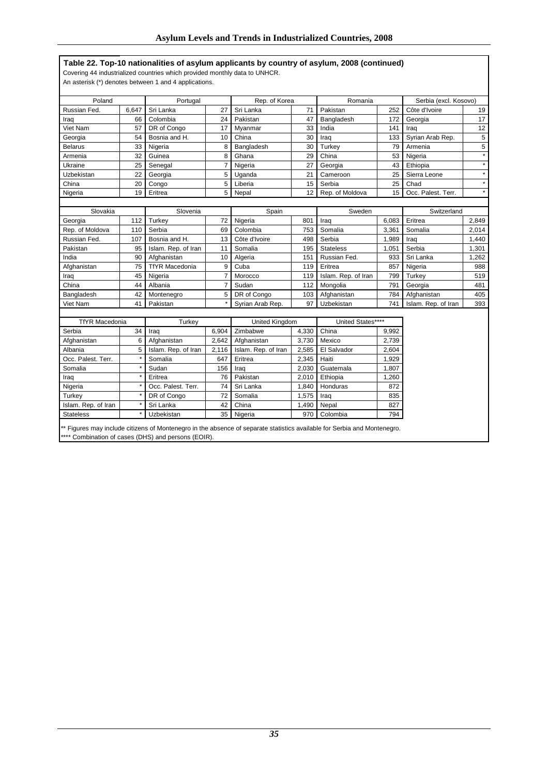### **Table 22. Top-10 nationalities of asylum applicants by country of asylum, 2008 (continued)**

Covering 44 industrialized countries which provided monthly data to UNHCR.

An asterisk (\*) denotes between 1 and 4 applications.

| Poland                |       | Portugal                                            |                | Rep. of Korea       |       | Romania                                                                                                                  |       | Serbia (excl. Kosovo) |                |
|-----------------------|-------|-----------------------------------------------------|----------------|---------------------|-------|--------------------------------------------------------------------------------------------------------------------------|-------|-----------------------|----------------|
| Russian Fed.          | 6,647 | Sri Lanka                                           | 27             | Sri Lanka           | 71    | Pakistan                                                                                                                 | 252   | Côte d'Ivoire         | 19             |
| Iraq                  | 66    | Colombia                                            | 24             | Pakistan            | 47    | Bangladesh                                                                                                               | 172   | Georgia               | 17             |
| Viet Nam              | 57    | DR of Congo                                         | 17             | Myanmar             | 33    | India                                                                                                                    | 141   | Iraq                  | 12             |
| Georgia               | 54    | Bosnia and H.                                       | 10             | China               | 30    | Iraq                                                                                                                     | 133   | Syrian Arab Rep.      | 5              |
| <b>Belarus</b>        | 33    | Nigeria                                             | 8              | Bangladesh          | 30    | Turkey                                                                                                                   | 79    | Armenia               | $\overline{5}$ |
| Armenia               | 32    | Guinea                                              | 8              | Ghana               | 29    | China                                                                                                                    | 53    | Nigeria               | $\star$        |
| Ukraine               | 25    | Senegal                                             | $\overline{7}$ | Nigeria             | 27    | Georgia                                                                                                                  | 43    | Ethiopia              | $\star$        |
| Uzbekistan            | 22    | Georgia                                             | 5              | Uganda              | 21    | Cameroon                                                                                                                 | 25    | Sierra Leone          | $\star$        |
| China                 | 20    | Congo                                               | 5              | Liberia             | 15    | Serbia                                                                                                                   | 25    | Chad                  | $\star$        |
| Nigeria               | 19    | Eritrea                                             | 5              | Nepal               | 12    | Rep. of Moldova                                                                                                          | 15    | Occ. Palest. Terr.    | $\star$        |
|                       |       |                                                     |                |                     |       |                                                                                                                          |       |                       |                |
| Slovakia              |       | Slovenia                                            |                | Spain               |       | Sweden                                                                                                                   |       | Switzerland           |                |
| Georgia               | 112   | Turkey                                              | 72             | Nigeria             | 801   | Iraq                                                                                                                     | 6,083 | Eritrea               | 2,849          |
| Rep. of Moldova       | 110   | Serbia                                              | 69             | Colombia            | 753   | Somalia                                                                                                                  | 3,361 | Somalia               | 2,014          |
| Russian Fed.          | 107   | Bosnia and H.                                       | 13             | Côte d'Ivoire       | 498   | Serbia                                                                                                                   | 1,989 | Iraq                  | 1,440          |
| Pakistan              | 95    | Islam. Rep. of Iran                                 | 11             | Somalia             | 195   | <b>Stateless</b>                                                                                                         | 1,051 | Serbia                | 1,301          |
| India                 | 90    | Afghanistan                                         | 10             | Algeria             | 151   | Russian Fed.                                                                                                             | 933   | Sri Lanka             | 1,262          |
| Afghanistan           | 75    | <b>TfYR Macedonia</b>                               | 9              | Cuba                | 119   | Eritrea                                                                                                                  | 857   | Nigeria               | 988            |
| Iraq                  | 45    | Nigeria                                             | 7              | Morocco             | 119   | Islam. Rep. of Iran                                                                                                      | 799   | Turkey                | 519            |
| China                 | 44    | Albania                                             | 7              | Sudan               | 112   | Mongolia                                                                                                                 | 791   | Georgia               | 481            |
| Bangladesh            | 42    | Montenegro                                          | 5              | DR of Congo         | 103   | Afghanistan                                                                                                              | 784   | Afghanistan           | 405            |
| Viet Nam              | 41    | Pakistan                                            |                | Syrian Arab Rep.    | 97    | Uzbekistan                                                                                                               | 741   | Islam. Rep. of Iran   | 393            |
|                       |       |                                                     |                |                     |       |                                                                                                                          |       |                       |                |
| <b>TfYR Macedonia</b> |       | Turkey                                              |                | United Kingdom      |       | United States****                                                                                                        |       |                       |                |
| Serbia                | 34    | Iraq                                                | 6.904          | Zimbabwe            | 4,330 | China                                                                                                                    | 9,992 |                       |                |
| Afghanistan           | 6     | Afghanistan                                         | 2,642          | Afghanistan         | 3,730 | Mexico                                                                                                                   | 2,739 |                       |                |
| Albania               | 5     | Islam. Rep. of Iran                                 | 2,116          | Islam. Rep. of Iran | 2,585 | El Salvador                                                                                                              | 2,604 |                       |                |
| Occ. Palest. Terr.    |       | Somalia                                             | 647            | Eritrea             | 2,345 | Haiti                                                                                                                    | 1,929 |                       |                |
| Somalia               |       | Sudan                                               | 156            | Iraq                | 2,030 | Guatemala                                                                                                                | 1,807 |                       |                |
| Iraq                  |       | Eritrea                                             | 76             | Pakistan            | 2,010 | Ethiopia                                                                                                                 | 1,260 |                       |                |
| Nigeria               |       | Occ. Palest. Terr.                                  | 74             | Sri Lanka           | 1,840 | <b>Honduras</b>                                                                                                          | 872   |                       |                |
| Turkey                |       | DR of Congo                                         | 72             | Somalia             | 1,575 | Iraq                                                                                                                     | 835   |                       |                |
| Islam. Rep. of Iran   |       | Sri Lanka                                           | 42             | China               | 1,490 | Nepal                                                                                                                    | 827   |                       |                |
| <b>Stateless</b>      |       | Uzbekistan                                          | 35             | Nigeria             | 970   | Colombia                                                                                                                 | 794   |                       |                |
|                       |       | **** Combination of cases (DHS) and persons (EOIR). |                |                     |       | ** Figures may include citizens of Montenegro in the absence of separate statistics available for Serbia and Montenegro. |       |                       |                |